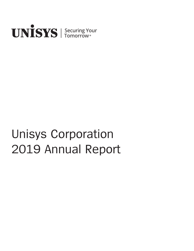

# Unisys Corporation 2019 Annual Report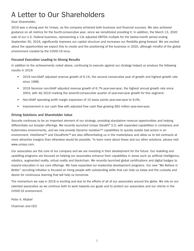# A Letter to Our Shareholders

#### Dear Shareholder,

2019 was a strong year for Unisys, as the company achieved both business and financial success. We also achieved guidance on all metrics for the fourth-consecutive year, since we reinstituted providing it. In addition, the March 13, 2020 sale of our U.S. Federal business, representing a 13x adjusted EBITDA multiple for the twelve-month period ending September 30, 2019, significantly improves our capital structure and increases our flexibility going forward. We are excited about the opportunities we expect this to create and the positioning of the business in 2020, although mindful of the global environment created by the COVID-19 virus.

#### **Focused Execution Leading to Strong Results**

In addition to the achievements noted above, continuing to execute against our strategy helped us produce the following results in 2019:

- 2019 non-GAAP adjusted revenue growth of 6.1%, the second consecutive year of growth and highest growth rate since 1998;
- 2019 Services non-GAAP adjusted revenue growth of 6.7% year-over-year, the highest annual growth rate since 2003, with 4Q 2019 marking the seventh-consecutive quarter of year-over-year growth for this segment;
- Non-GAAP operating profit margin expansion of 10 basis points year-over-year to 9.0%;
- Improvement in our cash flow with adjusted free cash flow growing \$65 million year-over-year;

#### **Driving Solutions and Shareholder Value**

Security continues to be an important element of our strategy, providing standalone revenue opportunities and helping differentiate our broader offerings. We recently launched Unisys Stealth® 5.0, with expanded capabilities in containers and Kubernetes environments, and we now provide Dynamic Isolation™ capabilities to quickly isolate bad actors in an environment. InteliServe™ and CloudForte™ are also differentiating us in the marketplace and allow us to bid contracts at more attractive margins than otherwise would be possible. To learn more about these and our other solutions, please visit www.unisys.com.

Our associates are the core of our company and we are investing in their development for the future. Our reskilling and upskilling programs are focused on helping our associates enhance their capabilities in areas such as artificial intelligence, robotics, augmented reality, virtual reality and blockchain. We recently launched global certifications and digital badges to expand education in our core offerings. We have expanded our leadership development programs. Our new "We Believe in Better" recruiting initiative is focused on hiring people with outstanding skills that can help us today and the curiosity and desire for continuous learning that will help us tomorrow.

The momentum we saw in 2019 is exciting and due to the efforts of all of our associates around the globe. We rely on our talented associates as we continue both to work towards our goals and to protect our associates and our clients in the COVID-19 environment.

Peter A. Altabef Chairman and CEO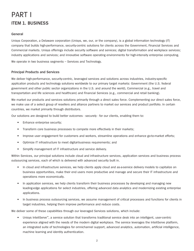# PART I **ITEM 1. BUSINESS**

#### **General**

Unisys Corporation, a Delaware corporation (Unisys, we, our, or the company), is a global information technology (IT) company that builds high-performance, security-centric solutions for clients across the Government, Financial Services and Commercial markets. Unisys offerings include security software and services; digital transformation and workplace services; industry applications and services; and innovative software operating environments for high-intensity enterprise computing.

We operate in two business segments – Services and Technology.

#### **Principal Products and Services**

We deliver high-performance, security-centric, leveraged services and solutions across industries, industry-specific application products and technology solutions worldwide to our primary target markets: Government (the U.S. federal government and other public sector organizations in the U.S. and around the world), Commercial (e.g., travel and transportation and life sciences and healthcare) and Financial Services (e.g., commercial and retail banking).

We market our products and services solutions primarily through a direct sales force. Complementing our direct sales force, we make use of a select group of resellers and alliance partners to market our services and product portfolio. In certain countries, we market primarily through distributors.

Our solutions are designed to build better outcomes - securely - for our clients, enabling them to:

- Enhance enterprise security;
- Transform core business processes to compete more effectively in their markets;
- Improve user engagement for customers and workers, streamline operations and enhance go-to-market efforts;
- Optimize IT infrastructure to meet digital-business requirements; and
- Simplify management of IT infrastructure and service delivery.

Within Services, our principal solutions include cloud and infrastructure services, application services and business process outsourcing services, each of which is delivered with advanced security built in.

- In cloud and infrastructure services, we help clients apply cloud and as-a-service delivery models to capitalize on business opportunities, make their end users more productive and manage and secure their IT infrastructure and operations more economically.
- In application services, we help clients transform their business processes by developing and managing new leading-edge applications for select industries, offering advanced data analytics and modernizing existing enterprise applications.
- In business process outsourcing services, we assume management of critical processes and functions for clients in target industries, helping them improve performance and reduce costs.

We deliver some of these capabilities through our leveraged Services solutions, which include:

• Unisys InteliServe™, a service solution that transforms traditional service desk into an intelligent, user-centric experience aligned with the needs of the modern digital workplace. The service leverages the InteliServe platform, an integrated suite of technologies for omnichannel support, advanced analytics, automation, artificial intelligence, machine learning and identity authentication.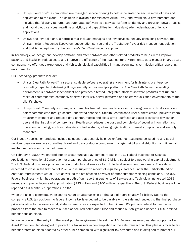- Unisys CloudForte®, a comprehensive managed service offering to help accelerate the secure move of data and applications to the cloud. The solution is available for Microsoft Azure, AWS, and hybrid cloud environments and includes the following features: an automated software-as-a-service platform to identify and provision private, public and hybrid cloud services, real-time analytics, and capabilities for industrial-grade modernization of legacy applications.
- Unisys Security Solutions, a portfolio that includes managed security services, security consulting services, the Unisys Incident Response Ecosystem subscription service and the TrustCheck™ cyber risk management solution, and that is underpinned by the company's Zero Trust security approach.

In Technology, we design and develop software and offer hardware and other related products to help clients improve security and flexibility, reduce costs and improve the efficiency of their data-center environments. As a pioneer in large-scale computing, we offer deep experience and rich technological capabilities in transaction-intensive, mission-critical operating environments.

Our Technology products include:

- Unisys ClearPath Forward®, a secure, scalable software operating environment for high-intensity enterprise computing capable of delivering Unisys security across multiple platforms. The ClearPath Forward operating environment is hardware-independent and provides a tested, integrated stack of software products that run on a range of contemporary, commonly-deployed Intel x86 server platforms and select virtualization environments of the client's choice.
- Unisys Stealth® security software, which enables trusted identities to access micro-segmented critical assets and safely communicate through secure, encrypted channels. Stealth™ establishes user authentication, prevents lateral attacker movement and reduces data center, mobile and cloud attack surfaces and quickly isolates devices or users at the first sign of compromise. Stealth also reduces the cost and complexity of securing information and operation technology such as industrial control systems, allowing organizations to meet compliance and security mandates.

Our industry application products include solutions that securely help law enforcement agencies solve crime and social services case workers assist families; travel and transportation companies manage freight and distribution; and financial institutions deliver omnichannel banking.

On February 5, 2020, we entered into an asset purchase agreement to sell our U.S. Federal business to Science Applications International Corporation for a cash purchase price of \$1.2 billion, subject to a net working capital adjustment. The U.S. Federal business provides certain products and services to U.S. federal government customers. The sale is expected to close in the first half of 2020 and is subject to receipt of regulatory clearance under the Hart-Scott-Rodino Antitrust Improvements Act of 1976 as well as the satisfaction or waiver of other customary closing conditions. The U.S. Federal business, which has operations in both of our reporting segments of Services and Technology, generated 2019 revenue and pre-tax income of approximately \$725 million and \$100 million, respectively. The U.S. Federal business will be reported as discontinued operations in 2020.

When the sale is complete, we expect to report an after-tax gain on the sale of approximately \$1 billion. Due to the company's U.S. tax position, no federal income tax is expected to be payable on the sale and, subject to the final purchase price allocation to the assets sold, state income taxes are expected to be minimal. We primarily intend to use the net proceeds from the sale to redeem our senior secured notes due 2022 and reduce our obligations under our U.S. defined benefit pension plans.

In connection with the entry into the asset purchase agreement to sell the U.S. Federal business, we also adopted a Tax Asset Protection Plan designed to protect our tax assets in contemplation of the sale transaction. This plan is similar to tax benefit protection plans adopted by other public companies with significant tax attributes and is designed to protect our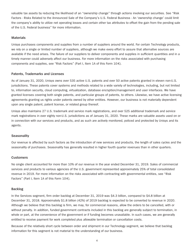valuable tax assets by reducing the likelihood of an "ownership change" through actions involving our securities. See "Risk Factors - Risks Related to the Announced Sale of the Company's U.S. Federal Business - An 'ownership change' could limit the company's ability to utilize net operating losses and certain other tax attributes to offset the gain from the pending sale of the U.S. Federal business" for more information.

#### **Materials**

Unisys purchases components and supplies from a number of suppliers around the world. For certain Technology products, we rely on a single or limited number of suppliers, although we make every effort to assure that alternative sources are available if the need arises. The failure of our suppliers to deliver components and supplies in sufficient quantities and in a timely manner could adversely affect our business. For more information on the risks associated with purchasing components and supplies, see "Risk Factors" (Part I, Item 1A of this Form 10-K).

#### **Patents, Trademarks and Licenses**

As of January 31, 2020, Unisys owns over 535 active U.S. patents and over 50 active patents granted in eleven non-U.S. jurisdictions. These patents cover systems and methods related to a wide variety of technologies, including, but not limited to, information security, cloud computing, virtualization, database encryption/management and user interfaces. We have granted licenses covering both single patents, and particular groups of patents, to others. Likewise, we have active licensing agreements granting us rights under patents owned by other entities. However, our business is not materially dependent upon any single patent, patent license, or related group thereof.

Unisys also maintains 27 U.S. trademark and service mark registrations, and over 525 additional trademark and service mark registrations in over eighty non-U.S. jurisdictions as of January 31, 2020. These marks are valuable assets used on or in connection with our services and products, and as such are actively monitored, policed and protected by Unisys and its agents.

#### **Seasonality**

Our revenue is affected by such factors as the introduction of new services and products, the length of sales cycles and the seasonality of purchases. Seasonality has generally resulted in higher fourth quarter revenues than in other quarters.

#### **Customers**

No single client accounted for more than 10% of our revenue in the year ended December 31, 2019. Sales of commercial services and products to various agencies of the U.S. government represented approximately 25% of total consolidated revenue in 2019. For more information on the risks associated with contracting with governmental entities, see "Risk Factors" (Part I, Item 1A of this Form 10-K).

#### **Backlog**

In the Services segment, firm order backlog at December 31, 2019 was \$4.3 billion, compared to \$4.8 billion at December 31, 2018. Approximately \$1.8 billion (42%) of 2019 backlog is expected to be converted to revenue in 2020. Although we believe that this backlog is firm, we may, for commercial reasons, allow the orders to be cancelled, with or without penalty. In addition, funded government contracts included in this backlog are generally subject to termination, in whole or part, at the convenience of the government or if funding becomes unavailable. In such cases, we are generally entitled to receive payment for work completed plus allowable termination or cancellation costs.

Because of the relatively short cycle between order and shipment in our Technology segment, we believe that backlog information for this segment is not material to the understanding of our business.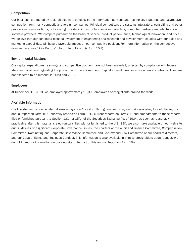#### **Competition**

Our business is affected by rapid change in technology in the information services and technology industries and aggressive competition from many domestic and foreign companies. Principal competitors are systems integrators, consulting and other professional services firms, outsourcing providers, infrastructure services providers, computer hardware manufacturers and software providers. We compete primarily on the basis of service, product performance, technological innovation, and price. We believe that our continued focused investment in engineering and research and development, coupled with our sales and marketing capabilities, will have a favorable impact on our competitive position. For more information on the competitive risks we face, see "Risk Factors" (Part I, Item 1A of this Form 10-K).

#### **Environmental Matters**

Our capital expenditures, earnings and competitive position have not been materially affected by compliance with federal, state and local laws regulating the protection of the environment. Capital expenditures for environmental control facilities are not expected to be material in 2020 and 2021.

#### **Employees**

At December 31, 2019, we employed approximately 21,000 employees serving clients around the world.

#### **Available Information**

Our Investor web site is located at www.unisys.com/investor. Through our web site, we make available, free of charge, our annual report on Form 10-K, quarterly reports on Form 10-Q, current reports on Form 8-K, and amendments to those reports filed or furnished pursuant to Section 13(a) or 15(d) of the Securities Exchange Act of 1934, as soon as reasonably practicable after this material is electronically filed with or furnished to the U.S. SEC. We also make available on our web site our Guidelines on Significant Corporate Governance Issues, the charters of the Audit and Finance Committee, Compensation Committee, Nominating and Corporate Governance Committee and Security and Risk Committee of our board of directors, and our Code of Ethics and Business Conduct. This information is also available in print to stockholders upon request. We do not intend for information on our web site to be part of this Annual Report on Form 10-K.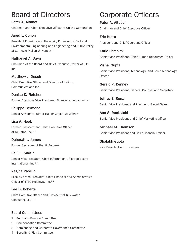# Board of Directors

**Peter A. Altabef** Chairman and Chief Executive Officer of Unisys Corporation

**Jared L. Cohon** President Emeritus and University Professor of Civil and Environmental Engineering and Engineering and Public Policy at Carnegie Mellon University 2,3

**Nathaniel A. Davis** Chairman of the Board and Chief Executive Officer of K12 Inc.

**Matthew J. Desch** Chief Executive Officer and Director of Iridium Communications Inc.2

**Denise K. Fletcher** Former Executive Vice President, Finance of Vulcan Inc.<sup>1,4</sup>

**Philippe Germond** Senior Advisor to Barber Hauler Capital Advisers<sup>3</sup>

**Lisa A. Hook** Former President and Chief Executive Officer at Neustar, Inc.1,4

**Deborah L. James** Former Secretary of the Air Force2,3

**Paul E. Martin** Senior Vice President, Chief Information Officer of Baxter International, Inc.1,4

### **Regina Paolillo**

Executive Vice President, Chief Financial and Administrative Officer of TTEC Holdings, Inc.1,4

**Lee D. Roberts** Chief Executive Officer and President of BlueWater Consulting LLC 2,3

#### **Board Committees**

- 1 Audit and Finance Committee
- 2 Compensation Committee
- 3 Nominating and Corporate Governance Committee
- 4 Security & Risk Committee

# Corporate Officers

**Peter A. Altabef** Chairman and Chief Executive Officer

**Eric Hutto** President and Chief Operating Officer

**Katie Ebrahimi** Senior Vice President, Chief Human Resources Officer

**Vishal Gupta** Senior Vice President, Technology, and Chief Technology **Officer** 

**Gerald P. Kenney** Senior Vice President, General Counsel and Secretary

**Jeffrey E. Renzi** Senior Vice President and President, Global Sales

**Ann S. Ruckstuhl** Senior Vice President and Chief Marketing Officer

**Michael M. Thomson** Senior Vice President and Chief Financial Officer

**Shalabh Gupta** Vice President and Treasurer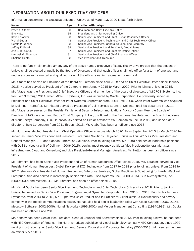# **INFORMATION ABOUT OUR EXECUTIVE OFFICERS**

Information concerning the executive officers of Unisys as of March 13, 2020 is set forth below.

| Name               | Age | <b>Position with Unisys</b>                                     |  |
|--------------------|-----|-----------------------------------------------------------------|--|
| Peter A. Altabef   | 60  | Chairman and Chief Executive Officer                            |  |
| Eric Hutto         | 55  | President and Chief Operating Officer                           |  |
| Katie Ebrahimi     | 50  | Senior Vice President and Chief Human Resources Officer         |  |
| Vishal Gupta       | 48  | Senior Vice President, Technology, and Chief Technology Officer |  |
| Gerald P. Kenney   | 68  | Senior Vice President, General Counsel and Secretary            |  |
| Jeffrey E. Renzi   | 59  | Senior Vice President and President, Global Sales               |  |
| Ann S. Ruckstuhl   | 57  | Senior Vice President and Chief Marketing Officer               |  |
| Michael M. Thomson | 51  | Senior Vice President and Chief Financial Officer               |  |
| Shalabh Gupta      | 58  | Vice President and Treasurer                                    |  |

There is no family relationship among any of the above-named executive officers. The By-Laws provide that the officers of Unisys shall be elected annually by the Board of Directors and that each officer shall hold office for a term of one year and until a successor is elected and qualified, or until the officer's earlier resignation or removal.

Mr. Altabef has served as Chairman of the Board of Directors since April 2018 and as Chief Executive Officer since January 2015. He also served as President of the Company from January 2015 to March 2020. Prior to joining Unisys in 2015, Mr. Altabef was the President and Chief Executive Officer, and a member of the board of directors, of MICROS Systems, Inc. from 2013 through 2014, when MICROS Systems, Inc. was acquired by Oracle Corporation. He previously served as President and Chief Executive Officer of Perot Systems Corporation from 2004 until 2009, when Perot Systems was acquired by Dell, Inc. Thereafter, Mr. Altabef served as President of Dell Services (a unit of Dell Inc.) until his departure in 2011. Mr. Altabef also serves on the President's National Security Telecommunications Advisory Committee, the Boards of Directors of NiSource Inc. and Petrus Trust Company, L.T.A., the Board of the East West Institute and the Board of Advisors of Merit Energy Company, LLC. He previously served as Senior Advisor to 2M Companies, Inc. in 2012, and served as a director of Belo Corporation from 2011 through 2013. Mr. Altabef has been an officer since 2015.

Mr. Hutto was elected President and Chief Operating Officer effective March 2020. From September 2015 to March 2020 he served as Senior Vice President and President, Enterprise Solutions. He joined Unisys in April 2015 as Vice President and General Manager, U.S. and Canada, Enterprise Solutions. Prior to joining Unisys, Mr. Hutto held senior leadership positions with Dell Services (a unit of Dell Inc.) (2006-2015), serving most recently as Global Vice President/General Manager, Infrastructure, Cloud and Consulting and Vice President/General Manager, Americas. Mr. Hutto has been an officer since 2015.

Ms. Ebrahimi has been Senior Vice President and Chief Human Resources Officer since 2018. Ms. Ebrahimi served as Vice President of Human Resources, Global Delivery at DXC Technology from 2017 to 2018 prior to joining Unisys. From 2015 to 2017, she was Vice President of Human Resources, Enterprise Services, Global Practices & Solutioning for Hewlett-Packard Enterprise. She also served in increasingly senior roles with Cisco Systems, Inc. (2009-2015), Sun Microsystems, Inc. (2000-2009) and McAfee, LLC. Ms. Ebrahimi has been an officer since 2018.

Mr. Vishal Gupta has been Senior Vice President, Technology, and Chief Technology Officer since 2018. Prior to joining Unisys, he served as Senior Vice President, Engineering at Symantec Corporation from 2015 to 2018. Prior to his tenure at Symantec, from 2014 to 2015, Mr. Gupta was Chief Product and IoT Officer for Silent Circle, a cybersecurity and privacy company in the mobile communications space. He has also held senior leadership roles with Cisco Systems (2006-2014), Metasolv Software (2002-2006), Nortel Networks (1996-2002) and Mercer Management Consulting (1994-1996). Mr. Gupta has been an officer since 2018.

Mr. Kenney has been Senior Vice President, General Counsel and Secretary since 2013. Prior to joining Unisys, he had been with NEC Corporation of America, the North American subsidiary of global technology company NEC Corporation, since 1999, serving most recently as Senior Vice President, General Counsel and Corporate Secretary (2004-2013). Mr. Kenney has been an officer since 2013.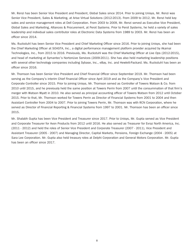Mr. Renzi has been Senior Vice President and President, Global Sales since 2014. Prior to joining Unisys, Mr. Renzi was Senior Vice President, Sales & Marketing, at Arise Virtual Solutions (2012-2013). From 2009 to 2012, Mr. Renzi held key sales and service management roles at Dell Corporation. From 2003 to 2009, Mr. Renzi served as Executive Vice President, Global Sales and Marketing, Alliances & Procurement, at Perot Systems. Prior to Perot Systems, he held a variety of sales leadership and individual sales contributor roles at Electronic Data Systems from 1989 to 2003. Mr. Renzi has been an officer since 2014.

Ms. Ruckstuhl has been Senior Vice President and Chief Marketing Officer since 2016. Prior to joining Unisys, she had been the Chief Marketing Officer at SOASTA, Inc., a digital performance management platform provider acquired by Akamai Technologies, Inc., from 2015 to 2016. Previously, Ms. Ruckstuhl was the Chief Marketing Officer at Live Ops (2012-2015), and head of marketing at Symantec's NortonLive Services (2009-2011). She has also held marketing leadership positions with several other technology companies including Sybase, Inc., eBay, Inc. and Hewlett-Packard. Ms. Ruckstuhl has been an officer since 2016.

Mr. Thomson has been Senior Vice President and Chief Financial Officer since September 2019. Mr. Thomson had been serving as the Company's interim Chief Financial Officer since April 2019 and as the Company's Vice President and Corporate Controller since 2015. Prior to joining Unisys, Mr. Thomson served as Controller of Towers Watson & Co. from 2010 until 2015, and he previously held the same position at Towers Perrin from 2007 until the consummation of that firm's merger with Watson Wyatt in 2010. He also served as principal accounting officer of Towers Watson from 2012 until October 2015. Prior to that, Mr. Thomson worked for Towers Perrin as Director of Financial Systems from 2001 to 2004 and then Assistant Controller from 2004 to 2007. Prior to joining Towers Perrin, Mr. Thomson was with RCN Corporation, where he served as Director of Financial Reporting & Financial Systems from 1997 to 2001. Mr. Thomson has been an officer since 2015.

Mr. Shalabh Gupta has been Vice President and Treasurer since 2017. Prior to Unisys, Mr. Gupta served as Vice President and Corporate Treasurer for Avon Products from 2012 until 2016. He also served as Treasurer for Evraz North America, Inc. (2011 - 2012) and held the roles of Senior Vice President and Corporate Treasurer (2007 - 2011), Vice President and Assistant Treasurer (2005 - 2007) and Managing Director, Capital Markets, Pensions, Foreign Exchange (2004 - 2005) at Sara Lee Corporation. Mr. Gupta also held treasury roles at Delphi Corporation and General Motors Corporation. Mr. Gupta has been an officer since 2017.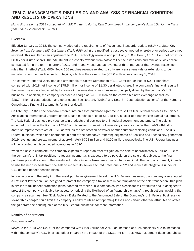### **ITEM 7. MANAGEMENT'S DISCUSSION AND ANALYSIS OF FINANCIAL CONDITION AND RESULTS OF OPERATIONS**

*(For a discussion of 2018 compared with 2017, refer to Part II, Item 7 contained in the company's Form 10-K for the fiscal year ended December 31, 2018.)*

#### **Overview**

Effective January 1, 2018, the company adopted the requirements of Accounting Standards Update (ASU) No. 2014-09, *Revenue from Contracts with Customers (Topic 606)* using the modified retrospective method whereby prior periods were not restated. This resulted in an adjustment to 2018 Technology revenue and profit of \$53.0 million (\$47.7 million, net of tax, or \$0.65 per diluted share). The adjustment represents revenue from software license extensions and renewals, which were contracted for in the fourth quarter of 2017 and properly recorded as revenue at that time under the revenue recognition rules then in effect (Topic 605). Topic 606 requires revenue related to software license renewals or extensions to be recorded when the new license term begins, which in the case of the \$53.0 million, was January 1, 2018.

The company reported 2019 net loss attributable to Unisys Corporation of \$17.2 million, or loss of \$0.31 per share, compared with 2018 net income of \$75.5 million, or income of \$1.30 per diluted share. The company's financial results in the current year were impacted by increases in revenue due to new business principally driven by the company's U.S. business. In addition, the company recorded a charge of \$20.1 million on the convertible note exchange as well as \$28.7 million of cost-reduction and other costs. See Note 14, "Debt," and Note 3, "Cost-reduction actions," of the Notes to Consolidated Financial Statements for further detail.

On February 5, 2020, the company entered into an asset purchase agreement to sell its U.S. Federal business to Science Applications International Corporation for a cash purchase price of \$1.2 billion, subject to a net working capital adjustment. The U.S. Federal business provides certain products and services to U.S. federal government customers. The sale is expected to close in the first half of 2020 and is subject to receipt of regulatory clearance under the Hart-Scott-Rodino Antitrust Improvements Act of 1976 as well as the satisfaction or waiver of other customary closing conditions. The U.S. Federal business, which has operations in both of the company's reporting segments of Services and Technology, generated 2019 revenue and pre-tax income of approximately \$725 million and \$100 million, respectively. The U.S. Federal business will be reported as discontinued operations in 2020.

When the sale is complete, the company expects to report an after-tax gain on the sale of approximately \$1 billion. Due to the company's U.S. tax position, no federal income tax is expected to be payable on the sale and, subject to the final purchase price allocation to the assets sold, state income taxes are expected to be minimal. The company primarily intends to use the net proceeds from the sale to redeem its senior secured notes due 2022 and reduce its obligations under its U.S. defined benefit pension plans.

In connection with the entry into the asset purchase agreement to sell the U.S. Federal business, the company also adopted a Tax Asset Protection Plan designed to protect the company's tax assets in contemplation of the sale transaction. This plan is similar to tax benefit protection plans adopted by other public companies with significant tax attributes and is designed to protect the company's valuable tax assets by reducing the likelihood of an "ownership change" through actions involving the company's securities. See "Risk Factors - Risks Related to the Announced Sale of the Company's U.S. Federal Business - An 'ownership change' could limit the company's ability to utilize net operating losses and certain other tax attributes to offset the gain from the pending sale of the U.S. Federal business" for more information.

#### **Results of operations**

#### *Company results*

Revenue for 2019 was \$2.95 billion compared with \$2.83 billion for 2018, an increase of 4.4% principally due to increases within the company's U.S. business offset in part by the impact of the \$53.0 million Topic 606 adjustment described above.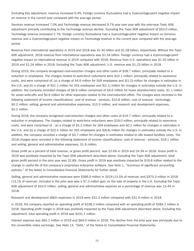Excluding this adjustment, revenue increased 6.4%. Foreign currency fluctuations had a 3-percentage-point negative impact on revenue in the current year compared with the year-ago period.

Services revenue increased 7.0% and Technology revenue decreased 9.7% year over year with the prior-year Topic 606 adjustment primarily contributing to the Technology revenue decline. Excluding the Topic 606 adjustment of \$53.0 million, Technology revenue increased 2.7%. Foreign currency fluctuations had a 3-percentage-point negative impact on Services revenue and a 3-percentage-point negative impact on Technology revenue in the current year compared with the year-ago period.

Revenue from international operations in 2019 and 2018 was \$1.40 billion and \$1.59 billion, respectively. Without the Topic 606 adjustment, 2018 revenue from international operations was \$1.54 billion. Foreign currency had a 4-percentage-point negative impact on international revenue in 2019 compared with 2018. Revenue from U.S. operations was \$1.55 billion in 2019 and \$1.24 billion in 2018. Excluding the Topic 606 adjustment, U.S. revenue was \$1.23 billion in 2018.

During 2019, the company recognized cost-reduction charges and other costs of \$28.7 million, principally related to a reduction in employees. The charges related to work-force reductions were \$22.1 million, principally related to severance costs, and were comprised of: (a) a charge of \$4.6 million for 509 employees and \$(1.5) million for changes in estimates in the U.S. and (b) a charge of \$21.1 million for 255 employees and \$(2.1) million for changes in estimates outside the U.S. In addition, the company recorded charges of \$6.6 million comprised of \$4.6 million for lease abandonment costs, \$1.1 million for asset write-offs and \$0.9 million for other expenses related to the cost-reduction effort. The charges were recorded in the following statement of income classifications: cost of revenue - services, \$10.8 million; cost of revenue - technology, \$0.2 million; selling, general and administrative expenses, \$15.5 million; and research and development expenses, \$2.2 million.

During 2018, the company recognized cost-reduction charges and other costs of \$19.7 million, principally related to a reduction in employees. The charges related to work-force reductions were \$19.0 million, principally related to severance costs, and were comprised of : (a) a charge of \$5.2 million for 264 employees and \$0.1 million for changes in estimates in the U.S. and (b) a charge of \$22.5 million for 325 employees and \$(8.8) million for changes in estimates outside the U.S. In addition, the company recorded a charge of \$0.7 million for changes in estimates related to idle leased facilities costs. The 2018 charges were recorded in the following statement of income classifications: cost of revenue - services, \$18.1 million and selling, general and administrative expenses, \$1.6 million.

Gross profit as a percent of total revenue, or gross profit percent, was 22.6% in 2019 and 24.3% in 2018. Gross profit in 2018 was positively impacted by the Topic 606 adjustment described above. Excluding the Topic 606 adjustment, total gross profit percent in the prior year was 22.8%. Gross profit in 2019 was positively impacted by \$19.8 million related to the change in useful life of the company's proprietary enterprise software. See Note 1, "Summary of significant accounting policies," of the Notes to Consolidated Financial Statements for further detail.

Selling, general and administrative expenses were \$396.9 million in 2019 (13.5% of revenue) and \$370.3 million in 2018 (13.1% of revenue). Included in the prior year was a \$7.3 million gain on the sale of property in the U.K. Excluding the Topic 606 adjustment of \$53.0 million, selling, general and administrative expense as a percentage of revenue was 13.4% in 2018.

Research and development (R&D) expenses in 2019 were \$31.3 million compared with \$31.9 million in 2018.

In 2019, the company reported an operating profit of \$238.2 million compared with an operating profit of \$284.1 million in 2018. Operating profit margin in 2018 was positively impacted by the Topic 606 adjustment described above. Excluding this adjustment, total operating profit in 2018 was \$231.1 million.

Interest expense was \$62.1 million in 2019 and \$64.0 million in 2018. The decline from the prior year was principally due to the convertible notes exchange. See Note 14, "Debt," of the Notes to Consolidated Financial Statements.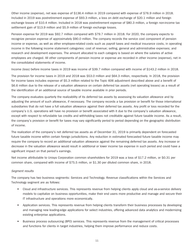Other income (expense), net was expense of \$136.4 million in 2019 compared with expense of \$76.9 million in 2018. Included in 2019 was postretirement expense of \$93.3 million, a loss on debt exchange of \$20.1 million and foreign exchange losses of \$10.4 million. Included in 2018 was postretirement expense of \$80.3 million, a foreign non-income tax settlement gain of \$13.9 million and \$5.9 million of foreign exchange losses.

Pension expense for 2019 was \$92.7 million compared with \$79.7 million in 2018. For 2020, the company expects to recognize pension expense of approximately \$90.0 million. The company records the service cost component of pension income or expense, as well as other employee-related costs such as payroll taxes and medical insurance costs, in operating income in the following income statement categories: cost of revenue; selling, general and administrative expenses; and research and development expenses. The amount allocated to each category is based on where the salaries of active employees are charged. All other components of pension income or expense are recorded in other income (expense), net in the consolidated statements of income.

Income (loss) before income taxes in 2019 was income of \$39.7 million compared with income of \$143.2 million in 2018.

The provision for income taxes in 2019 and 2018 was \$53.0 million and \$64.3 million, respectively. In 2018, the provision for income taxes includes expense of \$5.3 million related to the Topic 606 adjustment described above and a benefit of \$6.6 million due to the release of a valuation allowance on certain deferred tax assets (net operating losses) as a result of the identification of an additional source of taxable income available in prior periods.

The company evaluates quarterly the realizability of its deferred tax assets by assessing its valuation allowance and by adjusting the amount of such allowance, if necessary. The company records a tax provision or benefit for those international subsidiaries that do not have a full valuation allowance against their deferred tax assets. Any profit or loss recorded for the company's U.S. operations will have no provision or benefit associated with it due to the company's valuation allowance, except with respect to refundable tax credits and withholding taxes not creditable against future taxable income. As a result, the company's provision or benefit for taxes may vary significantly period to period depending on the geographic distribution of income.

The realization of the company's net deferred tax assets as of December 31, 2019 is primarily dependent on forecasted future taxable income within certain foreign jurisdictions. Any reduction in estimated forecasted future taxable income may require the company to record an additional valuation allowance against the remaining deferred tax assets. Any increase or decrease in the valuation allowance would result in additional or lower income tax expense in such period and could have a significant impact on that period's earnings.

Net income attributable to Unisys Corporation common shareholders for 2019 was a loss of \$17.2 million, or \$0.31 per common share, compared with income of \$75.5 million, or \$1.30 per diluted common share, in 2018.

#### *Segment results*

The company has two business segments: Services and Technology. Revenue classifications within the Services and Technology segment are as follows:

- Cloud and infrastructure services. This represents revenue from helping clients apply cloud and as-a-service delivery models to capitalize on business opportunities, make their end users more productive and manage and secure their IT infrastructure and operations more economically.
- Application services. This represents revenue from helping clients transform their business processes by developing and managing new leading-edge applications for select industries, offering advanced data analytics and modernizing existing enterprise applications.
- Business process outsourcing (BPO) services. This represents revenue from the management of critical processes and functions for clients in target industries, helping them improve performance and reduce costs.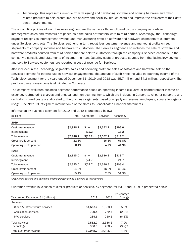• Technology. This represents revenue from designing and developing software and offering hardware and other related products to help clients improve security and flexibility, reduce costs and improve the efficiency of their datacenter environments.

The accounting policies of each business segment are the same as those followed by the company as a whole. Intersegment sales and transfers are priced as if the sales or transfers were to third parties. Accordingly, the Technology segment recognizes intersegment revenue and manufacturing profit on software and hardware shipments to customers under Services contracts. The Services segment, in turn, recognizes customer revenue and marketing profits on such shipments of company software and hardware to customers. The Services segment also includes the sale of software and hardware products sourced from third parties that are sold to customers through the company's Services channels. In the company's consolidated statements of income, the manufacturing costs of products sourced from the Technology segment and sold to Services customers are reported in cost of revenue for Services.

Also included in the Technology segment's sales and operating profit are sales of software and hardware sold to the Services segment for internal use in Services engagements. The amount of such profit included in operating income of the Technology segment for the years ended December 31, 2019 and 2018 was \$5.7 million and \$4.2 million, respectively. The profit on these transactions is eliminated in Corporate.

The company evaluates business segment performance based on operating income exclusive of postretirement income or expense, restructuring charges and unusual and nonrecurring items, which are included in Corporate. All other corporate and centrally incurred costs are allocated to the business segments based principally on revenue, employees, square footage or usage. See Note 19, "Segment information," of the Notes to Consolidated Financial Statements.

| (millions)               | Total     | Corporate                     | <b>Services</b> | Technology |
|--------------------------|-----------|-------------------------------|-----------------|------------|
| 2019                     |           |                               |                 |            |
| Customer revenue         | \$2,948.7 | Ŝ<br>$\overline{\phantom{0}}$ | \$2,552.7       | \$396.0    |
| Intersegment             |           | (15.2)                        |                 | 15.2       |
| Total revenue            | \$2,948.7 | \$(15.2)                      | \$2,552.7       | \$411.2    |
| Gross profit percent     | 22.6%     |                               | 16.6%           | 61.8%      |
| Operating profit percent | 8.1%      |                               | 4.2%            | 41.9%      |
| 2018                     |           |                               |                 |            |
| Customer revenue         | \$2,825.0 | $S -$                         | \$2,386.3       | \$438.7    |
| Intersegment             |           | (24.7)                        |                 | 24.7       |
| Total revenue            | \$2,825.0 | \$(24.7)                      | \$2,386.3       | \$463.4    |
| Gross profit percent     | 24.3%     |                               | 16.0%           | 69.4%      |
| Operating profit percent | 10.1%     |                               | 2.8%            | 51.3%      |

Information by business segment for 2019 and 2018 is presented below:

*Gross profit percent and operating income percent are as a percent of total revenue.*

Customer revenue by classes of similar products or services, by segment, for 2019 and 2018 is presented below:

| Year ended December 31 (millions)   | 2019             | 2018             | Percentage<br>Change |
|-------------------------------------|------------------|------------------|----------------------|
| Services                            |                  |                  |                      |
| Cloud & infrastructure services     | \$1,567.7        | \$1,363.4        | 15.0%                |
| Application services                | 750.4            | 772.4            | (2.8)%               |
| <b>BPO</b> services                 | 234.6            | 250.5            | (6.3)%               |
| <b>Total Services</b><br>Technology | 2,552.7<br>396.0 | 2,386.3<br>438.7 | 7.0%<br>(9.7)%       |
| Total customer revenue              | \$2,948.7        | \$2,825.0        | 4.4%                 |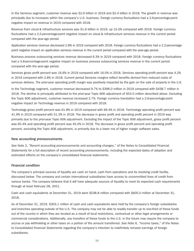In the Services segment, customer revenue was \$2.6 billion in 2019 and \$2.4 billion in 2018. The growth in revenue was principally due to increases within the company's U.S. business. Foreign currency fluctuations had a 2.6-percentage-point negative impact on revenue in 2019 compared with 2018.

Revenue from cloud & infrastructure services was \$1.6 billion in 2019, up 15.0% compared with 2018. Foreign currency fluctuations had a 2.5-percentage-point negative impact on cloud & infrastructure services revenue in the current period compared with the year-ago period.

Application services revenue decreased 2.8% in 2019 compared with 2018. Foreign currency fluctuations had a 2.2-percentagepoint negative impact on application services revenue in the current period compared with the year-ago period.

Business process outsourcing services revenue decreased 6.3% in 2019 compared with 2018. Foreign currency fluctuations had a 3.8-percentage-point negative impact on business process outsourcing services revenue in the current period compared with the year-ago period.

Services gross profit percent was 16.6% in 2019 compared with 16.0% in 2018. Services operating profit percent was 4.2% in 2019 compared with 2.8% in 2018. Current period Services margins reflect benefits derived from reduced costs of services delivery. The prior-year operating profit margin was positively impacted by the gain on the sale of property in the U.K.

In the Technology segment, customer revenue decreased 9.7% to \$396.0 million in 2019 compared with \$438.7 million in 2018. The decline is principally attributed to the prior-year Topic 606 adjustment of \$53.0 million described above. Excluding the Topic 606 adjustment, customer revenue increased 2.7%. Foreign currency translation had a 2.6-percentage-point negative impact on Technology revenue in 2019 compared with 2018.

Technology gross profit percent was 61.8% in 2019 compared with 69.4% in 2018. Technology operating profit percent was 41.9% in 2019 compared with 51.3% in 2018. The decrease in gross profit and operating profit percent in 2019 was primarily due to the prior-year Topic 606 adjustment. Excluding the impact of the Topic 606 adjustment, gross profit percent was 65.4% and operating profit percent was 45.0% in 2018. The decrease in gross profit percent and operating profit percent, excluding the Topic 606 adjustment, is primarily due to a lower mix of higher margin software sales.

#### **New accounting pronouncements**

See Note 2, "Recent accounting pronouncements and accounting changes," of the Notes to Consolidated Financial Statements for a full description of recent accounting pronouncements, including the expected dates of adoption and estimated effects on the company's consolidated financial statements.

#### **Financial condition**

The company's principal sources of liquidity are cash on hand, cash from operations and its revolving credit facility, discussed below. The company and certain international subsidiaries have access to uncommitted lines of credit from various banks. The company believes that it will have adequate sources of liquidity to meet its expected cash requirements through at least February 28, 2021.

Cash and cash equivalents at December 31, 2019 were \$538.8 million compared with \$605.0 million at December 31, 2018.

As of December 31, 2019, \$303.1 million of cash and cash equivalents were held by the company's foreign subsidiaries and branches operating outside of the U.S. The company may not be able to readily transfer up to one-third of these funds out of the country in which they are located as a result of local restrictions, contractual or other legal arrangements or commercial considerations. Additionally, any transfers of these funds to the U.S. in the future may require the company to accrue or pay withholding or other taxes on a portion of the amount transferred. See Note 6, "Income taxes," of the Notes to Consolidated Financial Statements regarding the company's intention to indefinitely reinvest earnings of foreign subsidiaries.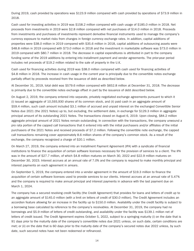During 2019, cash provided by operations was \$123.9 million compared with cash provided by operations of \$73.9 million in 2018.

Cash used for investing activities in 2019 was \$158.2 million compared with cash usage of \$185.0 million in 2018. Net proceeds from investments in 2019 were \$2.8 million compared with net purchases of \$14.0 million in 2018. Proceeds from investments and purchases of investments represent derivative financial instruments used to manage the company's currency exposure to market risks from changes in foreign currency exchange rates. In addition, capital additions of properties were \$38.0 million in 2019 compared with \$35.6 million in 2018, capital additions of outsourcing assets were \$48.8 million in 2019 compared with \$73.0 million in 2018 and the investment in marketable software was \$73.0 million in 2019 compared with \$80.7 million in 2018. The decrease in capital expenditures is attributed in part to the company funding some of the 2019 additions by entering into installment payment and vendor agreements. The prior-year period includes net proceeds of \$19.2 million related to the sale of property in the U.K.

Cash used for financing activities during 2019 was \$38.0 million compared with cash used for financing activities of \$4.8 million in 2018. The increase in cash usage in the current year is principally due to the convertible notes exchange partially offset by proceeds received from the issuance of debt as described below.

At December 31, 2019, total debt was \$579.6 million compared with \$652.8 million at December 31, 2018. The decrease is primarily due to the convertible notes exchange offset in part by the issuance of debt described below.

On August 2, 2019, the company entered into separate, privately negotiated exchange agreements pursuant to which it (i) issued an aggregate of 10,593,930 shares of its common stock, and (ii) paid cash in an aggregate amount of \$59.4 million, such cash amount included \$3.1 million of accrued and unpaid interest on the exchanged Convertible Senior Notes due 2021 (the 2021 Notes) up to, but excluding, the settlement date, in exchange for \$129.3 million in aggregate principal amount of its outstanding 2021 Notes. The transactions closed on August 6, 2019. Upon closing, \$84.2 million aggregate principal amount of 2021 Notes remain outstanding. In connection with the transactions, the company unwound a pro rata portion of the capped call transactions that it entered into with the initial purchasers and/or affiliates of the initial purchasers of the 2021 Notes and received proceeds of \$7.2 million. Following the convertible note exchange, the capped call transactions remaining cover approximately 8.6 million shares of the company's common stock. As a result of the exchange, the company recognized a charge of \$20.1 million.

On March 27, 2019, the company entered into an Installment Payment Agreement (IPA) with a syndicate of financial institutions to finance the acquisition of certain software licenses necessary for the provision of services to a client. The IPA was in the amount of \$27.7 million, of which \$4.8 million matures on March 30, 2022 and \$22.9 million matures on December 30, 2023. Interest accrues at an annual rate of 7.0% and the company is required to make monthly principal and interest payments on each agreement in arrears.

On September 5, 2019, the company entered into a vendor agreement in the amount of \$19.3 million to finance the acquisition of certain software licenses used to provide services to our clients. Interest accrues at an annual rate of 5.47% and the company is required to make annual principal and interest payments in advance with the last payment due on March 1, 2024.

The company has a secured revolving credit facility (the Credit Agreement) that provides for loans and letters of credit up to an aggregate amount of \$145.0 million (with a limit on letters of credit of \$30.0 million). The Credit Agreement includes an accordion feature allowing for an increase in the facility up to \$150.0 million. Availability under the credit facility is subject to a borrowing base calculated by reference to the company's receivables. At December 31, 2019, the company had no borrowings and \$5.9 million of letters of credit outstanding, and availability under the facility was \$139.1 million net of letters of credit issued. The Credit Agreement expires October 5, 2022, subject to a springing maturity (i) on the date that is 91 days prior to the maturity date of the company's convertible notes due 2021 unless, on such date, certain conditions are met; or (ii) on the date that is 60 days prior to the maturity date of the company's secured notes due 2022 unless, by such date, such secured notes have not been redeemed or refinanced.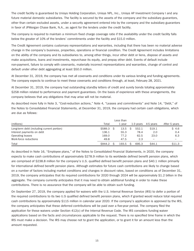The credit facility is guaranteed by Unisys Holding Corporation, Unisys NPL, Inc., Unisys AP Investment Company I and any future material domestic subsidiaries. The facility is secured by the assets of the company and the subsidiary guarantors, other than certain excluded assets, under a security agreement entered into by the company and the subsidiary guarantors in favor of JPMorgan Chase Bank, N.A., as agent for the lenders under the credit facility.

The company is required to maintain a minimum fixed charge coverage ratio if the availability under the credit facility falls below the greater of 10% of the lenders' commitments under the facility and \$15.0 million.

The Credit Agreement contains customary representations and warranties, including that there has been no material adverse change in the company's business, properties, operations or financial condition. The Credit Agreement includes limitations on the ability of the company and its subsidiaries to, among other things, incur other debt or liens, dispose of assets and make acquisitions, loans and investments, repurchase its equity, and prepay other debt. Events of default include non-payment, failure to comply with covenants, materially incorrect representations and warranties, change of control and default under other debt aggregating at least \$50.0 million.

At December 31, 2019, the company has met all covenants and conditions under its various lending and funding agreements. The company expects to continue to meet these covenants and conditions through, at least, February 28, 2021.

At December 31, 2019, the company had outstanding standby letters of credit and surety bonds totaling approximately \$258 million related to performance and payment guarantees. On the basis of experience with these arrangements, the company believes that any obligations that may arise will not be material.

As described more fully in Note 3, "Cost-reduction actions," Note 4, "Leases and commitments" and Note 14, "Debt," of the Notes to Consolidated Financial Statements, at December 31, 2019, the company had certain cash obligations, which are due as follows:

|                                            |         | Less than |           |                   |               |
|--------------------------------------------|---------|-----------|-----------|-------------------|---------------|
| (millions)                                 | Total   | 1 vear    | 1-3 vears | 4-5 vears         | After 5 years |
| Long-term debt (including current portion) | \$589.3 | 13.5      | 552.1     | S <sub>19.1</sub> | \$4.6         |
| Interest payments on debt                  | 136.1   | 55.3      | 78.4      | 2.0               | 0.4           |
| Operating leases                           | 169.0   | 77.2      | 62.5      | 23.0              | 6.3           |
| Work-force reductions                      | 49.8    | 47.5      | 2.3       | -                 |               |
| Total                                      | \$944.2 | 193.5     | 695.3     | <b>S44.1</b>      | S11.3         |

As described in Note 16, "Employee plans," of the Notes to Consolidated Financial Statements, in 2020, the company expects to make cash contributions of approximately \$278.9 million to its worldwide defined benefit pension plans, which are comprised of \$238.8 million for the company's U.S. qualified defined benefit pension plans and \$40.1 million primarily for international defined benefit pension plans. Although estimates for future cash contributions are likely to change based on a number of factors including market conditions and changes in discount rates, based on conditions as of December 31, 2019, the company anticipates that its required contributions for 2020 through 2024 will be approximately \$1.2 billion in the aggregate. The company currently anticipates that it may need to obtain additional funding in order to make these contributions. There is no assurance that the company will be able to obtain such funding.

On September 27, 2019, the company applied for waivers with the U.S. Internal Revenue Service (IRS) to defer a portion of the required contributions to its two U.S qualified defined benefit pension plans, which if granted would reduce total required cash contributions by approximately \$115 million in calendar year 2020. If the company's application is approved by the IRS, the company anticipates that these deferred contributions will be paid over a five-year period. The company filed the application for these waivers under Section 412(c) of the Internal Revenue Code. The IRS considers funding waiver applications based on the facts and circumstances applicable to the request. There is no specified time frame in which the IRS must make a decision. The IRS may choose not to grant the application, or to grant it for an amount less than the amount requested.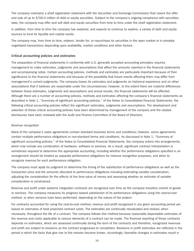The company maintains a shelf registration statement with the Securities and Exchange Commission that covers the offer and sale of up to \$700.0 million of debt or equity securities. Subject to the company's ongoing compliance with securities laws, the company may offer and sell debt and equity securities from time to time under the shelf registration statement.

In addition, from time to time the company has explored, and expects to continue to explore, a variety of debt and equity sources to fund its liquidity and capital needs.

The company may, from time to time, redeem, tender for, or repurchase its securities in the open market or in privately negotiated transactions depending upon availability, market conditions and other factors.

#### **Critical accounting policies and estimates**

The preparation of financial statements in conformity with U.S. generally accepted accounting principles requires management to make estimates, judgments and assumptions that affect the amounts reported in the financial statements and accompanying notes. Certain accounting policies, methods and estimates are particularly important because of their significance to the financial statements and because of the possibility that future events affecting them may differ from management's current judgments. The company bases its estimates and judgments on historical experience and on other assumptions that it believes are reasonable under the circumstances; however, to the extent there are material differences between these estimates, judgments and assumptions and actual results, the financial statements will be affected. Although there are a number of accounting policies, methods and estimates affecting the company's financial statements as described in Note 1, "Summary of significant accounting policies," of the Notes to Consolidated Financial Statements, the following critical accounting policies reflect the significant estimates, judgments and assumptions. The development and selection of these critical accounting policies have been determined by management of the company and the related disclosures have been reviewed with the Audit and Finance Committee of the Board of Directors.

#### *Revenue recognition*

Many of the company's sales agreements contain standard business terms and conditions; however, some agreements contain multiple performance obligations or non-standard terms and conditions. As discussed in Note 1, "Summary of significant accounting policies," of the Notes to Consolidated Financial Statements, the company enters into arrangements, which may include any combination of hardware, software or services. As a result, significant contract interpretation is sometimes required to determine the appropriate accounting, including whether the performance obligations specified in an arrangement should be treated as separate performance obligations for revenue recognition purposes, and when to recognize revenue for each performance obligation.

The company must apply its judgment to determine the timing of the satisfaction of performance obligations as well as the transaction price and the amounts allocated to performance obligations including estimating variable consideration, adjusting the consideration for the effects of the time value of money and assessing whether an estimate of variable consideration is constrained.

Revenue and profit under systems integration contracts are recognized over time as the company transfers control of goods or services. The company measures its progress toward satisfaction of its performance obligations using the cost-to-cost method, or when services have been performed, depending on the nature of the project.

For contracts accounted for using the cost-to-cost method, revenue and profit recognized in any given accounting period are based on estimates of total projected contract costs. The estimates are continually reevaluated and revised, when necessary, throughout the life of a contract. The company follows this method because reasonably dependable estimates of the revenue and costs applicable to various elements of a contract can be made. The financial reporting of these contracts depends on estimates, which are assessed continually during the term of the contracts and therefore, recognized revenues and profit are subject to revisions as the contract progresses to completion. Revisions in profit estimates are reflected in the period in which the facts that give rise to the revision become known. Accordingly, favorable changes in estimates result in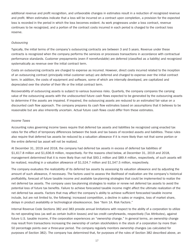additional revenue and profit recognition, and unfavorable changes in estimates result in a reduction of recognized revenue and profit. When estimates indicate that a loss will be incurred on a contract upon completion, a provision for the expected loss is recorded in the period in which the loss becomes evident. As work progresses under a loss contract, revenue continues to be recognized, and a portion of the contract costs incurred in each period is charged to the contract loss reserve.

#### *Outsourcing*

Typically, the initial terms of the company's outsourcing contracts are between 3 and 5 years. Revenue under these contracts is recognized when the company performs the services or processes transactions in accordance with contractual performance standards. Customer prepayments (even if nonrefundable) are deferred (classified as a liability) and recognized systematically as revenue over the initial contract term.

Costs on outsourcing contracts are charged to expense as incurred. However, direct costs incurred related to the inception of an outsourcing contract (principally initial customer setup) are deferred and charged to expense over the initial contract term. In addition, the costs of equipment and software, some of which are internally developed, are capitalized and depreciated over the shorter of their life or the initial contract term.

Recoverability of outsourcing assets is subject to various business risks. Quarterly, the company compares the carrying value of the outsourcing assets with the undiscounted future cash flows expected to be generated by the outsourcing assets to determine if the assets are impaired. If impaired, the outsourcing assets are reduced to an estimated fair value on a discounted cash flow approach. The company prepares its cash flow estimates based on assumptions that it believes to be reasonable but are also inherently uncertain. Actual future cash flows could differ from these estimates.

#### *Income Taxes*

Accounting rules governing income taxes require that deferred tax assets and liabilities be recognized using enacted tax rates for the effect of temporary differences between the book and tax bases of recorded assets and liabilities. These rules also require that deferred tax assets be reduced by a valuation allowance if it is more likely than not that some portion or the entire deferred tax asset will not be realized.

At December 31, 2019 and 2018, the company had deferred tax assets in excess of deferred tax liabilities of \$1,617.8 million and \$1,636.9 million, respectively. For the reasons cited below, at December 31, 2019 and 2018, management determined that it is more likely than not that \$93.1 million and \$89.4 million, respectively, of such assets will be realized, resulting in a valuation allowance of \$1,524.7 million and \$1,547.5 million, respectively.

The company evaluates the realizability of its deferred tax assets by assessing its valuation allowance and by adjusting the amount of such allowance, if necessary. The factors used to assess the likelihood of realization are the company's historical profitability, forecast of future taxable income and available tax-planning strategies that could be implemented to realize the net deferred tax assets. The company uses tax-planning strategies to realize or renew net deferred tax assets to avoid the potential loss of future tax benefits. Failure to achieve forecasted taxable income might affect the ultimate realization of the net deferred tax assets. Factors that may affect the company's ability to achieve sufficient forecasted taxable income include, but are not limited to, the following: increased competition, a decline in sales or margins, loss of market share, delays in product availability or technological obsolescence. See "Item 1A. Risk Factors."

Internal Revenue Code Sections 382 and 383 provide annual limitations with respect to the ability of a corporation to utilize its net operating loss (as well as certain built-in losses) and tax credit carryforwards, respectively (Tax Attributes), against future U.S. taxable income, if the corporation experiences an "ownership change." In general terms, an ownership change may result from transactions increasing the ownership of certain stockholders in the stock of a corporation by more than 50 percentage points over a three-year period. The company regularly monitors ownership changes (as calculated for purposes of Section 382). The company has determined that, for purposes of the rules of Section 382 described above, an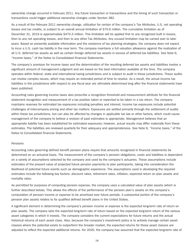ownership change occurred in February 2011. Any future transaction or transactions and the timing of such transaction or transactions could trigger additional ownership changes under Section 382.

As a result of the February 2011 ownership change, utilization for certain of the company's Tax Attributes, U.S. net operating losses and tax credits, is subject to an overall annual limitation of \$70.6 million. The cumulative limitation as of December 31, 2019 is approximately \$470.3 million. This limitation will be applied first to any recognized built in losses, then to any net operating losses, and then to any other Tax Attributes. Any unused limitation may be carried over to later years. Based on presently available information and the existence of tax planning strategies, the company does not expect to incur a U.S. cash tax liability in the near term. The company maintains a full valuation allowance against the realization of all U.S. deferred tax assets as well as certain foreign deferred tax assets in excess of deferred tax liabilities. See Note 6, "Income taxes," of the Notes to Consolidated Financial Statements.

The company's provision for income taxes and the determination of the resulting deferred tax assets and liabilities involve a significant amount of management judgment and are based on the best information available at the time. The company operates within federal, state and international taxing jurisdictions and is subject to audit in these jurisdictions. These audits can involve complex issues, which may require an extended period of time to resolve. As a result, the actual income tax liabilities in the jurisdictions with respect to any fiscal year are ultimately determined long after the financial statements have been published.

Accounting rules governing income taxes also prescribe a recognition threshold and measurement attribute for the financial statement recognition and measurement of a tax position taken or expected to be taken in a tax return. The company maintains reserves for estimated tax exposures including penalties and interest. Income tax exposures include potential challenges of intercompany pricing and other tax matters. Exposures are settled primarily through the settlement of audits within these tax jurisdictions, but can also be affected by changes in applicable tax law or other factors, which could cause management of the company to believe a revision of past estimates is appropriate. Management believes that an appropriate liability has been established for estimated exposures; however, actual results may differ materially from these estimates. The liabilities are reviewed quarterly for their adequacy and appropriateness. See Note 6, "Income taxes," of the Notes to Consolidated Financial Statements.

#### *Pensions*

Accounting rules governing defined benefit pension plans require that amounts recognized in financial statements be determined on an actuarial basis. The measurement of the company's pension obligations, costs and liabilities is dependent on a variety of assumptions selected by the company and used by the company's actuaries. These assumptions include estimates of the present value of projected future pension payments to plan participants, taking into consideration the likelihood of potential future events such as demographic experience. The assumptions used in developing the required estimates include the following key factors: discount rates, retirement rates, inflation, expected return on plan assets and mortality rates.

As permitted for purposes of computing pension expense, the company uses a calculated value of plan assets (which is further described below). This allows the effects of the performance of the pension plan's assets on the company's computation of pension income or expense to be amortized over future periods. A substantial portion of the company's pension plan assets relates to its qualified defined benefit plans in the United States.

A significant element in determining the company's pension income or expense is the expected long-term rate of return on plan assets. The company sets the expected long-term rate of return based on the expected long-term return of the various asset categories in which it invests. The company considers the current expectations for future returns and the actual historical returns of each asset class. Also, because the company's investment policy is to actively manage certain asset classes where the potential exists to outperform the broader market, the expected returns for those asset classes are adjusted to reflect the expected additional returns. For 2020, the company has assumed that the expected long-term rate of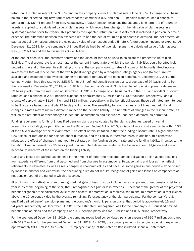return on U.S. plan assets will be 6.50%, and on the company's non-U.S. plan assets will be 3.50%. A change of 25 basis points in the expected long-term rate of return for the company's U.S. and non-U.S. pension plans causes a change of approximately \$8 million and \$7 million, respectively, in 2020 pension expense. The assumed long-term rate of return on assets is applied to a calculated value of plan assets, which recognizes changes in the fair value of plan assets in a systematic manner over four years. This produces the expected return on plan assets that is included in pension income or expense. The difference between this expected return and the actual return on plan assets is deferred. The net deferral of past asset gains or losses affects the calculated value of plan assets and, ultimately, future pension income or expense. At December 31, 2019, for the company's U.S. qualified defined benefit pension plans, the calculated value of plan assets was \$3.33 billion and the fair value was \$3.28 billion.

At the end of each year, the company determines the discount rate to be used to calculate the present value of plan liabilities. The discount rate is an estimate of the current interest rate at which the pension liabilities could be effectively settled at the end of the year. In estimating this rate, the company looks to rates of return on high-quality, fixed-income investments that (a) receive one of the two highest ratings given by a recognized ratings agency and (b) are currently available and expected to be available during the period to maturity of the pension benefits. At December 31, 2019, the company determined this rate to be 3.53% for its U.S. defined benefit pension plans, a decrease of 97 basis points from the rate used at December 31, 2018, and 1.82% for the company's non-U.S. defined benefit pension plans, a decrease of 73 basis points from the rate used at December 31, 2018. A change of 25 basis points in the U.S. and non-U.S. discount rates causes a change in 2020 pension expense of approximately \$2 million and \$400 thousand, respectively, and a change of approximately \$114 million and \$123 million, respectively, in the benefit obligation. These estimates are intended to be illustrative based on a single 25 basis point change. The sensitivity to rate changes is not linear and additional changes in rates may result in a different impact on the pension liability. The net effect of changes in the discount rate, as well as the net effect of other changes in actuarial assumptions and experience, has been deferred, as permitted.

Funding requirements for its U.S. qualified pension plans are calculated by the plan's actuaries based on certain assumptions including, as permitted under the Bi-partisan Budget Act of 2015, a discount rate constrained to be within 10% of the 25-year average of the relevant rates. The effect of this limitation is that the funding discount rate is higher than the GAAP discount rate applied for balance sheet purposes, and the liability is therefore lower. In addition, this constraint mitigates the effect of changes in market interest rates on the funding discount rate and the funding liability. Changes to the benefit obligation caused by a 25 basis point change noted above are related to the balance sheet obligation and are not necessarily indicative of the impact on the funding liability.

Gains and losses are defined as changes in the amount of either the projected benefit obligation or plan assets resulting from experience different from that assumed and from changes in assumptions. Because gains and losses may reflect refinements in estimates as well as real changes in economic values and because some gains in one period may be offset by losses in another and vice versa, the accounting rules do not require recognition of gains and losses as components of net pension cost of the period in which they arise.

At a minimum, amortization of an unrecognized net gain or loss must be included as a component of net pension cost for a year if, as of the beginning of the year, that unrecognized net gain or loss exceeds 10 percent of the greater of the projected benefit obligation or the calculated value of plan assets. If amortization is required, the minimum amortization is that excess above the 10 percent divided by the average remaining life expectancy of the plan participants. For the company's U.S. qualified defined benefit pension plans and the company's non-U.S. pension plans, that period is approximately 16 and 24 years, respectively. At December 31, 2019, the estimated unrecognized loss for the company's U.S. qualified defined benefit pension plans and the company's non-U.S. pension plans was \$2.59 billion and \$0.97 billion, respectively.

For the year ended December 31, 2019, the company recognized consolidated pension expense of \$92.7 million, compared with \$79.7 million for the year ended December 31, 2018. For 2020, the company expects to recognize pension expense of approximately \$90.0 million. See Note 16, "Employee plans," of the Notes to Consolidated Financial Statements.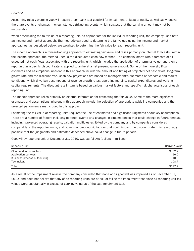#### *Goodwill*

Accounting rules governing goodwill require a company test goodwill for impairment at least annually, as well as whenever there are events or changes in circumstances (triggering events) which suggest that the carrying amount may not be recoverable.

When determining the fair value of a reporting unit, as appropriate for the individual reporting unit, the company uses both an income and market approach. The methodology used to determine the fair values using the income and market approaches, as described below, are weighted to determine the fair value for each reporting unit.

The income approach is a forward-looking approach to estimating fair value and relies primarily on internal forecasts. Within the income approach, the method used is the discounted cash flow method. The company starts with a forecast of all expected net cash flows associated with the reporting unit, which includes the application of a terminal value, and then a reporting unit-specific discount rate is applied to arrive at a net present value amount. Some of the more significant estimates and assumptions inherent in this approach include the amount and timing of projected net cash flows, long-term growth rate and the discount rate. Cash flow projections are based on management's estimates of economic and market conditions, which drive key assumptions of revenue growth rates, operating margins, capital expenditures and working capital requirements. The discount rate in turn is based on various market factors and specific risk characteristics of each reporting unit.

The market approach relies primarily on external information for estimating the fair value. Some of the more significant estimates and assumptions inherent in this approach include the selection of appropriate guideline companies and the selected performance metric used in this approach.

Estimating the fair value of reporting units requires the use of estimates and significant judgments about key assumptions. There are a number of factors including potential events and changes in circumstances that could change in future periods, including: projected operating results; valuation multiples exhibited by the company and by companies considered comparable to the reporting units; and other macro-economic factors that could impact the discount rate. It is reasonably possible that the judgments and estimates described above could change in future periods.

Goodwill by reporting unit at December 31, 2019, was as follows (dollars in millions):

| Reporting unit               | <b>Carrying Value</b> |
|------------------------------|-----------------------|
| Cloud and infrastructure     | \$32.2                |
| Application services         | 26.0                  |
| Business process outsourcing | 10.3                  |
| Technology                   | 108.7                 |
| Total                        | \$177.2               |

As a result of the impairment review, the company concluded that none of its goodwill was impaired as of December 31, 2019, and does not believe that any of its reporting units are at risk of failing the impairment test since all reporting unit fair values were substantially in excess of carrying value as of the last impairment test.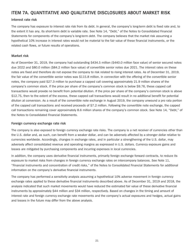# **ITEM 7A. QUANTITATIVE AND QUALITATIVE DISCLOSURES ABOUT MARKET RISK**

#### **Interest rate risk**

The company has exposure to interest rate risk from its debt. In general, the company's long-term debt is fixed rate and, to the extent it has any, its short-term debt is variable rate. See Note 14, "Debt," of the Notes to Consolidated Financial Statements for components of the company's long-term debt. The company believes that the market risk assuming a hypothetical 10% increase in interest rates would not be material to the fair value of these financial instruments, or the related cash flows, or future results of operations.

#### **Market risk**

As of December 31, 2019, the company had outstanding \$434.5 million (\$440.0 million face value) of senior secured notes due 2022 and \$80.0 million (\$84.2 million face value) of convertible senior notes due 2021. The interest rates on these notes are fixed and therefore do not expose the company to risk related to rising interest rates. As of December 31, 2019, the fair value of the convertible senior notes was \$115.8 million. In connection with the offering of the convertible senior notes, the company paid \$27.3 million to purchase a capped call covering approximately 21.9 million shares of the company's common stock. If the price per share of the company's common stock is below \$9.76, these capped call transactions would provide no benefit from potential dilution. If the price per share of the company's common stock is above \$12.75, then to the extent of the excess, these capped call transactions would result in no additional benefit for potential dilution at conversion. As a result of the convertible note exchange in August 2019, the company unwound a pro rata portion of the capped call transactions and received proceeds of \$7.2 million. Following the convertible note exchange, the capped call transactions remaining cover approximately 8.6 million shares of the company's common stock. See Note 14, "Debt," of the Notes to Consolidated Financial Statements.

#### **Foreign currency exchange rate risk**

The company is also exposed to foreign currency exchange rate risks. The company is a net receiver of currencies other than the U.S. dollar and, as such, can benefit from a weaker dollar, and can be adversely affected by a stronger dollar relative to currencies worldwide. Accordingly, changes in exchange rates, and in particular a strengthening of the U.S. dollar, may adversely affect consolidated revenue and operating margins as expressed in U.S. dollars. Currency exposure gains and losses are mitigated by purchasing components and incurring expenses in local currencies.

In addition, the company uses derivative financial instruments, primarily foreign exchange forward contracts, to reduce its exposure to market risks from changes in foreign currency exchange rates on intercompany balances. See Note 11, "Financial instruments and concentration of credit risks," of the Notes to Consolidated Financial Statements for additional information on the company's derivative financial instruments.

The company has performed a sensitivity analysis assuming a hypothetical 10% adverse movement in foreign currency exchange rates applied to these derivative financial instruments described above. As of December 31, 2019 and 2018, the analysis indicated that such market movements would have reduced the estimated fair value of these derivative financial instruments by approximately \$44 million and \$34 million, respectively. Based on changes in the timing and amount of interest rate and foreign currency exchange rate movements and the company's actual exposures and hedges, actual gains and losses in the future may differ from the above analysis.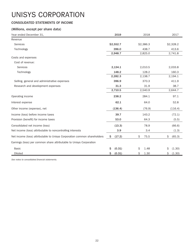### **CONSOLIDATED STATEMENTS OF INCOME**

#### **(Millions, except per share data)**

| Year ended December 31,                                                  | 2019         | 2018       | 2017         |
|--------------------------------------------------------------------------|--------------|------------|--------------|
| Revenue                                                                  |              |            |              |
| Services                                                                 | \$2,552.7    | \$2,386.3  | \$2,328.2    |
| Technology                                                               | 396.0        | 438.7      | 413.6        |
|                                                                          | 2,948.7      | 2,825.0    | 2,741.8      |
| Costs and expenses                                                       |              |            |              |
| Cost of revenue:                                                         |              |            |              |
| Services                                                                 | 2,134.1      | 2,010.5    | 2,033.8      |
| Technology                                                               | 148.2        | 128.2      | 160.3        |
|                                                                          | 2,282.3      | 2,138.7    | 2,194.1      |
| Selling, general and administrative expenses                             | 396.9        | 370.3      | 411.9        |
| Research and development expenses                                        | 31.3         | 31.9       | 38.7         |
|                                                                          | 2,710.5      | 2,540.9    | 2,644.7      |
| Operating income                                                         | 238.2        | 284.1      | 97.1         |
| Interest expense                                                         | 62.1         | 64.0       | 52.8         |
| Other income (expense), net                                              | (136.4)      | (76.9)     | (116.4)      |
| Income (loss) before income taxes                                        | 39.7         | 143.2      | (72.1)       |
| Provision (benefit) for income taxes                                     | 53.0         | 64.3       | (5.5)        |
| Consolidated net income (loss)                                           | (13.3)       | 78.9       | (66.6)       |
| Net income (loss) attributable to noncontrolling interests               | 3.9          | 3.4        | (1.3)        |
| Net income (loss) attributable to Unisys Corporation common shareholders | \$<br>(17.2) | \$<br>75.5 | \$<br>(65.3) |
| Earnings (loss) per common share attributable to Unisys Corporation      |              |            |              |
| <b>Basic</b>                                                             | Ś.<br>(0.31) | Ś.<br>1.48 | \$<br>(1.30) |
| Diluted                                                                  | \$<br>(0.31) | \$<br>1.30 | \$<br>(1.30) |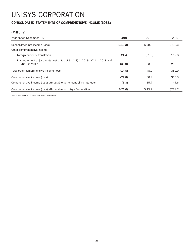### **CONSOLIDATED STATEMENTS OF COMPREHENSIVE INCOME (LOSS)**

#### **(Millions)**

| Year ended December 31,                                                                         | 2019     | 2018   | 2017      |
|-------------------------------------------------------------------------------------------------|----------|--------|-----------|
| Consolidated net income (loss)                                                                  | \$(13.3) | \$78.9 | \$ (66.6) |
| Other comprehensive income                                                                      |          |        |           |
| Foreign currency translation                                                                    | 24.4     | (81.8) | 117.8     |
| Postretirement adjustments, net of tax of \$(11.3) in 2019, \$7.1 in 2018 and<br>\$18.3 in 2017 | (38.9)   | 33.8   | 265.1     |
| Total other comprehensive income (loss)                                                         | (14.5)   | (48.0) | 382.9     |
| Comprehensive income (loss)                                                                     | (27.8)   | 30.9   | 316.3     |
| Comprehensive income (loss) attributable to noncontrolling interests                            | (6.8)    | 15.7   | 44.6      |
| Comprehensive income (loss) attributable to Unisys Corporation                                  | \$(21.0) | \$15.2 | \$271.7   |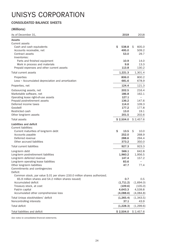### **CONSOLIDATED BALANCE SHEETS**

#### **(Millions)**

| As of December 31,                                                        |    | 2019       | 2018                     |
|---------------------------------------------------------------------------|----|------------|--------------------------|
| Assets                                                                    |    |            |                          |
| Current assets                                                            |    |            |                          |
| Cash and cash equivalents                                                 | Ŝ  | 538.8      | Ŝ.<br>605.0              |
| Accounts receivable, net                                                  |    | 495.0      | 509.2                    |
| Contract assets                                                           |    | 53.0       | 29.7                     |
| Inventories:                                                              |    |            |                          |
| Parts and finished equipment                                              |    | 10.9       | 14.0                     |
| Work in process and materials                                             |    | 9.8        | 13.3                     |
| Prepaid expenses and other current assets                                 |    | 113.8      | 130.2                    |
| Total current assets                                                      |    | 1,221.3    | 1,301.4                  |
| Properties                                                                |    | 806.0      | 800.2                    |
| Less - Accumulated depreciation and amortization                          |    | 681.6      | 678.9                    |
| Properties, net                                                           |    | 124.4      | 121.3                    |
| Outsourcing assets, net                                                   |    | 202.5      | 216.4                    |
| Marketable software, net                                                  |    | 186.8      | 162.1                    |
| Operating lease right-of-use assets                                       |    | 127.1      | $\overline{\phantom{0}}$ |
| Prepaid postretirement assets                                             |    | 136.2      | 147.6                    |
| Deferred income taxes                                                     |    | 114.0      | 109.3                    |
| Goodwill                                                                  |    | 177.2      | 177.8                    |
| Restricted cash                                                           |    | 13.0       | 19.1                     |
| Other long-term assets                                                    |    | 201.5      | 202.6                    |
| Total assets                                                              |    | \$2,504.0  | \$2,457.6                |
| Liabilities and deficit                                                   |    |            |                          |
| <b>Current liabilities:</b>                                               |    |            |                          |
| Current maturities of long-term debt                                      | \$ | 13.5       | \$<br>10.0               |
| Accounts payable                                                          |    | 252.0      | 268.9                    |
| Deferred revenue                                                          |    | 288.6      | 294.4                    |
| Other accrued liabilities                                                 |    | 373.2      | 350.0                    |
| Total current liabilities                                                 |    | 927.3      | 923.3                    |
| Long-term debt                                                            |    | 566.1      | 642.8                    |
| Long-term postretirement liabilities                                      |    | 1,960.2    | 1,956.5                  |
| Long-term deferred revenue                                                |    | 147.4      | 157.2                    |
| Long-term operating lease liabilities                                     |    | 83.6       |                          |
| Other long-term liabilities                                               |    | 47.7       | 77.4                     |
| Commitments and contingencies                                             |    |            |                          |
| Deficit:                                                                  |    |            |                          |
| Common stock, par value \$.01 per share (150.0 million shares authorized; |    |            |                          |
| 65.9 million shares and 54.2 million shares issued)                       |    | 0.7        | 0.5                      |
| Accumulated deficit                                                       |    | (1,711.2)  | (1,694.0)                |
| Treasury stock, at cost                                                   |    | (109.6)    | (105.0)                  |
| Paid-in capital                                                           |    | 4,643.3    | 4,539.8                  |
| Accumulated other comprehensive loss                                      |    | (4,088.6)  | (4,084.8)                |
| Total Unisys stockholders' deficit                                        |    | (1, 265.4) | (1,343.5)                |
| Noncontrolling interests                                                  |    | 37.1       | 43.9                     |
| Total deficit                                                             |    | (1,228.3)  | (1,299.6)                |
|                                                                           |    |            |                          |
| Total liabilities and deficit                                             |    | \$2,504.0  | \$2,457.6                |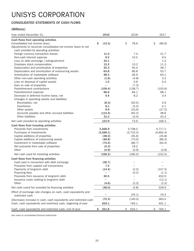### **CONSOLIDATED STATEMENTS OF CASH FLOWS**

### **(Millions)**

| Year ended December 31,                                                          | 2019              | 2018              | 2017                     |
|----------------------------------------------------------------------------------|-------------------|-------------------|--------------------------|
| Cash flows from operating activities                                             |                   |                   |                          |
| Consolidated net income (loss)                                                   | \$<br>(13.3)      | \$<br>78.9        | \$<br>(66.6)             |
| Adjustments to reconcile consolidated net income (loss) to net                   |                   |                   |                          |
| cash provided by operating activities:                                           |                   |                   |                          |
| Foreign currency transaction losses                                              | 11.0              | 7.4               | 21.7                     |
| Non-cash interest expense                                                        | 9.2               | 10.5              | 9.5                      |
| Loss on debt exchange / extinguishment                                           | 20.1              | $\qquad \qquad -$ | 1.5                      |
| Employee stock compensation                                                      | 13.2              | 13.2              | 11.2                     |
| Depreciation and amortization of properties                                      | 35.3              | 40.4              | 39.7                     |
| Depreciation and amortization of outsourcing assets                              | 63.8              | 66.8              | 53.7                     |
| Amortization of marketable software                                              | 48.3              | 56.9              | 63.1                     |
| Other non-cash operating activities                                              | (1.6)             | (4.8)             | 3.2                      |
| Loss on disposal of capital assets                                               | 1.5               | 0.8               | 5.0                      |
| Gain on sale of properties                                                       |                   | (7.3)             |                          |
| Postretirement contributions                                                     | (109.4)           | (138.7)           | (150.6)                  |
| Postretirement expense                                                           | 96.6              | 84.1              | 98.1                     |
| Decrease in deferred income taxes, net                                           | 4.4               | 8.2               | 3.4                      |
| Changes in operating assets and liabilities:                                     |                   |                   |                          |
| Receivables, net                                                                 | (8.3)             | (50.5)            | 5.9                      |
| Inventories                                                                      | 6.1               | (5.5)             | 4.1                      |
| Other assets                                                                     | 9.9               | (23.9)            | (27.5)                   |
| Accounts payable and other accrued liabilities                                   | (114.4)           | (62.2)            | 48.6                     |
| Other liabilities                                                                | 51.5              | (0.4)             | 42.4                     |
| Net cash provided by operating activities                                        | 123.9             | 73.9              | 166.4                    |
| Cash flows from investing activities                                             |                   |                   |                          |
| Proceeds from investments                                                        | 3,568.9           | 3,708.0           | 4,717.2                  |
| Purchases of investments                                                         | (3,566.1)         | (3,722.0)         | (4,692.4)                |
| Capital additions of properties                                                  | (38.0)            | (35.6)            | (25.8)                   |
| Capital additions of outsourcing assets                                          | (48.8)            | (73.0)            | (86.3)                   |
| Investment in marketable software                                                | (73.0)            | (80.7)            | (64.4)                   |
| Net proceeds from sale of properties                                             | (0.3)             | 19.2              | $\overline{\phantom{m}}$ |
| Other                                                                            | (0.9)             | (0.9)             | (0.8)                    |
| Net cash used for investing activities                                           | (158.2)           | (185.0)           | (152.5)                  |
| Cash flows from financing activities                                             |                   |                   |                          |
| Cash paid in connection with debt exchange                                       | (56.7)            |                   |                          |
| Proceeds from capped call transactions                                           | 7.2               |                   |                          |
| Payments of long-term debt                                                       | (14.4)            | (2.3)             | (107.5)                  |
| Financing fees                                                                   | $\qquad \qquad -$ | (0.2)             | (1.1)                    |
| Proceeds from issuance of long-term debt                                         | 30.5              |                   | 452.9                    |
| Issuance costs relating to long-term debt                                        | -                 |                   | (12.1)                   |
| Other                                                                            | (4.6)             | (2.3)             | (2.3)                    |
| Net cash (used for) provided by financing activities                             | (38.0)            | (4.8)             | 329.9                    |
|                                                                                  |                   |                   |                          |
| Effect of exchange rate changes on cash, cash equivalents and<br>restricted cash |                   | (24.1)            | 19.2                     |
| (Decrease) increase in cash, cash equivalents and restricted cash                | (72.3)            | (140.0)           | 363.0                    |
| Cash, cash equivalents and restricted cash, beginning of year                    | 624.1             | 764.1             | 401.1                    |
| Cash, cash equivalents and restricted cash, end of year                          | \$<br>551.8       | \$<br>624.1       | \$<br>764.1              |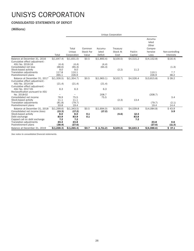### **CONSOLIDATED STATEMENTS OF DEFICIT**

#### **(Millions)**

|                                                                                                    |                        |                                |                              |                             | Unisys Corporation           |                     |                                                         |                              |
|----------------------------------------------------------------------------------------------------|------------------------|--------------------------------|------------------------------|-----------------------------|------------------------------|---------------------|---------------------------------------------------------|------------------------------|
|                                                                                                    | Total                  | Total<br>Unisys<br>Corporation | Common<br>Stock Par<br>Value | Accumu-<br>lated<br>Deficit | Treasury<br>Stock At<br>Cost | Paid-in<br>Capital  | Accumu-<br>lated<br>Other<br>Compre-<br>hensive<br>Loss | Non-controlling<br>Interests |
| Balance at December 31, 2016                                                                       | \$(1,647.4)            | \$(1,631.0)                    | \$0.5                        | \$(1,893.4)                 | \$(100.5)                    | \$4,515.2           | \$(4,152.8)                                             | \$(16.4)                     |
| Cumulative effect adjustment -<br>ASU No. 2016-16<br>Consolidated net loss<br>Stock-based activity | (4.4)<br>(66.6)<br>9.0 | (4.4)<br>(65.3)<br>9.0         |                              | (4.4)<br>(65.3)             | (2.2)                        | 11.2                |                                                         | (1.3)                        |
| Translation adjustments<br>Postretirement plans                                                    | 117.8<br>265.1         | 110.1<br>226.9                 |                              |                             |                              |                     | 110.1<br>226.9                                          | 7.7<br>38.2                  |
| Balance at December 31, 2017<br>Cumulative effect adjustment -<br>ASU No. 2014-09                  | \$(1,326.5)<br>(21.4)  | \$(1,354.7)<br>(21.4)          | \$0.5                        | \$(1,963.1)<br>(21.4)       | \$(102.7)                    | \$4,526.4           | \$ (3,815.8)                                            | \$28.2                       |
| Cumulative effect adjustment -<br>ASU No. 2017-05<br>Reclassification pursuant to ASU              | 6.3                    | 6.3                            |                              | 6.3                         |                              |                     |                                                         |                              |
| No. 2018-02<br>Consolidated net income                                                             | 78.9                   | 75.5                           |                              | 208.7<br>75.5               |                              |                     | (208.7)                                                 | 3.4                          |
| Stock-based activity<br><b>Translation adiustments</b><br>Postretirement plans                     | 11.1<br>(81.8)<br>33.8 | 11.1<br>(79.7)<br>19.4         |                              |                             | (2.3)                        | 13.4                | (79.7)<br>19.4                                          | (2.1)<br>14.4                |
| Balance at December 31, 2018<br>Consolidated net income (loss)                                     | \$(1,299.6)<br>(13.3)  | \$(1,343.5)<br>(17.2)          | \$0.5                        | \$(1,694.0)<br>(17.2)       | \$(105.0)                    | \$4,539.8           | \$(4,084.8)                                             | \$43.9<br>3.9                |
| Stock-based activity<br>Debt exchange<br>Capped call on debt exchange                              | 8.0<br>83.9<br>7.2     | 8.0<br>83.9<br>7.2             | 0.1<br>0.1                   |                             | (4.6)                        | 12.5<br>83.8<br>7.2 |                                                         |                              |
| <b>Translation adiustments</b><br>Postretirement plans                                             | 24.4<br>(38.9)         | 23.8<br>(27.6)                 |                              |                             |                              |                     | 23.8<br>(27.6)                                          | 0.6<br>(11.3)                |
| Balance at December 31, 2019                                                                       | \$(1,228.3)            | \$(1,265.4)                    | \$0.7                        | \$ (1,711.2)                | \$(109.6)                    | \$4,643.3           | \$(4,088.6)                                             | \$37.1                       |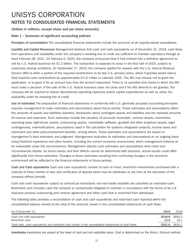# UNISYS CORPORATION **NOTES TO CONSOLIDATED FINANCIAL STATEMENTS**

#### **(Dollars in millions, except share and per share amounts)**

#### **Note 1 – Summary of significant accounting policies**

**Principles of consolidation** The consolidated financial statements include the accounts of all majority-owned subsidiaries.

**Liquidity and Capital Resources** Management believes that cash and cash equivalents as of December 31, 2019, cash flows from operations and availability under the company's revolving line of credit are sufficient to maintain operations through at least February 28, 2021. On February 6, 2020, the company announced that it had entered into a definitive agreement to sell its U.S. federal business for \$1.2 billion. The transaction is expected to close in the first half of 2020, subject to customary closing conditions. On September 27, 2019, the company applied for waivers with the U.S. Internal Revenue Service (IRS) to defer a portion of the required contributions to its two U.S. pension plans, which if granted would reduce total required cash contributions by approximately \$115 million in calendar 2020. The IRS may choose not to grant the application, or to grant it for an amount less than the amount requested. There is no specified time frame in which the IRS must make a decision. If the sale of the U.S. federal business does not close and if the IRS deferral is not granted, the company will be required to reduce discretionary operating expenses and/or capital expenditures as well as utilize the availability under its revolving line of credit.

**Use of estimates** The preparation of financial statements in conformity with U.S. generally accepted accounting principles requires management to make estimates and assumptions about future events. These estimates and assumptions affect the amounts of assets and liabilities reported, disclosures about contingent assets and liabilities and the reported amounts of revenue and expenses. Such estimates include the valuation of accounts receivable, contract assets, inventories, operating lease right-of-use assets, outsourcing assets, marketable software, goodwill and other long-lived assets, legal contingencies, indemnifications, assumptions used in the calculation for systems integration projects, income taxes and retirement and other post-employment benefits, among others. These estimates and assumptions are based on management's best estimates and judgment. Management evaluates its estimates and assumptions on an ongoing basis using historical experience and other factors, including the current economic environment, which management believes to be reasonable under the circumstances. Management adjusts such estimates and assumptions when facts and circumstances dictate. As future events and their effects cannot be determined with precision, actual results could differ significantly from these estimates. Changes in those estimates resulting from continuing changes in the economic environment will be reflected in the financial statements in future periods.

**Cash and Cash equivalents** Cash and cash equivalents consist of cash on hand, short-term investments purchased with a maturity of three months or less and certificates of deposit which may be withdrawn at any time at the discretion of the company without penalty.

Cash and cash equivalents subject to contractual restrictions and not readily available are classified as restricted cash. Restricted cash includes cash the company is contractually obligated to maintain in accordance with the terms of its U.K. business process outsourcing joint venture agreement and other cash that is restricted from withdrawal.

The following table provides a reconciliation of cash and cash equivalents and restricted cash reported within the consolidated balance sheets to the total of the amounts shown in the consolidated statements of cash flows.

| As of December 31,                                                                                  | 2019   | 2018            |
|-----------------------------------------------------------------------------------------------------|--------|-----------------|
| Cash and cash equivalents                                                                           |        | \$538.8 \$605.0 |
| Restricted cash                                                                                     | 13.0   | 19.1            |
| Total cash, cash equivalents and restricted cash shown in the consolidated statements of cash flows | S551.8 | \$624.1         |

**Inventories** Inventories are valued at the lower of cost and net realizable value. Cost is determined on the first-in, first-out method.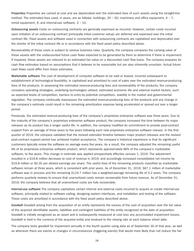**Properties** Properties are carried at cost and are depreciated over the estimated lives of such assets using the straight-line method. The estimated lives used, in years, are as follows: buildings,  $20 - 50$ ; machinery and office equipment,  $4 - 7$ ; rental equipment, 4; and internal-use software,  $3 - 10$ .

**Outsourcing assets** Costs on outsourcing contracts are generally expensed as incurred. However, certain costs incurred upon initiation of an outsourcing contract (principally initial customer setup) are deferred and expensed over the initial contract life. Fixed assets and software used in connection with outsourcing contracts are capitalized and depreciated over the shorter of the initial contract life or in accordance with the fixed asset policy described above.

Recoverability of these costs is subject to various business risks. Quarterly, the company compares the carrying value of these assets with the undiscounted future cash flows expected to be generated by them to determine if there is impairment. If impaired, these assets are reduced to an estimated fair value on a discounted cash flow basis. The company prepares its cash flow estimates based on assumptions that it believes to be reasonable but are also inherently uncertain. Actual future cash flows could differ from these estimates.

**Marketable software** The cost of development of computer software to be sold or leased, incurred subsequent to establishment of technological feasibility, is capitalized and amortized to cost of sales over the estimated revenue-producing lives of the products. In assessing the estimated revenue-producing lives and recoverability of the products, the company considers operating strategies, underlying technologies utilized, estimated economic life and external market factors, such as expected levels of competition, barriers to entry by potential competitors, stability in the market and governmental regulation. The company continually reassesses the estimated revenue-producing lives of the products and any change in the company's estimate could result in the remaining amortization expense being accelerated or spread out over a longer period.

Previously, the estimated revenue-producing lives of the company's proprietary enterprise software was three years. Due to the maturity of the company's proprietary enterprise software product, the company increased the time between its major releases as its product has a longer useful life. In addition, the company modified its commitment to provide post-contract support from an average of three years to five years following each new proprietary enterprise software release. In the first quarter of 2019, the company validated that the revised extended timeline between major product releases and the revised post-contract support period has achieved market acceptance. The company's historical experience is that its significant customers typically renew the software on average every five years. As a result, the company adjusted the remaining useful life of its proprietary enterprise software product, which represents approximately 66% of the company's marketable software, to five years. This change in estimate was applied prospectively effective January 1, 2019. The adjustment resulted in a \$19.8 million decrease to cost of revenue in 2019, and accordingly increased consolidated net income by \$19.8 million or \$0.35 per diluted earnings per share. The useful lives of the remaining products classified as marketable software remain at three years, which is consistent with prior years. As of December 31, 2019, \$67.1 million of marketable software was in process and the remaining \$119.7 million has a weighted-average remaining life of 3.2 years. The company performs quarterly reviews to ensure that unamortized costs remain recoverable from future revenue. As of December 31, 2019, the company believes that all unamortized costs are fully recoverable.

**Internal-use software** The company capitalizes certain internal and external costs incurred to acquire or create internal-use software, principally related to software coding, designing system interfaces, and installation and testing of the software. These costs are amortized in accordance with the fixed asset policy described above.

**Goodwill** Goodwill arising from the acquisition of an entity represents the excess of the cost of acquisition over the fair value of the acquired identifiable assets, liabilities and contingent liabilities of the entity recognized at the date of acquisition. Goodwill is initially recognized as an asset and is subsequently measured at cost less any accumulated impairment losses. Goodwill is held in the currency of the acquired entity and revalued to the closing rate at each balance sheet date.

The company tests goodwill for impairment annually in the fourth quarter using data as of September 30 of that year, as well as whenever there are events or changes in circumstances (triggering events) that would more likely than not reduce the fair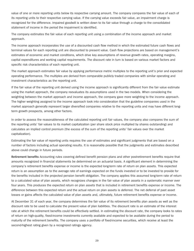value of one or more reporting units below its respective carrying amount. The company compares the fair value of each of its reporting units to their respective carrying value. If the carrying value exceeds fair value, an impairment charge is recognized for the difference. Impaired goodwill is written down to its fair value through a charge to the consolidated statement of income in the period the impairment is identified.

The company estimates the fair value of each reporting unit using a combination of the income approach and market approach.

The income approach incorporates the use of a discounted cash flow method in which the estimated future cash flows and terminal values for each reporting unit are discounted to present value. Cash flow projections are based on management's estimates of economic and market conditions, which drive key assumptions of revenue growth rates, operating margins, capital expenditures and working capital requirements. The discount rate in turn is based on various market factors and specific risk characteristics of each reporting unit.

The market approach estimates fair value by applying performance metric multiples to the reporting unit's prior and expected operating performance. The multiples are derived from comparable publicly traded companies with similar operating and investment characteristics as the reporting unit.

If the fair value of the reporting unit derived using the income approach is significantly different from the fair value estimate using the market approach, the company reevaluates its assumptions used in the two models. When considering the weighting between the market approach and income approach, the company gave more weighting to the income approach. The higher weighting assigned to the income approach took into consideration that the guideline companies used in the market approach generally represent larger diversified companies relative to the reporting units and may have different longterm growth prospects, among other factors.

In order to assess the reasonableness of the calculated reporting unit fair values, the company also compares the sum of the reporting units' fair values to its market capitalization (per share stock price multiplied by shares outstanding) and calculates an implied control premium (the excess of the sum of the reporting units' fair values over the market capitalization).

Estimating the fair value of reporting units requires the use of estimates and significant judgments that are based on a number of factors including actual operating results. It is reasonably possible that the judgments and estimates described above could change in future periods.

**Retirement benefits** Accounting rules covering defined benefit pension plans and other postretirement benefits require that amounts recognized in financial statements be determined on an actuarial basis. A significant element in determining the company's retirement benefits expense or income is the expected long-term rate of return on plan assets. This expected return is an assumption as to the average rate of earnings expected on the funds invested or to be invested to provide for the benefits included in the projected pension benefit obligation. The company applies this assumed long-term rate of return to a calculated value of plan assets, which recognizes changes in the fair value of plan assets in a systematic manner over four years. This produces the expected return on plan assets that is included in retirement benefits expense or income. The difference between this expected return and the actual return on plan assets is deferred. The net deferral of past asset losses or gains affects the calculated value of plan assets and, ultimately, future retirement benefits expense or income.

At December 31 of each year, the company determines the fair value of its retirement benefits plan assets as well as the discount rate to be used to calculate the present value of plan liabilities. The discount rate is an estimate of the interest rate at which the retirement benefits could be effectively settled. In estimating the discount rate, the company looks to rates of return on high-quality, fixed-income investments currently available and expected to be available during the period to maturity of the retirement benefits. The company uses a portfolio of fixed-income securities, which receive at least the second-highest rating given by a recognized ratings agency.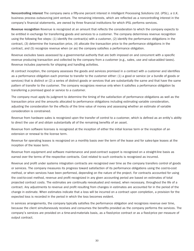**Noncontrolling interest** The company owns a fifty-one percent interest in Intelligent Processing Solutions Ltd. (iPSL), a U.K. business process outsourcing joint venture. The remaining interests, which are reflected as a noncontrolling interest in the company's financial statements, are owned by three financial institutions for which iPSL performs services.

**Revenue recognition** Revenue is recognized at an amount that reflects the consideration to which the company expects to be entitled in exchange for transferring goods and services to a customer. The company determines revenue recognition using the following five steps: (1) identify the contract(s) with a customer, (2) identify the performance obligations in the contract, (3) determine the transaction price, (4) allocate the transaction price to the performance obligations in the contract, and (5) recognize revenue when (or as) the company satisfies a performance obligation.

Revenue excludes taxes assessed by a governmental authority that are both imposed on and concurrent with a specific revenue producing transaction and collected by the company from a customer (e.g., sales, use and value-added taxes). Revenue includes payments for shipping and handling activities.

At contract inception, the company assesses the goods and services promised in a contract with a customer and identifies as a performance obligation each promise to transfer to the customer either: (1) a good or service (or a bundle of goods or services) that is distinct or (2) a series of distinct goods or services that are substantially the same and that have the same pattern of transfer to the customer. The company recognizes revenue only when it satisfies a performance obligation by transferring a promised good or service to a customer.

The company must apply its judgment to determine the timing of the satisfaction of performance obligations as well as the transaction price and the amounts allocated to performance obligations including estimating variable consideration, adjusting the consideration for the effects of the time value of money and assessing whether an estimate of variable consideration is constrained.

Revenue from hardware sales is recognized upon the transfer of control to a customer, which is defined as an entity's ability to direct the use of and obtain substantially all of the remaining benefits of an asset.

Revenue from software licenses is recognized at the inception of either the initial license term or the inception of an extension or renewal to the license term.

Revenue for operating leases is recognized on a monthly basis over the term of the lease and for sales-type leases at the inception of the lease term.

Revenue from equipment and software maintenance and post-contract support is recognized on a straight-line basis as earned over the terms of the respective contracts. Cost related to such contracts is recognized as incurred.

Revenue and profit under systems integration contracts are recognized over time as the company transfers control of goods or services. The company measures its progress toward satisfaction of its performance obligations using the cost-to-cost method, or when services have been performed, depending on the nature of the project. For contracts accounted for using the cost-to-cost method, revenue and profit recognized in any given accounting period are based on estimates of total projected contract costs. The estimates are continually reevaluated and revised, when necessary, throughout the life of a contract. Any adjustments to revenue and profit resulting from changes in estimates are accounted for in the period of the change in estimate. When estimates indicate that a loss will be incurred on a contract upon completion, a provision for the expected loss is recorded in the period in which the loss becomes evident.

In services arrangements, the company typically satisfies the performance obligation and recognizes revenue over time, because the client simultaneously receives and consumes the benefits provided as the company performs the services. The company's services are provided on a time-and-materials basis, as a fixed-price contract or as a fixed-price per measure of output contract.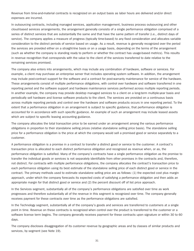Revenue from time-and-material contracts is recognized on an output basis as labor hours are delivered and/or direct expenses are incurred.

In outsourcing contracts, including managed services, application management, business process outsourcing and other cloud-based services arrangements, the arrangement generally consists of a single performance obligation comprised of a series of distinct services that are substantially the same and that have the same pattern of transfer (i.e., distinct days of service). The company applies a measure of progress (typically time-based) to any fixed consideration and allocates variable consideration to the distinct periods of service based on usage. As a result, revenue is generally recognized over the period the services are provided either on a straight-line basis or on a usage basis, depending on the terms of the arrangement (such as whether the company is standing ready to perform or whether the contract has usage-based metrics). This results in revenue recognition that corresponds with the value to the client of the services transferred to date relative to the remaining services promised.

The company also enters into arrangements, which may include any combination of hardware, software or services. For example, a client may purchase an enterprise server that includes operating system software. In addition, the arrangement may include post-contract support for the software and a contract for post-warranty maintenance for service of the hardware. These arrangements consist of multiple performance obligations, with control over hardware and software transferred in one reporting period and the software support and hardware maintenance services performed across multiple reporting periods. In another example, the company may provide desktop managed services to a client on a long-term multiple-year basis and periodically sell hardware and license software products to the client. The services are provided on a continuous basis across multiple reporting periods and control over the hardware and software products occurs in one reporting period. To the extent that a performance obligation in an arrangement is subject to specific guidance, that performance obligation is accounted for in accordance with such specific guidance. An example of such an arrangement may include leased assets which are subject to specific leasing accounting guidance.

The company allocates the total transaction price to be earned under an arrangement among the various performance obligations in proportion to their standalone selling prices (relative standalone selling price basis). The standalone selling price for a performance obligation is the price at which the company would sell a promised good or service separately to a customer.

A performance obligation is a promise in a contract to transfer a distinct good or service to the customer. A contract's transaction price is allocated to each distinct performance obligation and recognized as revenue when, or as, the performance obligation is satisfied. Many of the company's contracts have a single performance obligation as the promise to transfer the individual goods or services is not separately identifiable from other promises in the contracts and, therefore, not distinct. For contracts with multiple performance obligations, the company allocates the contract's transaction price to each performance obligation using its best estimate of the standalone selling price of each distinct good or service in the contract. The primary methods used to estimate standalone selling price are as follows: (1) the expected cost plus margin approach, under which the company forecasts its expected costs of satisfying a performance obligation and then adds an appropriate margin for that distinct good or service and (2) the percent discount off of list price approach.

In the Services segment, substantially all of the company's performance obligations are satisfied over time as work progresses and therefore substantially all of the revenue in this segment is recognized over time. The company generally receives payment for these contracts over time as the performance obligations are satisfied.

In the Technology segment, substantially all of the company's goods and services are transferred to customers at a single point in time. Revenue on these contracts is recognized when control over the product is transferred to the customer or a software license term begins. The company generally receives payment for these contracts upon signature or within 30 to 60 days.

The company discloses disaggregation of its customer revenue by geographic areas and by classes of similar products and services, by segment (see Note 19).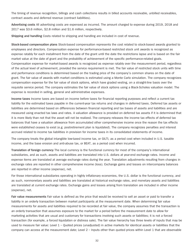The timing of revenue recognition, billings and cash collections results in billed accounts receivable, unbilled receivables, contract assets and deferred revenue (contract liabilities).

**Advertising costs** All advertising costs are expensed as incurred. The amount charged to expense during 2019, 2018 and 2017 was \$3.6 million, \$2.8 million and \$1.6 million, respectively.

**Shipping and handling** Costs related to shipping and handling are included in cost of revenue.

**Stock-based compensation plans** Stock-based compensation represents the cost related to stock-based awards granted to employees and directors. Compensation expense for performance-based restricted stock unit awards is recognized as expense ratably for each installment from the date of the grant until the date the restrictions lapse and is based on the fair market value at the date of grant and the probability of achievement of the specific performance-related goals. Compensation expense for market-based awards is recognized as expense ratably over the measurement period, regardless of the actual level of achievement, provided the service requirement is met. The fair value of restricted stock units with time and performance conditions is determined based on the trading price of the company's common shares on the date of grant. The fair value of awards with market conditions is estimated using a Monte Carlo simulation. The company recognizes compensation expense for the fair value of stock options, which have graded vesting, on a straight-line basis over the requisite service period. The company estimates the fair value of stock options using a Black-Scholes valuation model. The expense is recorded in selling, general and administrative expenses.

**Income taxes** Income taxes are based on income before taxes for financial reporting purposes and reflect a current tax liability for the estimated taxes payable in the current-year tax returns and changes in deferred taxes. Deferred tax assets or liabilities are determined based on differences between financial reporting and tax bases of assets and liabilities and are measured using enacted tax laws and rates. A valuation allowance is provided on deferred tax assets if it is determined that it is more likely than not that the asset will not be realized. The company releases the income tax effects of deferred tax balances that have a valuation allowance from accumulated other comprehensive income once the reason the tax effects were established ceases to exist (e.g. postretirement plan is liquidated). The company recognizes penalties and interest accrued related to income tax liabilities in provision for income taxes in its consolidated statements of income.

The company treats the global intangible low-taxed income tax, or GILTI, as a period cost when included in U.S. taxable income, and the base erosion and anti-abuse tax, or BEAT, as a period cost when incurred.

**Translation of foreign currency** The local currency is the functional currency for most of the company's international subsidiaries, and as such, assets and liabilities are translated into U.S. dollars at year-end exchange rates. Income and expense items are translated at average exchange rates during the year. Translation adjustments resulting from changes in exchange rates are reported in other comprehensive income (loss). Exchange gains and losses on intercompany balances are reported in other income (expense), net.

For those international subsidiaries operating in highly inflationary economies, the U.S. dollar is the functional currency, and as such, nonmonetary assets and liabilities are translated at historical exchange rates, and monetary assets and liabilities are translated at current exchange rates. Exchange gains and losses arising from translation are included in other income (expense), net.

**Fair value measurements** Fair value is defined as the price that would be received to sell an asset or paid to transfer a liability in an orderly transaction between market participants at the measurement date. When determining fair value measurements for assets and liabilities required to be recorded at fair value, the company assumes that the transaction is an orderly transaction that assumes exposure to the market for a period before the measurement date to allow for marketing activities that are usual and customary for transactions involving such assets or liabilities; it is not a forced transaction (for example, a forced liquidation or distress sale). The fair value hierarchy has three levels of inputs that may be used to measure fair value: Level 1 – Quoted prices (unadjusted) in active markets for identical assets or liabilities that the company can access at the measurement date; Level 2 – Inputs other than quoted prices within Level 1 that are observable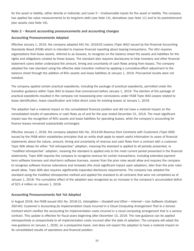for the asset or liability, either directly or indirectly; and Level 3 – Unobservable inputs for the asset or liability. The company has applied fair value measurements to its long-term debt (see Note 14), derivatives (see Note 11) and to its postretirement plan assets (see Note 16).

#### **Note 2 – Recent accounting pronouncements and accounting changes**

#### **Accounting Pronouncements Adopted**

Effective January 1, 2019, the company adopted ASU No. 2016-02 *Leases (Topic 842)* issued by the Financial Accounting Standards Board (FASB) which is intended to improve financial reporting about leasing transactions. The ASU requires organizations that lease assets, referred to as lessees, to recognize on the balance sheet the assets and liabilities for the rights and obligations created by those leases. The standard also requires disclosures to help investors and other financial statement users better understand the amount, timing and uncertainty of cash flows arising from leases. The company adopted the new standard using the effective date transition method by applying a cumulative-effect adjustment to the balance sheet through the addition of ROU assets and lease liabilities at January 1, 2019. Prior-period results were not restated.

The company applied certain practical expedients, including the package of practical expedients, permitted under the transition guidance within Topic 842 to leases that commenced before January 1, 2019. The election of the package of practical expedients resulted in the company not reassessing prior conclusions under FASB Topic 840 *Leases* related to lease identification, lease classification and initial direct costs for existing leases at January 1, 2019.

The adoption had a material impact on the consolidated financial position and did not have a material impact on the consolidated results of operations or cash flows as of and for the year ended December 31, 2019. The most significant impact was the recognition of ROU assets and lease liabilities for operating leases, while the company's accounting for finance leases remained substantially unchanged.

Effective January 1, 2018, the company adopted ASU No. 2014-09 *Revenue from Contracts with Customers (Topic 606)* issued by the FASB which establishes principles that an entity shall apply to report useful information to users of financial statements about the nature, amount, timing and uncertainty of revenue and cash flows from a contract with a customer. Topic 606 allows for either "full retrospective" adoption, meaning the standard is applied to all periods presented, or "modified retrospective" adoption, meaning the standard is applied only to the most current period presented in the financial statements. Topic 606 requires the company to recognize revenue for certain transactions, including extended payment term software licenses and short-term software licenses, sooner than the prior rules would allow and requires the company to recognize software license extensions and renewals (the most significant impact upon adoption), later than the prior rules would allow. Topic 606 also requires significantly expanded disclosure requirements. The company has adopted the standard using the modified retrospective method and applied the standard to all contracts that were not completed as of January 1, 2018. The cumulative effect of the adoption was recognized as an increase in the company's accumulated deficit of \$21.4 million on January 1, 2018.

#### **Accounting Pronouncements Not Yet Adopted**

In August 2018, the FASB issued ASU No. 2018-15, *Intangibles—Goodwill and Other—Internal—Use Software (Subtopic 350-40)*: *Customer's Accounting for Implementation Costs Incurred in a Cloud Computing Arrangement That Is a Service Contract* which clarifies the accounting for implementation costs incurred in a cloud computing arrangement that is a service contract. This update is effective for fiscal years beginning after December 15, 2019. The new guidance can be applied retrospectively or prospectively to all implementation costs incurred after the date of adoption. The company will adopt the new guidance on January 1, 2020, on a prospective basis, and does not expect the adoption to have a material impact on its consolidated results of operations and financial position.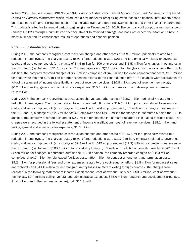In June 2016, the FASB issued ASU No. 2016-13 *Financial Instruments—Credit Losses (Topic 326): Measurement of Credit Losses on Financial Instruments* which introduces a new model for recognizing credit losses on financial instruments based on an estimate of current expected losses. This includes trade and other receivables, loans and other financial instruments. This update is effective for annual periods beginning after December 15, 2019. The company will adopt the new guidance on January 1, 2020 through a cumulative-effect adjustment to retained earnings, and does not expect the adoption to have a material impact on its consolidated results of operations and financial position.

#### **Note 3 – Cost-reduction actions**

During 2019, the company recognized cost-reduction charges and other costs of \$28.7 million, principally related to a reduction in employees. The charges related to work-force reductions were \$22.1 million, principally related to severance costs, and were comprised of: (a) a charge of \$4.6 million for 509 employees and \$(1.5) million for changes in estimates in the U.S. and (b) a charge of \$21.1 million for 255 employees and \$(2.1) million for changes in estimates outside the U.S. In addition, the company recorded charges of \$6.6 million comprised of \$4.6 million for lease abandonment costs, \$1.1 million for asset write-offs and \$0.9 million for other expenses related to the cost-reduction effort. The charges were recorded in the following statement of income classifications: cost of revenue - services, \$10.8 million; cost of revenue - technology, \$0.2 million; selling, general and administrative expenses, \$15.5 million; and research and development expenses, \$2.2 million.

During 2018, the company recognized cost-reduction charges and other costs of \$19.7 million, principally related to a reduction in employees. The charges related to work-force reductions were \$19.0 million, principally related to severance costs, and were comprised of: (a) a charge of \$5.2 million for 264 employees and \$0.1 million for changes in estimates in the U.S. and (b) a charge of \$22.5 million for 325 employees and \$(8.8) million for changes in estimates outside the U.S. In addition, the company recorded a charge of \$0.7 million for changes in estimates related to idle leased facilities costs. The charges were recorded in the following statement of income classifications: cost of revenue - services, \$18.1 million and selling, general and administrative expenses, \$1.6 million.

During 2017, the company recognized cost-reduction charges and other costs of \$146.8 million, principally related to a reduction in employees. The charges related to work-force reductions were \$117.9 million, principally related to severance costs, and were comprised of: (a) a charge of \$9.4 million for 542 employees and \$(1.3) million for changes in estimates in the U.S. and (b) a charge of \$109.4 million for 2,274 employees, \$8.2 million for additional benefits provided in 2017 and \$(7.8) million for changes in estimates outside the U.S. In addition, the company recorded charges of \$28.9 million comprised of \$4.7 million for idle leased facilities costs, \$5.4 million for contract amendment and termination costs, \$5.2 million for professional fees and other expenses related to the cost-reduction effort, \$1.8 million for net asset sales and write-offs and \$11.8 million for net foreign currency losses related to exiting foreign countries. The charges were recorded in the following statement of income classifications: cost of revenue - services, \$99.6 million; cost of revenue technology, \$0.4 million; selling, general and administrative expenses, \$33.6 million; research and development expenses, \$1.4 million; and other income (expense), net, \$11.8 million.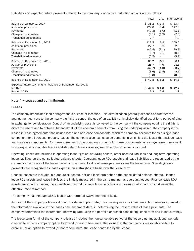Liabilities and expected future payments related to the company's work-force reduction actions are as follows:

|                                                           | Total  | U.S.  | International |
|-----------------------------------------------------------|--------|-------|---------------|
| Balance at January 1, 2017                                | \$35.2 | \$1.8 | \$33.4        |
| Additional provisions                                     | 127.0  | 9.4   | 117.6         |
| Payments                                                  | (47.3) | (6.0) | (41.3)        |
| Changes in estimates                                      | (9.1)  | (1.3) | (7.8)         |
| Translation adjustments                                   | 7.7    |       | 7.7           |
| Balance at December 31, 2017                              | 113.5  | 3.9   | 109.6         |
| Additional provisions                                     | 27.7   | 5.2   | 22.5          |
| Payments                                                  | (42.4) | (3.1) | (39.3)        |
| Changes in estimates                                      | (8.7)  | 0.1   | (8.8)         |
| Translation adjustments                                   | (3.9)  |       | (3.9)         |
| Balance at December 31, 2018                              | 86.2   | 6.1   | 80.1          |
| Additional provisions                                     | 25.7   | 4.6   | 21.1          |
| Payments                                                  | (57.7) | (4.0) | (53.7)        |
| Changes in estimates                                      | (3.6)  | (1.5) | (2.1)         |
| Translation adjustments                                   | (0.8)  |       | (0.8)         |
| Balance at December 31, 2019                              | \$49.8 | \$5.2 | \$44.6        |
| Expected future payments on balance at December 31, 2019: |        |       |               |
| In 2020                                                   | \$47.5 | \$4.8 | \$42.7        |
| Beyond 2020                                               | 2.3    | 0.4   | 1.9           |

#### **Note 4 – Leases and commitments**

#### **Leases**

The company determines if an arrangement is a lease at inception. This determination generally depends on whether the arrangement conveys to the company the right to control the use of an explicitly or implicitly identified asset for a period of time in exchange for consideration. Control of an underlying asset is conveyed to the company if the company obtains the rights to direct the use of and to obtain substantially all of the economic benefits from using the underlying asset. The company is the lessee in lease agreements that include lease and non-lease components, which the company accounts for as a single lease component for all personal property leases. The company also has lease agreements in which it is the lessor that include lease and non-lease components. For these agreements, the company accounts for these components as a single lease component. Lease expense for variable leases and short-term leases is recognized when the expense is incurred.

Operating leases are included in operating lease right-of-use (ROU) assets, other accrued liabilities and long-term operating lease liabilities on the consolidated balance sheets. Operating lease ROU assets and lease liabilities are recognized at the commencement date of the lease based on the present value of lease payments over the lease term. Operating lease payments are recognized as lease expense on a straight-line basis over the lease term.

Finance leases are included in outsourcing assets, net and long-term debt on the consolidated balance sheets. Finance lease ROU assets and lease liabilities are initially measured in the same manner as operating leases. Finance lease ROU assets are amortized using the straight-line method. Finance lease liabilities are measured at amortized cost using the effective interest method.

The company has not capitalized leases with terms of twelve months or less.

As most of the company's leases do not provide an implicit rate, the company uses its incremental borrowing rate, based on the information available at the lease commencement date, in determining the present value of lease payments. The company determines the incremental borrowing rate using the portfolio approach considering lease term and lease currency.

The lease term for all of the company's leases includes the non-cancelable period of the lease plus any additional periods covered by either a company option to extend (or not to terminate) the lease that the company is reasonably certain to exercise, or an option to extend (or not to terminate) the lease controlled by the lessor.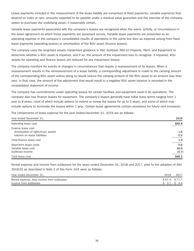Lease payments included in the measurement of the lease liability are comprised of fixed payments, variable payments that depend on index or rate, amounts expected to be payable under a residual value guarantee and the exercise of the company option to purchase the underlying asset, if reasonably certain.

Variable lease payments associated with the company's leases are recognized when the event, activity, or circumstance in the lease agreement on which those payments are assessed occurs. Variable lease payments are presented as an operating expense in the company's consolidated results of operations in the same line item as expense arising from fixed lease payments (operating leases) or amortization of the ROU asset (finance leases).

The company uses the long-lived assets impairment guidance in ASC Subtopic 360-10 *Property, Plant, and Equipment* to determine whether a ROU asset is impaired, and if so, the amount of the impairment loss to recognize. If impaired, ROU assets for operating and finance leases are reduced for any impairment losses.

The company monitors for events or changes in circumstances that require a reassessment of its leases. When a reassessment results in the remeasurement of a lease liability, a corresponding adjustment is made to the carrying amount of the corresponding ROU asset unless doing so would reduce the carrying amount of the ROU asset to an amount less than zero. In that case, the amount of the adjustment that would result in a negative ROU asset balance is recorded in the consolidated statement of income.

The company has commitments under operating leases for certain facilities and equipment used in its operations. The company also has finance leases for equipment. The company's leases generally have initial lease terms ranging from 1 year to 8 years, most of which include options to extend or renew the leases for up to 5 years, and some of which may include options to terminate the leases within 1 year. Certain lease agreements contain provisions for future rent increases.

The components of lease expense for the year ended December 31, 2019 are as follows:

| Year ended December 31,                                                                    |                      |
|--------------------------------------------------------------------------------------------|----------------------|
| Operating lease cost                                                                       | \$69.8               |
| Finance lease cost<br>Amortization of right-of-use assets<br>Interest on lease liabilities | 1.6<br>0.3           |
| Total finance lease cost                                                                   | 1.9                  |
| Short-term lease costs<br>Variable lease cost<br>Sublease income                           | 0.6<br>16.6<br>(0.7) |
| Total lease cost                                                                           | \$88.2               |

Rental expense and income from subleases for the years ended December 31, 2018 and 2017, prior to the adoption of ASU 2016-02 as described in Note 2 of this Form 10-K were as follows:

| Year ended December 31.                    | 2018          | 2017 |
|--------------------------------------------|---------------|------|
| Rental expense, less income from subleases | \$67.4 \$71.7 |      |
| Income from subleases                      | \$ 3.1 \$ 4.4 |      |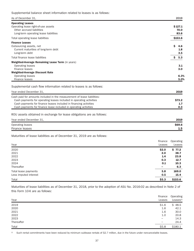Supplemental balance sheet information related to leases is as follows:

| As of December 31,                                                                                                                                                                                                                                                                      | 2019                       |
|-----------------------------------------------------------------------------------------------------------------------------------------------------------------------------------------------------------------------------------------------------------------------------------------|----------------------------|
| <b>Operating Leases</b><br>Operating lease right-of-use assets<br>Other accrued liabilities<br>Long-term operating lease liabilities                                                                                                                                                    | \$127.1<br>70.0<br>83.6    |
| Total operating lease liabilities                                                                                                                                                                                                                                                       | \$153.6                    |
| <b>Finance Leases</b><br>Outsourcing assets, net<br>Current maturities of long-term debt<br>Long-term debt                                                                                                                                                                              | S<br>4.6<br>1.8<br>3.5     |
| Total finance lease liabilities                                                                                                                                                                                                                                                         | \$5.3                      |
| Weighted-Average Remaining Lease Term (in years)<br>Operating leases<br>Finance leases<br><b>Weighted-Average Discount Rate</b><br>Operating leases<br>Finance leases                                                                                                                   | 3.1<br>3.0<br>6.3%<br>5.0% |
| Supplemental cash flow information related to leases is as follows:                                                                                                                                                                                                                     |                            |
| Year ended December 31,                                                                                                                                                                                                                                                                 | 2019                       |
| Cash paid for amounts included in the measurement of lease liabilities:<br>Cash payments for operating leases included in operating activities<br>Cash payments for finance leases included in financing activities<br>Cash payments for finance lease included in operating activities | \$73.2<br>1.7<br>0.3       |
| ROU assets obtained in exchange for lease obligations are as follows:                                                                                                                                                                                                                   |                            |
| Year ended December 31,                                                                                                                                                                                                                                                                 | 2019                       |
| Operating leases<br>Finance leases                                                                                                                                                                                                                                                      | \$69.6<br>1.5              |

Maturities of lease liabilities as of December 31, 2019 are as follows:

|                       | Finance | Operating |
|-----------------------|---------|-----------|
| Year                  | Leases  | Leases    |
| 2020                  | \$2.0   | \$77.2    |
| 2021                  | 2.0     | 38.7      |
| 2022                  | 1.4     | 23.8      |
| 2023                  | 0.3     | 12.7      |
| 2024                  | 0.1     | 10.3      |
| Thereafter            | -       | 6.3       |
| Total lease payments  | 5.8     | 169.0     |
| Less imputed interest | 0.5     | 15.4      |
| Total                 | \$5.3   | \$153.6   |

Maturities of lease liabilities as of December 31, 2018, prior to the adoption of ASU No. 2016-02 as described in Note 2 of this Form 10-K are as follows:

| Year       | Finance<br>Leases | Operating<br>Leases <sup>(i)</sup> |
|------------|-------------------|------------------------------------|
| 2019       | \$1.6             | \$48.5                             |
| 2020       | 1.6               | 42.1                               |
| 2021       | 1.6               | 30.0                               |
| 2022       | 1.0               | 20.8                               |
| 2023       | $\qquad \qquad$   | 14.3                               |
| Thereafter | $\qquad \qquad -$ | 24.4                               |
| Total      | \$5.8             | \$180.1                            |

 $^{(i)}$  Such rental commitments have been reduced by minimum sublease rentals of \$2.7 million, due in the future under noncancelable leases.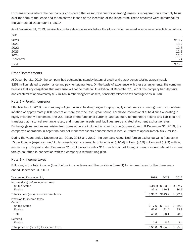For transactions where the company is considered the lessor, revenue for operating leases is recognized on a monthly basis over the term of the lease and for sales-type leases at the inception of the lease term. These amounts were immaterial for the year ended December 31, 2019.

As of December 31, 2019, receivables under sales-type leases before the allowance for unearned income were collectible as follows:

| Year       |                    |
|------------|--------------------|
| 2020       | \$19.7             |
| 2021       | 13.7               |
| 2022       | 12.6               |
| 2023       | 12.5               |
| 2024       | 12.0               |
| Thereafter | 5.4                |
| Total      | $\frac{1}{\$75.9}$ |

#### **Other Commitments**

At December 31, 2019, the company had outstanding standby letters of credit and surety bonds totaling approximately \$258 million related to performance and payment guarantees. On the basis of experience with these arrangements, the company believes that any obligations that may arise will not be material. In addition, at December 31, 2019, the company had deposits and collateral of approximately \$12 million in other long-term assets, principally related to tax contingencies in Brazil.

#### **Note 5 – Foreign currency**

Effective July 1, 2018, the company's Argentinian subsidiary began to apply highly inflationary accounting due to cumulative inflation of approximately 100 percent or more over the last 3-year period. For those international subsidiaries operating in highly inflationary economies, the U.S. dollar is the functional currency, and as such, nonmonetary assets and liabilities are translated at historical exchange rates, and monetary assets and liabilities are translated at current exchange rates. Exchange gains and losses arising from translation are included in other income (expense), net. At December 31, 2019, the company's operations in Argentina had net monetary assets denominated in local currency of approximately \$6.2 million.

During the years ended December 31, 2019, 2018 and 2017, the company recognized foreign exchange gains (losses) in "Other income (expense), net" in its consolidated statements of income of \$(10.4) million, \$(5.9) million and \$(9.9) million, respectively. The year ended December 31, 2017 also includes \$11.8 million of net foreign currency losses related to exiting foreign countries in connection with the company's restructuring plan.

#### **Note 6 – Income taxes**

Following is the total income (loss) before income taxes and the provision (benefit) for income taxes for the three years ended December 31, 2019.

| Year ended December 31,                                                  | 2019   | 2018                  | 2017                                  |
|--------------------------------------------------------------------------|--------|-----------------------|---------------------------------------|
| Income (loss) before income taxes<br><b>United States</b><br>Foreign     | 87.8   | 196.8                 | $\$(48.1) \$(53.6) \$(152.7)$<br>80.6 |
| Total income (loss) before income taxes                                  | S 39.7 | \$143.2               | \$(72.1)                              |
| Provision for income taxes<br>Current<br><b>United States</b><br>Foreign | 41.0   | $$7.6$ \$ 4.7<br>51.4 | \$ (42.8)<br>33.9                     |
| Total                                                                    | 48.6   | 56.1                  | (8.9)                                 |
| Deferred<br>Foreign                                                      | 4.4    | 8.2                   | 3.4                                   |
| Total provision (benefit) for income taxes                               | \$53.0 | \$64.3                | (5.5)<br>S                            |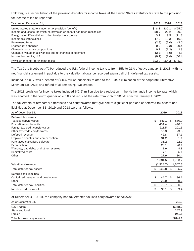Following is a reconciliation of the provision (benefit) for income taxes at the United States statutory tax rate to the provision for income taxes as reported:

| Year ended December 31,                                                 | 2019   | 2018              | 2017       |
|-------------------------------------------------------------------------|--------|-------------------|------------|
| United States statutory income tax provision (benefit)                  | \$8.3  | S <sub>30.1</sub> | \$(25.2)   |
| Income and losses for which no provision or benefit has been recognized | 28.2   | 22.2              | 70.3       |
| Foreign rate differential and other foreign tax expense                 | 3.2    | 9.5               | (11.3)     |
| Income tax withholdings                                                 | 17.6   | 19.3              | 16.8       |
| Permanent items                                                         | (2.5)  | (5.0)             | (3.0)      |
| Enacted rate changes                                                    | 0.5    | (2.3)             | (0.4)      |
| Change in uncertain tax positions                                       | 0.2    | (1.2)             | 2.3        |
| Change in valuation allowances due to changes in judgment               | (2.3)  | (5.9)             | (4.6)      |
| Income tax credits, U.S.                                                | (0.2)  | (2.4)             | (50.4)     |
| Provision (benefit) for income taxes                                    | \$53.0 | <b>\$64.3</b>     | (5.5)<br>S |

The Tax Cuts & Jobs Act (TCJA) reduced the U.S. federal income tax rate from 35% to 21% effective January 1, 2018, with no net financial statement impact due to the valuation allowance recorded against all U.S. deferred tax assets.

Included in 2017 was a benefit of \$50.4 million principally related to the TCJA's elimination of the corporate Alternative Minimum Tax (AMT) and refund of all remaining AMT credits.

The 2018 provision for income taxes included \$(2.2) million due to a reduction in the Netherlands income tax rate, which was enacted in the fourth quarter of 2018 and reduced the rate from 25% to 20.5% effective January 1, 2021.

The tax effects of temporary differences and carryforwards that give rise to significant portions of deferred tax assets and liabilities at December 31, 2019 and 2018 were as follows:

| As of December 31,                     | 2019        |    | 2018      |
|----------------------------------------|-------------|----|-----------|
| Deferred tax assets                    |             |    |           |
| Tax loss carryforwards                 | \$<br>841.1 | S  | 860.0     |
| Postretirement benefits                | 434.4       |    | 440.3     |
| Foreign tax credit carryforwards       | 211.5       |    | 221.6     |
| Other tax credit carryforwards         | 30.3        |    | 29.8      |
| Deferred revenue                       | 42.8        |    | 37.1      |
| Employee benefits and compensation     | 31.2        |    | 31.1      |
| Purchased capitalized software         | 31.2        |    | 22.9      |
| Depreciation                           | 28.1        |    | 20.1      |
| Warranty, bad debts and other reserves | 5.9         |    | 4.8       |
| Capitalized costs                      | 7.1         |    | 5.1       |
| Other                                  | 27.9        |    | 30.4      |
|                                        | 1,691.5     |    | 1,703.2   |
| Valuation allowance                    | (1,524.7)   |    | (1,547.5) |
| Total deferred tax assets              | Ŝ<br>166.8  | Ŝ  | 155.7     |
| Deferred tax liabilities               |             |    |           |
| Capitalized research and development   | \$<br>44.7  | Ŝ  | 36.1      |
| Other                                  | 29.0        |    | 30.2      |
| Total deferred tax liabilities         | \$<br>73.7  | Ś. | 66.3      |
| Net deferred tax assets                | \$<br>93.1  | Ś  | 89.4      |

At December 31, 2019, the company has tax effected tax loss carryforwards as follows:

| As of December 31,           | 2019    |
|------------------------------|---------|
| U.S. Federal                 | \$348.2 |
| State and local              | 247.8   |
| Foreign                      | 245.1   |
| Total tax loss carryforwards | \$841.1 |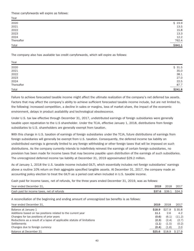These carryforwards will expire as follows:

 $y = 1$ 

| Year         |                         |
|--------------|-------------------------|
| 2020         | \$23.9                  |
| 2021         | 13.5                    |
| 2022<br>2023 | 15.8                    |
|              | 13.3                    |
| 2024         | 12.2                    |
| Thereafter   |                         |
| Total        | $\frac{762.4}{\$841.1}$ |

The company also has available tax credit carryforwards, which will expire as follows:

| rear       |         |
|------------|---------|
| 2020       | \$31.5  |
| 2021       | 35.0    |
| 2022       | 38.1    |
| 2023       | 27.0    |
| 2024       | 22.5    |
| Thereafter | 87.7    |
| Total      | \$241.8 |

Failure to achieve forecasted taxable income might affect the ultimate realization of the company's net deferred tax assets. Factors that may affect the company's ability to achieve sufficient forecasted taxable income include, but are not limited to, the following: increased competition, a decline in sales or margins, loss of market share, the impact of the economic environment, delays in product availability and technological obsolescence.

Under U.S. tax law effective through December 31, 2017, undistributed earnings of foreign subsidiaries were generally taxable upon repatriation to the U.S shareholder. Under the TCJA, effective January 1, 2018, distributions from foreign subsidiaries to U.S. shareholders are generally exempt from taxation.

With this change in U.S. taxation of earnings of foreign subsidiaries under the TCJA, future distributions of earnings from foreign subsidiaries will generally be exempt from U.S. taxation. Consequently, the deferred income tax liability on undistributed earnings is generally limited to any foreign withholding or other foreign taxes that will be imposed on such distributions. As the company currently intends to indefinitely reinvest the earnings of certain foreign subsidiaries, no provision has been made for income taxes that may become payable upon distribution of the earnings of such subsidiaries. The unrecognized deferred income tax liability at December 31, 2019 approximated \$29.2 million.

As of January 1, 2018 the U.S. taxable income included GILTI, which essentially includes net foreign subsidiaries' earnings above a routine 10% return on their aggregate specified tangible assets. At December 31, 2017, the company made an accounting policy election to treat the GILTI as a period cost when included in U.S. taxable income.

Cash paid for income taxes, net of refunds, for the three years ended December 31, 2019, was as follows:

| Year ended December 31.                    | 2019  | 2018  | 2017   |
|--------------------------------------------|-------|-------|--------|
| Cash paid for income taxes, net of refunds | S37.6 | S39.1 | \$34.3 |

A reconciliation of the beginning and ending amount of unrecognized tax benefits is as follows:

| Year ended December 31,                                                | 2019         | 2018   | 2017   |
|------------------------------------------------------------------------|--------------|--------|--------|
| Balance at January 1                                                   | \$18.9       | S27.9  | \$35.8 |
| Additions based on tax positions related to the current year           | 11.1         | 2.6    | 4.2    |
| Changes for tax positions of prior years                               | (0.6)        | (6.1)  | (11.2) |
| Reductions as a result of a lapse of applicable statute of limitations | (2.3)        | (2.4)  | (2.7)  |
| <b>Settlements</b>                                                     | (1.1)        | (1.5)  | (0.2)  |
| Changes due to foreign currency                                        | (0.4)        | (1.6)  | 2.0    |
| Balance at December 31                                                 | <b>S25.6</b> | \$18.9 | \$27.9 |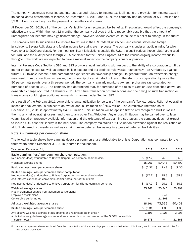The company recognizes penalties and interest accrued related to income tax liabilities in the provision for income taxes in its consolidated statements of income. At December 31, 2019 and 2018, the company had an accrual of \$3.0 million and \$2.6 million, respectively, for the payment of penalties and interest.

At December 31, 2019, all of the company's liability for unrecognized tax benefits, if recognized, would affect the company's effective tax rate. Within the next 12 months, the company believes that it is reasonably possible that the amount of unrecognized tax benefits may significantly change; however, various events could cause this belief to change in the future.

The company and its subsidiaries file income tax returns in the U.S. federal jurisdiction, and various states and foreign jurisdictions. Several U.S. state and foreign income tax audits are in process. The company is under an audit in India, for which years prior to 2009 are closed. For the most significant jurisdictions outside the U.S., the audit periods through 2014 are closed for Brazil, and the audit periods through 2015 are closed for the United Kingdom. All of the various ongoing income tax audits throughout the world are not expected to have a material impact on the company's financial position.

Internal Revenue Code Sections 382 and 383 provide annual limitations with respect to the ability of a corporation to utilize its net operating loss (as well as certain built-in losses) and tax credit carryforwards, respectively (Tax Attributes), against future U.S. taxable income, if the corporation experiences an "ownership change." In general terms, an ownership change may result from transactions increasing the ownership of certain stockholders in the stock of a corporation by more than 50 percentage points over a three-year period. The company regularly monitors ownership changes (as calculated for purposes of Section 382). The company has determined that, for purposes of the rules of Section 382 described above, an ownership change occurred in February 2011. Any future transaction or transactions and the timing of such transaction or transactions could trigger additional ownership changes under Section 382.

As a result of the February 2011 ownership change, utilization for certain of the company's Tax Attributes, U.S. net operating losses and tax credits, is subject to an overall annual limitation of \$70.6 million. The cumulative limitation as of December 31, 2019 is approximately \$470.3 million. This limitation will be applied first to any recognized built in losses, then to any net operating losses, and then to any other Tax Attributes. Any unused limitation may be carried over to later years. Based on presently available information and the existence of tax planning strategies, the company does not expect to incur a U.S. cash tax liability in the near term. The company maintains a full valuation allowance against the realization of all U.S. deferred tax assets as well as certain foreign deferred tax assets in excess of deferred tax liabilities.

#### **Note 7 – Earnings per common share**

The following table shows how earnings (loss) per common share attributable to Unisys Corporation was computed for the three years ended December 31, 2019 (shares in thousands).

| Year ended December 31,                                                                                                                                                                                   |    | 2019         |        | 2018          |    | 2017   |
|-----------------------------------------------------------------------------------------------------------------------------------------------------------------------------------------------------------|----|--------------|--------|---------------|----|--------|
| Basic earnings (loss) per common share computation:<br>Net income (loss) attributable to Unisys Corporation common shareholders                                                                           | S. | (17.2)       | -Ŝ     | 75.5          | S  | (65.3) |
| Weighted average shares                                                                                                                                                                                   |    | 55,961       | 50,946 |               |    | 50,409 |
| Basic earnings (loss) per common share                                                                                                                                                                    |    | \$ (0.31) \$ |        | 1.48          | S  | (1.30) |
| Diluted earnings (loss) per common share computation:<br>Net income (loss) attributable to Unisys Corporation common shareholders<br>Add interest expense on convertible senior notes, net of tax of zero | Ŝ. | $(17.2)$ \$  |        | 75.5<br>19.6  | Ŝ. | (65.3) |
| Net income (loss) attributable to Unisys Corporation for diluted earnings per share                                                                                                                       | S. | $(17.2)$ \$  |        | 95.1          | S  | (65.3) |
| Weighted average shares<br>Plus incremental shares from assumed conversions:                                                                                                                              |    | 55,961       |        | 50,946        |    | 50,409 |
| Employee stock plans<br>Convertible senior notes                                                                                                                                                          |    |              |        | 541<br>21,868 |    |        |
| Adjusted weighted average shares                                                                                                                                                                          |    | 55,961       |        | 73,355        |    | 50,409 |
| Diluted earnings (loss) per common share                                                                                                                                                                  |    | \$ (0.31) \$ |        | 1.30          | S  | (1.30) |
| Anti-dilutive weighted-average stock options and restricted stock units <sup>(i)</sup><br>Anti-dilutive weighted-average common shares issuable upon conversion of the 5.50% convertible                  |    | 1,393        |        | 1,226         |    | 2,206  |
| senior notes <sup>(i)</sup>                                                                                                                                                                               |    | 16,578       |        |               |    | 21,868 |

<sup>(i)</sup> Amounts represent shares excluded from the computation of diluted earnings per share, as their effect, if included, would have been anti-dilutive for the periods presented.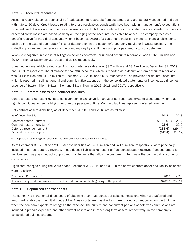#### **Note 8 – Accounts receivable**

Accounts receivable consist principally of trade accounts receivable from customers and are generally unsecured and due within 30 to 90 days. Credit losses relating to these receivables consistently have been within management's expectations. Expected credit losses are recorded as an allowance for doubtful accounts in the consolidated balance sheets. Estimates of expected credit losses are based primarily on the aging of the accounts receivable balances. The company records a specific reserve for individual accounts when it becomes aware of a customer's inability to meet its financial obligations, such as in the case of bankruptcy filings or deterioration in the customer's operating results or financial position. The collection policies and procedures of the company vary by credit class and prior payment history of customers.

Revenue recognized in excess of billings on services contracts, or unbilled accounts receivable, was \$102.8 million and \$94.4 million at December 31, 2019 and 2018, respectively.

Unearned income, which is deducted from accounts receivable, was \$8.7 million and \$8.4 million at December 31, 2019 and 2018, respectively. The allowance for doubtful accounts, which is reported as a deduction from accounts receivable, was \$11.8 million and \$13.7 million at December 31, 2019 and 2018, respectively. The provision for doubtful accounts, which is reported in selling, general and administrative expenses in the consolidated statements of income, was (income) expense of \$(1.6) million, \$(5.1) million and \$3.1 million, in 2019, 2018 and 2017, respectively.

#### **Note 9 – Contract assets and contract liabilities**

Contract assets represent rights to consideration in exchange for goods or services transferred to a customer when that right is conditional on something other than the passage of time. Contract liabilities represent deferred revenue.

Net contract assets (liabilities) as of December 31, 2019 and 2018 are as follows:

| As of December 31,                         | 2019    | 2018                                |
|--------------------------------------------|---------|-------------------------------------|
| Contract assets - current                  |         | $\textbf{S}$ 53.0 $\textbf{S}$ 29.7 |
| Contract assets - long-term <sup>(i)</sup> | 21.6    | 22.2                                |
| Deferred revenue - current                 | (288.6) | (294.4)                             |
| Deferred revenue - long-term               | (147.4) | (157.2)                             |

 $(i)$  Reported in other long-term assets on the company's consolidated balance sheets

As of December 31, 2019 and 2018, deposit liabilities of \$25.3 million and \$21.2 million, respectively, were principally included in current deferred revenue. These deposit liabilities represent upfront consideration received from customers for services such as post-contract support and maintenance that allow the customer to terminate the contract at any time for convenience.

Significant changes during the years ended December 31, 2019 and 2018 in the above contract asset and liability balances were as follows:

| Year ended December 31,                                                                 | 2019            | 2018 |
|-----------------------------------------------------------------------------------------|-----------------|------|
| Revenue recognized that was included in deferred revenue at the beginning of the period | \$287.9 \$307.1 |      |

#### **Note 10 – Capitalized contract costs**

The company's incremental direct costs of obtaining a contract consist of sales commissions which are deferred and amortized ratably over the initial contract life. These costs are classified as current or noncurrent based on the timing of when the company expects to recognize the expense. The current and noncurrent portions of deferred commissions are included in prepaid expenses and other current assets and in other long-term assets, respectively, in the company's consolidated balance sheets.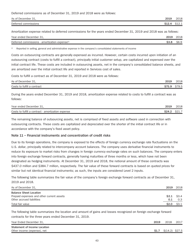Deferred commissions as of December 31, 2019 and 2018 were as follows:

| As of December 31,      | 2019 | 2018         |
|-------------------------|------|--------------|
| Deferred<br>commissions | Ş12  | . . <i>.</i> |

Amortization expense related to deferred commissions for the years ended December 31, 2019 and 2018 was as follows:

| Year ended December 31.                                    | 2019 | 2018 |
|------------------------------------------------------------|------|------|
| Deferred commissions - amortization expense <sup>(i)</sup> |      |      |

Reported in selling, general and administrative expense in the company's consolidated statements of income

Costs on outsourcing contracts are generally expensed as incurred. However, certain costs incurred upon initiation of an outsourcing contract (costs to fulfill a contract), principally initial customer setup, are capitalized and expensed over the initial contract life. These costs are included in outsourcing assets, net in the company's consolidated balance sheets, and are amortized over the initial contract life and reported in Services cost of sales.

Costs to fulfill a contract as of December 31, 2019 and 2018 were as follows:

| As of December 31,          | 2019   | 2018  |
|-----------------------------|--------|-------|
| Costs to fulfill a contract | \$75.9 | S79.5 |

During the years ended December 31, 2019 and 2018, amortization expense related to costs to fulfill a contract was as follows:

| Year ended December 31,                            | 2019  | 2018         |
|----------------------------------------------------|-------|--------------|
| Costs to fulfill a contract - amortization expense | S24.2 | <b>S21.7</b> |

The remaining balance of outsourcing assets, net is comprised of fixed assets and software used in connection with outsourcing contracts. These costs are capitalized and depreciated over the shorter of the initial contract life or in accordance with the company's fixed asset policy.

#### **Note 11 – Financial instruments and concentration of credit risks**

Due to its foreign operations, the company is exposed to the effects of foreign currency exchange rate fluctuations on the U.S. dollar, principally related to intercompany account balances. The company uses derivative financial instruments to reduce its exposure to market risks from changes in foreign currency exchange rates on such balances. The company enters into foreign exchange forward contracts, generally having maturities of three months or less, which have not been designated as hedging instruments. At December 31, 2019 and 2018, the notional amount of these contracts was \$437.0 million and \$384.7 million, respectively. The fair value of these forward contracts is based on quoted prices for similar but not identical financial instruments; as such, the inputs are considered Level 2 inputs.

The following table summarizes the fair value of the company's foreign exchange forward contracts as of December 31, 2019 and 2018.

| As of December 31,                        | 2019  | 2018        |
|-------------------------------------------|-------|-------------|
| <b>Balance Sheet Location</b>             |       |             |
| Prepaid expenses and other current assets | \$2.1 | <b>S3.4</b> |
| Other accrued liabilities                 |       | 0.3         |
| Total fair value                          | \$2.0 | S3.1        |

The following table summarizes the location and amount of gains and losses recognized on foreign exchange forward contracts for the three years ended December 31, 2019.

| Year Ended December 31,      | 2019 | 2018                    | 2017 |
|------------------------------|------|-------------------------|------|
| Statement of Income Location |      |                         |      |
| Other income (expense), net  | S1.7 | $\Im(14.2)$ $\Im(27.5)$ |      |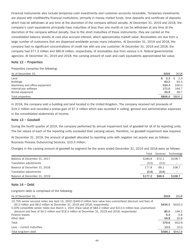Financial instruments also include temporary cash investments and customer accounts receivable. Temporary investments are placed with creditworthy financial institutions, primarily in money market funds, time deposits and certificate of deposits which may be withdrawn at any time at the discretion of the company without penalty. At December 31, 2019 and 2018, the company's cash equivalents principally have maturities of less than one month or can be withdrawn at any time at the discretion of the company without penalty. Due to the short maturities of these instruments, they are carried on the consolidated balance sheets at cost plus accrued interest, which approximates market value. Receivables are due from a large number of customers that are dispersed worldwide across many industries. At December 31, 2019 and 2018, the company had no significant concentrations of credit risk with any one customer. At December 31, 2019 and 2018, the company had \$77.3 million and \$85.8 million, respectively, of receivables due from various U.S. federal governmental agencies. At December 31, 2019 and 2018, the carrying amount of cash and cash equivalents approximated fair value.

#### **Note 12 – Properties**

Properties comprise the following:

| As of December 31,             | 2019 |         | 2018     |
|--------------------------------|------|---------|----------|
| Land                           | s    | 2.3     | 2.3<br>S |
| <b>Buildings</b>               |      | 63.5    | 63.5     |
| Machinery and office equipment |      | 534.3   | 530.0    |
| Internal-use software          |      | 171.0   | 164.7    |
| Rental equipment               |      | 34.9    | 39.7     |
| Total properties               |      | \$806.0 | \$800.2  |

In 2018, the company sold a building and land located in the United Kingdom. The company received net proceeds of \$19.2 million and recorded a pretax gain of \$7.3 million which was recorded in selling, general and administrative expenses in the consolidated statements of income.

#### **Note 13 – Goodwill**

During the fourth quarter of 2019, the company performed its annual impairment test of goodwill for all of its reporting units. The fair values of each of the reporting units exceeded their carrying values; therefore, no goodwill impairment was required.

At December 31, 2019, the amount of goodwill allocated to reporting units with negative net assets was as follows: Business Process Outsourcing Services, \$10.3 million.

Changes in the carrying amount of goodwill by segment for the years ended December 31, 2019 and 2018 were as follows:

|                              | Total   | Services     | Technology |
|------------------------------|---------|--------------|------------|
| Balance at December 31, 2017 | \$180.8 | \$72.1       | \$108.7    |
| Translation adjustments      | (3.0)   | (3.0)        |            |
| Balance at December 31, 2018 | 177.8   | 69.1         | 108.7      |
| Translation adjustments      | (0.6)   | (0.6)        |            |
| Balance at December 31, 2019 | \$177.2 | <b>S68.5</b> | \$108.7    |

#### **Note 14 – Debt**

Long-term debt is comprised of the following:

| As of December 31.                                                                                                                                                                                                                                                                                                      | 2019    | 2018    |
|-------------------------------------------------------------------------------------------------------------------------------------------------------------------------------------------------------------------------------------------------------------------------------------------------------------------------|---------|---------|
| 10.75% senior secured notes due April 15, 2022 (\$440.0 million face value less unamortized discount and fees of<br>\$5.5 million and \$8.0 million at December 31, 2019 and 2018, respectively)<br>5.50% convertible senior notes due March 1, 2021 (Face value of \$84.2 million and \$213.5 million less unamortized | \$434.5 | \$432.0 |
| discount and fees of \$4.2 million and \$19.3 million at December 31, 2019 and 2018, respectively)                                                                                                                                                                                                                      | 80.0    | 194.2   |
| Finance leases                                                                                                                                                                                                                                                                                                          | 5.3     | 5.8     |
| Other debt                                                                                                                                                                                                                                                                                                              | 59.8    | 20.8    |
| Total                                                                                                                                                                                                                                                                                                                   | 579.6   | 652.8   |
| $\text{Less}$ – current maturities                                                                                                                                                                                                                                                                                      | 13.5    | 10.0    |
| Total long-term debt                                                                                                                                                                                                                                                                                                    | \$566.1 | \$642.8 |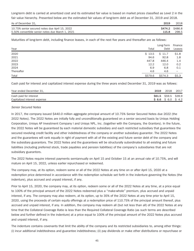Long-term debt is carried at amortized cost and its estimated fair value is based on market prices classified as Level 2 in the fair value hierarchy. Presented below are the estimated fair values of long-term debt as of December 31, 2019 and 2018.

| As of December 31,                               | 2019  | 2018                   |
|--------------------------------------------------|-------|------------------------|
| 10.75% senior secured notes due April 15, 2022   |       | <b>\$474.2</b> \$486.8 |
| 5.50% convertible senior notes due March 1, 2021 | 115.8 | 298.5                  |

Maturities of long-term debt, including finance leases, in each of the next five years and thereafter are as follows:

| Year       | Total   | Long-Term<br>Debt | Finance<br>Leases |
|------------|---------|-------------------|-------------------|
| 2020       | \$13.5  | \$11.7            | \$1.8             |
| 2021       | 94.6    | 92.8              | 1.8               |
| 2022       | 447.8   | 446.4             | 1.4               |
| 2023       | 12.2    | 12.0              | 0.2               |
| 2024       | 6.9     | 6.8               | 0.1               |
| Thereafter | 4.6     | 4.6               | $\qquad \qquad -$ |
| Total      | \$579.6 | \$574.3           | \$5.3             |

Cash paid for interest and capitalized interest expense during the three years ended December 31, 2019 was as follows:

| Year ended December 31,      | 2019 | 2018 2017            |  |
|------------------------------|------|----------------------|--|
| Cash paid for interest       |      | \$61.5 \$59.5 \$39.9 |  |
| Capitalized interest expense |      | $$6.6$ $$6.0$ $$4.2$ |  |

#### *Senior Secured Notes*

In 2017, the company issued \$440.0 million aggregate principal amount of 10.75% Senior Secured Notes due 2022 (the 2022 Notes). The 2022 Notes are initially fully and unconditionally guaranteed on a senior secured basis by Unisys Holding Corporation, Unisys AP Investment Company I and Unisys NPL, Inc. (together with the Company, the Grantors). In the future, the 2022 Notes will be guaranteed by each material domestic subsidiary and each restricted subsidiary that guarantees the secured revolving credit facility and other indebtedness of the company or another subsidiary guarantor. The 2022 Notes and the guarantees will rank equally in right of payment with all of the existing and future senior debt of the company and the subsidiary guarantors. The 2022 Notes and the guarantees will be structurally subordinated to all existing and future liabilities (including preferred stock, trade payables and pension liabilities) of the company's subsidiaries that are not subsidiary guarantors.

The 2022 Notes require interest payments semiannually on April 15 and October 15 at an annual rate of 10.75%, and will mature on April 15, 2022, unless earlier repurchased or redeemed.

The company may, at its option, redeem some or all of the 2022 Notes at any time on or after April 15, 2020 at a redemption price determined in accordance with the redemption schedule set forth in the indenture governing the Notes (the indenture), plus accrued and unpaid interest, if any.

Prior to April 15, 2020, the company may, at its option, redeem some or all of the 2022 Notes at any time, at a price equal to 100% of the principal amount of the 2022 Notes redeemed plus a "make-whole" premium, plus accrued and unpaid interest, if any. The company may also redeem, at its option, up to 35% of the 2022 Notes at any time prior to April 15, 2020, using the proceeds of certain equity offerings at a redemption price of 110.75% of the principal amount thereof, plus accrued and unpaid interest, if any. In addition, the company may redeem all (but not less than all) of the 2022 Notes at any time that the Collateral Coverage Ratio is less than the Required Collateral Coverage Ratio (as such terms are described below and further defined in the indenture) at a price equal to 100% of the principal amount of the 2022 Notes plus accrued and unpaid interest, if any.

The indenture contains covenants that limit the ability of the company and its restricted subsidiaries to, among other things: (i) incur additional indebtedness and guarantee indebtedness; (ii) pay dividends or make other distributions or repurchase or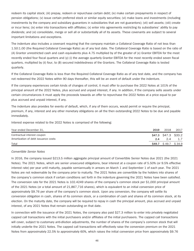redeem its capital stock; (iii) prepay, redeem or repurchase certain debt; (iv) make certain prepayments in respect of pension obligations; (v) issue certain preferred stock or similar equity securities; (vi) make loans and investments (including investments by the company and subsidiary guarantors in subsidiaries that are not guarantors); (vii) sell assets; (viii) create or incur liens; (ix) enter into transactions with affiliates; (x) enter into agreements restricting its subsidiaries' ability to pay dividends; and (xi) consolidate, merge or sell all or substantially all of its assets. These covenants are subject to several important limitations and exceptions.

The indenture also includes a covenant requiring that the company maintain a Collateral Coverage Ratio of not less than 1.50:1.00 (the Required Collateral Coverage Ratio) as of any test date. The Collateral Coverage Ratio is based on the ratio of (A) Grantor unrestricted cash and cash equivalents plus 4.75 multiplied by of the greater of (x) Grantor EBITDA for the most recently ended four fiscal quarters and (y) (i) the average quarterly Grantor EBITDA for the most recently ended seven fiscal quarters, multiplied by (ii) four, to (B) secured indebtedness of the Grantors. The Collateral Coverage Ratio is tested quarterly.

If the Collateral Coverage Ratio is less than the Required Collateral Coverage Ratio as of any test date, and the company has not redeemed the 2022 Notes within 90 days thereafter, this will be an event of default under the indenture.

If the company experiences certain kinds of changes of control, it must offer to purchase the 2022 Notes at 101% of the principal amount of the 2022 Notes, plus accrued and unpaid interest, if any. In addition, if the company sells assets under certain circumstances it must apply the proceeds towards an offer to repurchase the 2022 Notes at a price equal to par plus accrued and unpaid interest, if any.

The indenture also provides for events of default, which, if any of them occurs, would permit or require the principal, premium, if any, interest and any other monetary obligations on all the then outstanding 2022 Notes to be due and payable immediately.

Interest expense related to the 2022 Notes is comprised of the following:

| Year ended December 31,             | 2019          | 2018                  | 2017 |
|-------------------------------------|---------------|-----------------------|------|
| Contractual interest coupon         |               | \$47.3 \$47.3 \$33.2  |      |
| Amortization of debt issuance costs | $2.4^{\circ}$ | 2.4                   |      |
| Total                               |               | $$49.7 \$49.7 \$34.9$ |      |

#### *Convertible Senior Notes*

In 2016, the company issued \$213.5 million aggregate principal amount of Convertible Senior Notes due 2021 (the 2021 Notes). The 2021 Notes, which are senior unsecured obligations, bear interest at a coupon rate of 5.50% (or 9.5% effective interest rate) per year until maturity, payable semiannually in arrears on March 1 and September 1 of each year. The 2021 Notes are not redeemable by the company prior to maturity. The 2021 Notes are convertible by the holders into shares of the company's common stock if certain conditions set forth in the indenture governing the 2021 Notes have been satisfied. The conversion rate for the 2021 Notes is 102.4249 shares of the company's common stock per \$1,000 principal amount of the 2021 Notes (or a total amount of 21,867,716 shares), which is equivalent to an initial conversion price of approximately \$9.76 per share of the company's common stock. Upon any conversion, the company will settle its conversion obligation in cash, shares of its common stock, or a combination of cash and shares of its common stock, at its election. On the maturity date, the company will be required to repay in cash the principal amount, plus accrued and unpaid interest, of any 2021 Notes that remain outstanding on that date.

In connection with the issuance of the 2021 Notes, the company also paid \$27.3 million to enter into privately negotiated capped call transactions with the initial purchasers and/or affiliates of the initial purchasers. The capped call transactions will cover, subject to customary anti-dilution adjustments, the number of shares of the company's common stock that will initially underlie the 2021 Notes. The capped call transactions will effectively raise the conversion premium on the 2021 Notes from approximately 22.5% to approximately 60%, which raises the initial conversion price from approximately \$9.76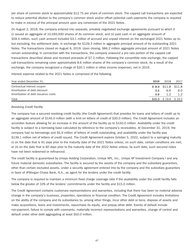per share of common stock to approximately \$12.75 per share of common stock. The capped call transactions are expected to reduce potential dilution to the company's common stock and/or offset potential cash payments the company is required to make in excess of the principal amount upon any conversion of the 2021 Notes.

On August 2, 2019, the company entered into separate, privately negotiated exchange agreements pursuant to which it (i) issued an aggregate of 10,593,930 shares of its common stock, and (ii) paid cash in an aggregate amount of \$59.4 million, such cash amount included \$3.1 million of accrued and unpaid interest on the exchanged 2021 Notes up to, but excluding, the settlement date, in exchange for \$129.3 million in aggregate principal amount of its outstanding 2021 Notes. The transactions closed on August 6, 2019. Upon closing, \$84.2 million aggregate principal amount of 2021 Notes remain outstanding. In connection with the transactions, the company unwound a pro rata portion of the capped call transactions described above and received proceeds of \$7.2 million. Following the convertible note exchange, the capped call transactions remaining cover approximately 8.6 million shares of the company's common stock. As a result of the exchange, the company recognized a charge of \$20.1 million in other income (expense), net in 2019.

Interest expense related to the 2021 Notes is comprised of the following:

| Year ended December 31,             | 2019 | 2018                    | 2017 |
|-------------------------------------|------|-------------------------|------|
| Contractual interest coupon         |      | $$8.9$ $$11.8$ $$11.8$  |      |
| Amortization of debt discount       | 5.5  | 6.6                     | 6.0  |
| Amortization of debt issuance costs | 0.9  | 1.2                     | 1.2  |
| Total                               |      | $$15.3$ $$19.6$ $$19.0$ |      |

#### *Revolving Credit Facility*

The company has a secured revolving credit facility (the Credit Agreement) that provides for loans and letters of credit up to an aggregate amount of \$145.0 million (with a limit on letters of credit of \$30.0 million). The Credit Agreement includes an accordion feature allowing for an increase in the amount of the facility up to \$150.0 million. Availability under the credit facility is subject to a borrowing base calculated by reference to the company's receivables. At December 31, 2019, the company had no borrowings and \$5.9 million of letters of credit outstanding, and availability under the facility was \$139.1 million net of letters of credit issued. The Credit Agreement expires October 5, 2022, subject to a springing maturity (i) on the date that is 91 days prior to the maturity date of the 2021 Notes unless, on such date, certain conditions are met; or (ii) on the date that is 60 days prior to the maturity date of the 2022 Notes unless, by such date, such secured notes have not been redeemed or refinanced.

The credit facility is guaranteed by Unisys Holding Corporation, Unisys NPL, Inc., Unisys AP Investment Company I and any future material domestic subsidiaries. The facility is secured by the assets of the company and the subsidiary guarantors, other than certain excluded assets, under a security agreement entered into by the company and the subsidiary guarantors in favor of JPMorgan Chase Bank, N.A., as agent for the lenders under the credit facility.

The company is required to maintain a minimum fixed charge coverage ratio if the availability under the credit facility falls below the greater of 10% of the lenders' commitments under the facility and \$15.0 million.

The Credit Agreement contains customary representations and warranties, including that there has been no material adverse change in the company's business, properties, operations or financial condition. The Credit Agreement includes limitations on the ability of the company and its subsidiaries to, among other things, incur other debt or liens, dispose of assets and make acquisitions, loans and investments, repurchase its equity, and prepay other debt. Events of default include non-payment, failure to comply with covenants, materially incorrect representations and warranties, change of control and default under other debt aggregating at least \$50.0 million.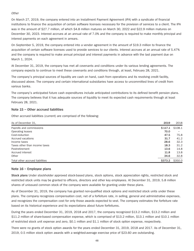#### *Other*

On March 27, 2019, the company entered into an Installment Payment Agreement (IPA) with a syndicate of financial institutions to finance the acquisition of certain software licenses necessary for the provision of services to a client. The IPA was in the amount of \$27.7 million, of which \$4.8 million matures on March 30, 2022 and \$22.9 million matures on December 30, 2023. Interest accrues at an annual rate of 7.0% and the company is required to make monthly principal and interest payments on each agreement in arrears.

On September 5, 2019, the company entered into a vendor agreement in the amount of \$19.3 million to finance the acquisition of certain software licenses used to provide services to our clients. Interest accrues at an annual rate of 5.47% and the company is required to make annual principal and interest payments in advance with the last payment due on March 1, 2024.

At December 31, 2019, the company has met all covenants and conditions under its various lending agreements. The company expects to continue to meet these covenants and conditions through, at least, February 28, 2021.

The company's principal sources of liquidity are cash on hand, cash from operations and its revolving credit facility, discussed above. The company and certain international subsidiaries have access to uncommitted lines of credit from various banks.

The company's anticipated future cash expenditures include anticipated contributions to its defined benefit pension plans. The company believes that it has adequate sources of liquidity to meet its expected cash requirements through at least February 28, 2021.

#### **Note 15 – Other accrued liabilities**

Other accrued liabilities (current) are comprised of the following:

| As of December 31,              | 2019    | 2018    |
|---------------------------------|---------|---------|
| Payrolls and commissions        | \$117.1 | \$108.1 |
| Operating leases                | 70.0    |         |
| Cost-reduction                  | 47.5    | 75.8    |
| Accrued vacations               | 31.7    | 41.2    |
| Income taxes                    | 28.6    | 32.3    |
| Taxes other than income taxes   | 18.3    | 31.2    |
| Postretirement                  | 13.6    | 14.8    |
| Accrued interest                | 11.8    | 13.8    |
| Other                           | 34.6    | 32.8    |
| Total other accrued liabilities | \$373.2 | \$350.0 |

#### **Note 16 – Employee plans**

**Stock plans** Under stockholder approved stock-based plans, stock options, stock appreciation rights, restricted stock and restricted stock units may be granted to officers, directors and other key employees. At December 31, 2019, 5.8 million shares of unissued common stock of the company were available for granting under these plans.

As of December 31, 2019, the company has granted non-qualified stock options and restricted stock units under these plans. The company recognizes compensation cost, net of a forfeiture rate, in selling, general and administrative expenses, and recognizes the compensation cost for only those awards expected to vest. The company estimates the forfeiture rate based on its historical experience and its expectations about future forfeitures.

During the years ended December 31, 2019, 2018 and 2017, the company recognized \$13.2 million, \$13.2 million and \$11.2 million of share-based compensation expense, which is comprised of \$13.2 million, \$13.1 million and \$10.1 million of restricted stock unit expense and zero, \$0.1 million and \$1.1 million of stock option expense, respectively.

There were no grants of stock option awards for the years ended December 31, 2019, 2018 and 2017. As of December 31, 2019, 0.5 million stock option awards with a weighted-average exercise price of \$23.60 are outstanding.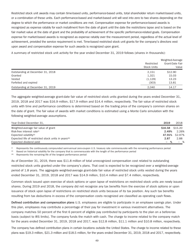Restricted stock unit awards may contain time-based units, performance-based units, total shareholder return market-based units, or a combination of these units. Each performance-based and market-based unit will vest into zero to two shares depending on the degree to which the performance or market conditions are met. Compensation expense for performance-based awards is recognized as expense ratably for each installment from the date of grant until the date the restrictions lapse and is based on the fair market value at the date of grant and the probability of achievement of the specific performance-related goals. Compensation expense for market-based awards is recognized as expense ratably over the measurement period, regardless of the actual level of achievement, provided the service requirement is met. Time-based restricted stock unit grants for the company's directors vest upon award and compensation expense for such awards is recognized upon grant.

A summary of restricted stock unit activity for the year ended December 31, 2019 follows (shares in thousands):

|                                  | Restricted<br><b>Stock Units</b> | Weighted-Average<br>Grant-Date Fair<br>Value |
|----------------------------------|----------------------------------|----------------------------------------------|
| Outstanding at December 31, 2018 | 2,151                            | \$12.90                                      |
| Granted                          | 1,321                            | 15.03                                        |
| Vested                           | (1, 129)                         | 13.23                                        |
| Forfeited and expired            | (303)                            | 13.81                                        |
| Outstanding at December 31, 2019 | 2.040                            | 14.17                                        |

The aggregate weighted-average grant-date fair value of restricted stock units granted during the years ended December 31, 2019, 2018 and 2017 was \$16.9 million, \$17.9 million and \$14.4 million, respectively. The fair value of restricted stock units with time and performance conditions is determined based on the trading price of the company's common shares on the date of grant. The fair value of awards with market conditions is estimated using a Monte Carlo simulation with the following weighted-average assumptions.

| Year Ended December 31,                                           | 2019  | 2018            |
|-------------------------------------------------------------------|-------|-----------------|
| Weighted-average fair value of grant                              |       | \$16.58 \$15.20 |
| Risk-free interest rate <sup>(i)</sup>                            | 2.49% | 2.26%           |
| Expected volatility(ii)                                           |       | 47.91% 52.97%   |
| Expected life of restricted stock units in years <sup>(iii)</sup> | 2.87  | 2.88            |
| Expected dividend yield                                           | $-$ % | $-$ %           |

 $^{(i)}$  Represents the continuously compounded semi-annual zero-coupon U.S. treasury rate commensurate with the remaining performance period

(ii) Based on historical volatility for the company that is commensurate with the length of the performance period

(iii) Represents the remaining life of the longest performance period

As of December 31, 2019, there was \$11.8 million of total unrecognized compensation cost related to outstanding restricted stock units granted under the company's plans. That cost is expected to be recognized over a weighted-average period of 1.8 years. The aggregate weighted-average grant-date fair value of restricted stock units vested during the years ended December 31, 2019, 2018 and 2017 was \$14.9 million, \$10.4 million and \$7.4 million, respectively.

Common stock issued upon exercise of stock options or upon lapse of restrictions on restricted stock units are newly issued shares. During 2019 and 2018, the company did not recognize any tax benefits from the exercise of stock options or upon issuance of stock upon lapse of restrictions on restricted stock units because of its tax position. Any such tax benefits resulting from tax deductions in excess of the compensation costs recognized are classified as operating cash flows.

**Defined contribution and compensation plans** U.S. employees are eligible to participate in an employee savings plan. Under this plan, employees may contribute a percentage of their pay for investment in various investment alternatives. The company matches 50 percent of the first 6 percent of eligible pay contributed by participants to the plan on a before-tax basis (subject to IRS limits). The company funds the match with cash. The charge to income related to the company match for the years ended December 31, 2019, 2018 and 2017, was \$12.8 million, \$11.1 million and \$10.8 million, respectively.

The company has defined contribution plans in certain locations outside the United States. The charge to income related to these plans was \$19.3 million, \$21.3 million and \$18.5 million, for the years ended December 31, 2019, 2018 and 2017, respectively.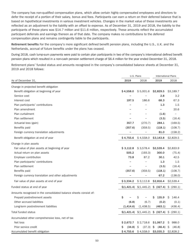The company has non-qualified compensation plans, which allow certain highly compensated employees and directors to defer the receipt of a portion of their salary, bonus and fees. Participants can earn a return on their deferred balance that is based on hypothetical investments in various investment vehicles. Changes in the market value of these investments are reflected as an adjustment to the liability with an offset to expense. As of December 31, 2019 and 2018, the liability to the participants of these plans was \$14.7 million and \$11.6 million, respectively. These amounts reflect the accumulated participant deferrals and earnings thereon as of that date. The company makes no contributions to the deferred compensation plans and remains contingently liable to the participants.

**Retirement benefits** For the company's more significant defined benefit pension plans, including the U.S., U.K. and the Netherlands, accrual of future benefits under the plans has ceased.

During 2018, cash lump-sum payments were paid to certain plan participants in two of the company's international defined benefit pension plans which resulted in a non-cash pension settlement charge of \$6.4 million for the year ended December 31, 2018.

Retirement plans' funded status and amounts recognized in the company's consolidated balance sheets at December 31, 2019 and 2018 follows:

|                                                                   | U.S. Plans        |                                               | International Plans      |              |
|-------------------------------------------------------------------|-------------------|-----------------------------------------------|--------------------------|--------------|
| As of December 31,                                                | 2019              | 2018                                          | 2019                     | 2018         |
| Change in projected benefit obligation                            |                   |                                               |                          |              |
| Benefit obligation at beginning of year                           | \$4,558.0         | \$5,001.6                                     | \$2,829.5                | \$3,189.7    |
| Service cost                                                      |                   |                                               | 2.8                      | 3.2          |
| Interest cost                                                     | 197.5             | 186.6                                         | 68.3                     | 67.3         |
| Plan participants' contributions                                  |                   |                                               | 1.3                      | 1.5          |
| Plan amendment                                                    |                   |                                               | $\overline{\phantom{0}}$ | 20.6         |
| Plan curtailment                                                  |                   |                                               | (1.6)                    |              |
| Plan settlement                                                   |                   |                                               | (3.5)                    | (16.4)       |
| Actuarial loss (gain)                                             | 357.7             | (270.7)                                       | 284.1                    | (169.5)      |
| Benefits paid                                                     | (357.6)           | (359.5)                                       | (118.1)                  | (108.7)      |
| Foreign currency translation adjustments                          |                   |                                               | 81.0                     | (158.2)      |
| Benefit obligation at end of year                                 | \$4,755.6         | \$4,558.0                                     | \$3,143.8                | \$2,829.5    |
| Change in plan assets                                             |                   |                                               |                          |              |
| Fair value of plan assets at beginning of year                    | \$ 3,112.8        | \$3,578.4                                     | \$2,539.4                | \$2,833.9    |
| Actual return on plan assets                                      | 505.2             | (193.3)                                       | 300.0                    | (75.4)       |
| Employer contribution                                             | 73.8              | 87.2                                          | 30.1                     | 42.5         |
| Plan participants' contributions                                  |                   |                                               | 1.3                      | 1.5          |
| Plan settlement                                                   |                   |                                               | (3.5)                    | (16.4)       |
| Benefits paid                                                     | (357.6)           | (359.5)                                       | (118.1)                  | (108.7)      |
| Foreign currency translation and other adjustments                |                   |                                               | 67.2                     | (138.0)      |
| Fair value of plan assets at end of year                          | \$ 3,334.2        | \$3,112.8                                     | \$2,816.4                | \$2,539.4    |
| Funded status at end of year                                      | \$(1,421.4)       | $\$(1,445.2)$                                 | \$ (327.4)               | \$ (290.1)   |
| Amounts recognized in the consolidated balance sheets consist of: |                   |                                               |                          |              |
| Prepaid postretirement assets                                     | \$                | \$                                            | 135.9<br>Ś               | 146.4<br>\$  |
| Other accrued liabilities                                         | (6.8)             | (6.7)                                         | (0.2)                    | (0.1)        |
| Long-term postretirement liabilities                              | (1,414.6)         | (1,438.5)                                     | (463.1)                  | (436.4)      |
| Total funded status                                               |                   | $\$(1,421.4) \$(1,445.2) \$(327.4) \$(290.1)$ |                          |              |
| Accumulated other comprehensive loss, net of tax                  |                   |                                               |                          |              |
| Net loss                                                          | \$ 2,672.7        | \$2,718.6                                     | \$1,067.2                | 988.0<br>S   |
| Prior service credit                                              | $(34.8)$ \$<br>\$ | (37.3)                                        | \$ (46.4)                | -S<br>(46.8) |
| Accumulated benefit obligation                                    | \$4,755.6         | \$4,558.0                                     | \$3,035.3                | \$2,828.2    |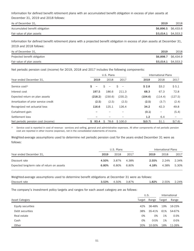Information for defined benefit retirement plans with an accumulated benefit obligation in excess of plan assets at December 31, 2019 and 2018 follows:

| As of December 31,             | 2019                | 2018 |
|--------------------------------|---------------------|------|
| Accumulated benefit obligation | \$6,896.5 \$6,433.6 |      |
| Fair value of plan assets      | \$5,014.1 \$4,553.2 |      |

Information for defined benefit retirement plans with a projected benefit obligation in excess of plan assets at December 31, 2019 and 2018 follows:

| As of December 31,           | 2019                | 2018 |
|------------------------------|---------------------|------|
| Projected benefit obligation | \$6,898.7 \$6,434.9 |      |
| Fair value of plan assets    | \$5,014.1 \$4,553.2 |      |

Net periodic pension cost (income) for 2019, 2018 and 2017 includes the following components:

|                                      | U.S. Plans |           |         |         | International Plans |                          |
|--------------------------------------|------------|-----------|---------|---------|---------------------|--------------------------|
| Year ended December 31,              | 2019       | 2018      | 2017    | 2019    | 2018                | 2017                     |
| Service cost <sup>(i)</sup>          | Ŝ.         | S         |         | \$2.8   | \$3.2               | \$5.1                    |
| Interest cost                        | 197.5      | 186.6     | 211.3   | 68.3    | 67.3                | 72.8                     |
| Expected return on plan assets       | (218.2)    | (230.6)   | (235.2) | (104.6) | (114.4)             | (127.5)                  |
| Amortization of prior service credit | (2.5)      | (2.5)     | (2.5)   | (2.5)   | (3.7)               | (2.4)                    |
| Recognized net actuarial loss        | 116.6      | 125.1     | 126.4   | 34.2    | 42.3                | 49.8                     |
| Curtailment gain                     |            |           |         | (0.1)   | $\qquad \qquad -$   | (5.4)                    |
| Settlement loss                      |            |           |         | 1.2     | 6.4                 | $\overline{\phantom{m}}$ |
| Net periodic pension cost (income)   | 93.4<br>S. | Ŝ<br>78.6 | \$100.0 | \$(0.7) | \$1.1               | \$(7.6)                  |

(i) Service cost is reported in cost of revenue - services and selling, general and administrative expenses. All other components of net periodic pension cost are reported in other income (expense), net in the consolidated statements of income.

Weighted-average assumptions used to determine net periodic pension cost for the years ended December 31 were as follows:

|                                             |       | U.S. Plans |       | International Plans |       |       |  |
|---------------------------------------------|-------|------------|-------|---------------------|-------|-------|--|
| Year ended December 31,                     | 2019  | 2018       | 2017  | 2019                | 2018  | 2017  |  |
| Discount rate                               | 4.50% | 3.87%      | 4.38% | 2.55%               | 2.24% | 2.34% |  |
| Expected long-term rate of return on assets | 6.80% | 6.80%      | 6.80% | 4.18%               | 4.38% | 5.30% |  |
|                                             |       |            |       |                     |       |       |  |

Weighted-average assumptions used to determine benefit obligations at December 31 were as follows:

| Discount<br>rate | row. | .50% | Q70/<br>3.O | 1.82% | 55% | 24%<br>$-1$ |
|------------------|------|------|-------------|-------|-----|-------------|
|                  |      |      |             |       |     |             |

The company's investment policy targets and ranges for each asset category are as follows:

|                       | U.S.            |                | International |
|-----------------------|-----------------|----------------|---------------|
| <b>Asset Category</b> | Range<br>Target | Target         | Range         |
| Equity securities     | 36-48%<br>42%   | 19%            | 16-23%        |
| Debt securities       | 38%<br>35-41%   | 61%            | 54-67%        |
| Real estate           | 0%              | 0%<br>1%       | $0 - 3%$      |
| Cash                  | 0%              | $0 - 5%$<br>1% | $0 - 5%$      |
| Other                 | 10-30%<br>20%   | 18%            | 11-26%        |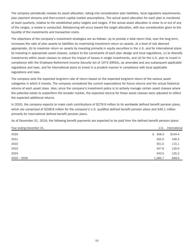The company periodically reviews its asset allocation, taking into consideration plan liabilities, local regulatory requirements, plan payment streams and then-current capital market assumptions. The actual asset allocation for each plan is monitored at least quarterly, relative to the established policy targets and ranges. If the actual asset allocation is close to or out of any of the ranges, a review is conducted. Rebalancing will occur toward the target allocation, with due consideration given to the liquidity of the investments and transaction costs.

The objectives of the company's investment strategies are as follows: (a) to provide a total return that, over the long term, increases the ratio of plan assets to liabilities by maximizing investment return on assets, at a level of risk deemed appropriate, (b) to maximize return on assets by investing primarily in equity securities in the U.S. and for international plans by investing in appropriate asset classes, subject to the constraints of each plan design and local regulations, (c) to diversify investments within asset classes to reduce the impact of losses in single investments, and (d) for the U.S. plan to invest in compliance with the Employee Retirement Income Security Act of 1974 (ERISA), as amended and any subsequent applicable regulations and laws, and for international plans to invest in a prudent manner in compliance with local applicable regulations and laws.

The company sets the expected long-term rate of return based on the expected long-term return of the various asset categories in which it invests. The company considered the current expectations for future returns and the actual historical returns of each asset class. Also, since the company's investment policy is to actively manage certain asset classes where the potential exists to outperform the broader market, the expected returns for those asset classes were adjusted to reflect the expected additional returns.

In 2020, the company expects to make cash contributions of \$278.9 million to its worldwide defined benefit pension plans, which are comprised of \$238.8 million for the company's U.S. qualified defined benefit pension plans and \$40.1 million primarily for international defined benefit pension plans.

As of December 31, 2019, the following benefit payments are expected to be paid from the defined benefit pension plans:

| Year ending December 31, | U.S.    | International |
|--------------------------|---------|---------------|
| 2020                     | \$358.3 | \$104.4       |
| 2021                     | 355.0   | 106.3         |
| 2022                     | 351.5   | 115.1         |
| 2023                     | 347.6   | 120.6         |
| 2024                     | 342.5   | 125.2         |
| $2025 - 2029$            | 1,585.7 | 649.0         |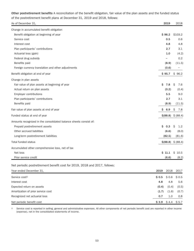**Other postretirement benefits** A reconciliation of the benefit obligation, fair value of the plan assets and the funded status of the postretirement benefit plans at December 31, 2019 and 2018, follows:

| As of December 31,                                                         | 2019          |       | 2018      |
|----------------------------------------------------------------------------|---------------|-------|-----------|
| Change in accumulated benefit obligation                                   |               |       |           |
| Benefit obligation at beginning of year                                    | \$96.2        |       | \$103.2   |
| Service cost                                                               |               | 0.5   | 0.6       |
| Interest cost                                                              |               | 4.8   | 4.8       |
| Plan participants' contributions                                           |               | 2.7   | 3.1       |
| Actuarial loss (gain)                                                      |               | 1.0   | (4.2)     |
| Federal drug subsidy                                                       |               |       | 0.2       |
| Benefits paid                                                              |               | (8.9) | (11.5)    |
| Foreign currency translation and other adjustments                         |               | (0.6) |           |
| Benefit obligation at end of year                                          | \$95.7        |       | \$96.2    |
| Change in plan assets                                                      |               |       |           |
| Fair value of plan assets at beginning of year                             | \$            | 7.8   | \$<br>7.6 |
| Actual return on plan assets                                               |               | (0.2) | (0.4)     |
| Employer contributions                                                     |               | 5.5   | 9.0       |
| Plan participants' contributions                                           |               | 2.7   | 3.1       |
| Benefits paid                                                              |               | (8.9) | (11.5)    |
| Fair value of plan assets at end of year                                   | \$6.9         |       | \$<br>7.8 |
| Funded status at end of year                                               | $$^{(88.8)}$$ |       | \$ (88.4) |
| Amounts recognized in the consolidated balance sheets consist of:          |               |       |           |
| Prepaid postretirement assets                                              | Ś.            | 0.3   | \$<br>1.2 |
| Other accrued liabilities                                                  |               | (6.6) | (8.0)     |
| Long-term postretirement liabilities                                       | (82.5)        |       | (81.6)    |
| Total funded status                                                        | \$ (88.8)     |       | \$ (88.4) |
| Accumulated other comprehensive loss, net of tax                           |               |       |           |
| Net loss                                                                   | \$11.1        |       | \$10.5    |
| Prior service credit                                                       |               | (6.6) | (8.2)     |
| Net periodic postretirement benefit cost for 2019, 2018 and 2017, follows: |               |       |           |
| Year ended December 31,                                                    | 2019          | 2018  | 2017      |
| Service cost(i)                                                            | \$0.5         | \$0.6 | \$0.5     |
| Interest cost                                                              | 4.8           | 4.8   | 5.6       |
| Expected return on assets                                                  | (0.4)         | (0.4) | (0.5)     |
| Amortization of prior service cost                                         | (1.7)         | (1.6) | (0.7)     |
| Recognized net actuarial loss                                              | 0.7           | 1.0   | 0.8       |

Net periodic benefit cost **\$ 3.9** \$ 4.4 \$ 5.7

(i) Service cost is reported in selling, general and administrative expenses. All other components of net periodic benefit cost are reported in other income (expense), net in the consolidated statements of income.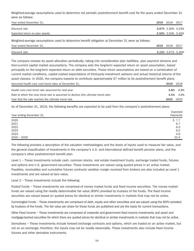Weighted-average assumptions used to determine net periodic postretirement benefit cost for the years ended December 31 were as follows:

| Year ended December 31,                                                                           | 2019 | 2018 2017         |        |
|---------------------------------------------------------------------------------------------------|------|-------------------|--------|
| Discount rate                                                                                     |      | 5.67% 5.30% 5.53% |        |
| Expected return on plan assets                                                                    |      | 5.50% 5.50% 5.50% |        |
| Weighted-average assumptions used to determine benefit obligation at December 31 were as follows: |      |                   |        |
| Year ended December 31,                                                                           | 2019 | 2018              | - 2017 |

| Discoun<br>$r \rightarrow r$<br>Talt | 120/<br>-570<br><br>_____ | $\overline{\phantom{0}}$<br>$\sim$ $\sim$ $\sim$<br>70<br>U.U. | 0.001<br>3U% |
|--------------------------------------|---------------------------|----------------------------------------------------------------|--------------|
|                                      |                           |                                                                |              |

The company reviews its asset allocation periodically, taking into consideration plan liabilities, plan payment streams and then-current capital market assumptions. The company sets the long-term expected return on asset assumption, based principally on the long-term expected return on debt securities. These return assumptions are based on a combination of current market conditions, capital market expectations of third-party investment advisors and actual historical returns of the asset classes. In 2020, the company expects to contribute approximately \$7 million to its postretirement benefit plans.

| Assumed health care cost trend rates at December 31,                              | 2019 | 2018      |
|-----------------------------------------------------------------------------------|------|-----------|
| Health care cost trend rate assumed for next year                                 |      | 5.8% 6.8% |
| Rate to which the cost trend rate is assumed to decline (the ultimate trend rate) |      | 4.5% 4.8% |
| Year that the rate reaches the ultimate trend rate                                | 2025 | - 2023    |

As of December 31, 2019, the following benefits are expected to be paid from the company's postretirement plans:

| Year ending December 31, | Expected<br>Payments |
|--------------------------|----------------------|
| 2020                     | \$7.7                |
| 2021                     | 6.7                  |
| 2022                     | 6.3                  |
| 2023                     | 6.0                  |
| 2024                     | 5.6                  |
| $2025 - 2029$            | 22.3                 |

The following provides a description of the valuation methodologies and the levels of inputs used to measure fair value, and the general classification of investments in the company's U.S. and international defined benefit pension plans, and the company's other postretirement benefit plan.

Level 1 – These investments include cash, common stocks, real estate investment trusts, exchange traded funds, futures and options and U.S. government securities. These investments are valued using quoted prices in an active market. Payables, receivables and cumulative futures contracts variation margin received from brokers are also included as Level 1 investments and are valued at face value.

Level 2 – These investments include the following:

Pooled Funds – These investments are comprised of money market funds and fixed income securities. The money market funds are valued using the readily determinable fair value (RDFV) provided by trustees of the funds. The fixed income securities are valued based on quoted prices for identical or similar investments in markets that may not be active.

Commingled Funds – These investments are comprised of debt, equity and other securities and are valued using the RDFV provided by trustees of the funds. The fair value per share for these funds are published and are the basis for current transactions.

Other Fixed Income – These investments are comprised of corporate and government fixed income investments and asset and mortgage-backed securities for which there are quoted prices for identical or similar investments in markets that may not be active.

Derivatives – These investments include forward exchange contracts and options, which are traded on an active market, but not on an exchange; therefore, the inputs may not be readily observable. These investments also include fixed income futures and other derivative instruments.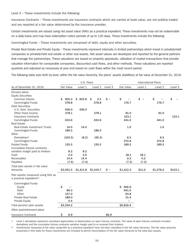Level 3 – These investments include the following:

Insurance Contracts – These investments are insurance contracts which are carried at book value, are not publicly traded and are reported at a fair value determined by the insurance provider.

Certain investments are valued using net asset value (NAV) as a practical expedient. These investments may not be redeemable on a daily basis and may have redemption notice periods of up to 120 days. These investments include the following:

Commingled Funds – These investments are comprised of debt, equity and other securities.

Private Real Estate and Private Equity – These investments represent interests in limited partnerships which invest in privately-held companies or privately-held real estate or other real assets. Net asset values are developed and reported by the general partners that manage the partnerships. These valuations are based on property appraisals, utilization of market transactions that provide valuation information for comparable companies, discounted cash flows, and other methods. These valuations are reported quarterly and adjusted as necessary at year end based on cash flows within the most recent period.

The following table sets forth by level, within the fair value hierarchy, the plans' assets (liabilities) at fair value at December 31, 2019.

|                                   |             | U.S. Plans |           |         |             |         |           |         |
|-----------------------------------|-------------|------------|-----------|---------|-------------|---------|-----------|---------|
| As of December 31, 2019           | Fair Value  | Level 1    | Level 2   | Level 3 | Fair Value  | Level 1 | Level 2   | Level 3 |
| Pension plans                     |             |            |           |         |             |         |           |         |
| <b>Equity Securities</b>          |             |            |           |         |             |         |           |         |
| Common Stocks                     | 955.3<br>\$ | \$952.8    | 2.5<br>Ŝ. | $\sin$  | \$          | $$ -$   | \$        | \$      |
| Commingled Funds                  | 578.8       |            | 578.8     |         | 176.7       |         | 176.7     |         |
| <b>Debt Securities</b>            |             |            |           |         |             |         |           |         |
| U.S. Govt. Securities             | 436.0       | 436.0      |           |         |             |         |           |         |
| Other Fixed Income                | 278.1       |            | 278.1     |         | 91.0        |         | 91.0      |         |
| <b>Insurance Contracts</b>        |             |            |           |         | 123.1       |         |           | 123.1   |
| Commingled Funds                  | 433.6       |            | 433.6     |         | 441.0       |         | 441.0     |         |
| <b>Real Estate</b>                |             |            |           |         |             |         |           |         |
| Real Estate Investment Trusts     | 14.0        | 14.0       |           |         | 1.0         |         | 1.0       |         |
| Commingled Funds                  | 186.5       |            | 186.5     |         |             |         |           |         |
| Other                             |             |            |           |         |             |         |           |         |
| Derivatives <sup>(i)</sup>        | (103.5)     | (8.2)      | (95.3)    |         | 6.5         |         | 6.5       |         |
| Commingled Funds                  |             |            |           |         | 372.8       |         | 372.8     |         |
| Pooled Funds                      | 135.5       |            | 135.5     |         | 189.2       |         | 189.2     |         |
| Cumulative futures contracts      |             |            |           |         |             |         |           |         |
| variation margin paid to brokers  | 8.2         | 8.2        |           |         |             |         |           |         |
| Cash                              | 2.0         | 2.0        |           |         | 18.1        | 18.1    |           |         |
| Receivables                       | 14.4        | 14.4       |           |         | 0.2         | 0.2     |           |         |
| Payables                          | (7.4)       | (7.4)      |           |         | (7.3)       | (7.3)   |           |         |
| Total plan assets in fair value   |             |            |           |         |             |         |           |         |
| hierarchy                         | \$2,931.5   | \$1,411.8  | \$1,519.7 | $\sin$  | \$1,412.3   | \$11.0  | \$1,278.2 | \$123.1 |
| Plan assets measured using NAV as |             |            |           |         |             |         |           |         |
| a practical expedient(ii):        |             |            |           |         |             |         |           |         |
|                                   |             |            |           |         |             |         |           |         |
| Commingled Funds                  |             |            |           |         |             |         |           |         |
| Equity                            | \$          |            |           |         | 406.9<br>Ŝ. |         |           |         |
| Debt                              | 86.3        |            |           |         | 941.0       |         |           |         |
| Other                             | 127.0       |            |           |         | 24.8        |         |           |         |
| Private Real Estate               | 189.0       |            |           |         | 31.4        |         |           |         |
| Private Equity                    | 0.4         |            |           |         |             |         |           |         |
| Total pension plan assets         | \$3,334.2   |            |           |         | \$2,816.4   |         |           |         |
| Other postretirement plans        |             |            |           |         |             |         |           |         |
| Insurance Contracts               | \$<br>6.9   |            |           | \$6.9   |             |         |           |         |

(i) Level 1 derivatives represent unrealized appreciation or depreciation on open futures contracts. The value of open futures contracts includes derivatives and the cumulative futures contracts variation margin paid to or received from brokers.

(ii) Investments measured at fair value using NAV as a practical expedient have not been classified in the fair value hierarchy. The fair value amounts presented in this table for these investments are included to permit reconciliation of the fair value hierarchy to the total plan assets.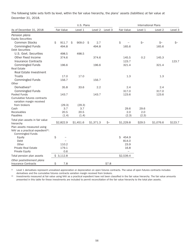The following table sets forth by level, within the fair value hierarchy, the plans' assets (liabilities) at fair value at December 31, 2018.

|                                   | U.S. Plans  |    |           |    | International Plans |           |    |                   |         |           |         |
|-----------------------------------|-------------|----|-----------|----|---------------------|-----------|----|-------------------|---------|-----------|---------|
| As of December 31, 2018           | Fair Value  |    | Level 1   |    | Level 2 Level 3     |           |    | Fair Value        | Level 1 | Level 2   | Level 3 |
| Pension plans                     |             |    |           |    |                     |           |    |                   |         |           |         |
| <b>Equity Securities</b>          |             |    |           |    |                     |           |    |                   |         |           |         |
| <b>Common Stocks</b>              | \$<br>911.7 | \$ | 909.0     | Ŝ. | 2.7                 |           | \$ |                   | \$-     | $\zeta-$  | $S-$    |
| Commingled Funds                  | 494.8       |    |           |    | 494.8               |           |    | 165.6             |         | 165.6     |         |
| <b>Debt Securities</b>            |             |    |           |    |                     |           |    |                   |         |           |         |
| U.S. Govt. Securities             | 498.5       |    | 498.5     |    |                     |           |    |                   |         |           |         |
| Other Fixed Income                | 374.6       |    |           |    | 374.6               |           |    | 145.5             | 0.2     | 145.3     |         |
| Insurance Contracts               |             |    |           |    |                     |           |    | 123.7             |         |           | 123.7   |
| Commingled Funds                  | 196.6       |    |           |    | 196.6               |           |    | 321.4             |         | 321.4     |         |
| <b>Real Estate</b>                |             |    |           |    |                     |           |    |                   |         |           |         |
| Real Estate Investment            |             |    |           |    |                     |           |    |                   |         |           |         |
| Trusts                            | 17.0        |    | 17.0      |    |                     |           |    | 1.3               |         | 1.3       |         |
| Commingled Funds                  | 156.7       |    |           |    | 156.7               |           |    |                   |         |           |         |
| Other                             |             |    |           |    |                     |           |    |                   |         |           |         |
| Derivatives <sup>(i)</sup>        | 35.8        |    | 33.6      |    | 2.2                 |           |    | 2.4               |         | 2.4       |         |
| Commingled Funds                  |             |    |           |    |                     |           |    | 317.0             |         | 317.0     |         |
| Pooled Funds                      | 143.7       |    |           |    | 143.7               |           |    | 123.6             |         | 123.6     |         |
| Cumulative futures contracts      |             |    |           |    |                     |           |    |                   |         |           |         |
| variation margin received         |             |    |           |    |                     |           |    |                   |         |           |         |
| from brokers                      | (29.3)      |    | (29.3)    |    |                     |           |    |                   |         |           |         |
| Cash                              | 3.7         |    | 3.7       |    |                     |           |    | 29.6              | 29.6    |           |         |
| Receivables                       | 20.5        |    | 20.5      |    |                     |           |    | 2.0               | 2.0     |           |         |
| Payables                          | (1.4)       |    | (1.4)     |    |                     |           |    | (2.3)             | (2.3)   |           |         |
| Total plan assets in fair value   | \$2,822.9   |    | \$1,451.6 |    | \$1,371.3           | $\zeta$ - |    | \$1,229.8         | \$29.5  | \$1,076.6 | \$123.7 |
| hierarchy                         |             |    |           |    |                     |           |    |                   |         |           |         |
| Plan assets measured using        |             |    |           |    |                     |           |    |                   |         |           |         |
| NAV as a practical expedient(ii): |             |    |           |    |                     |           |    |                   |         |           |         |
| Commingled Funds<br>Equity        | \$          |    |           |    |                     |           | Ś. | 454.9             |         |           |         |
| Debt                              |             |    |           |    |                     |           |    | 814.0             |         |           |         |
| Other                             | 110.2       |    |           |    |                     |           |    | 23.9              |         |           |         |
| Private Real Estate               | 179.1       |    |           |    |                     |           |    | 16.8              |         |           |         |
| Private Equity                    | 0.6         |    |           |    |                     |           |    | $\qquad \qquad -$ |         |           |         |
| Total pension plan assets         | \$3,112.8   |    |           |    |                     |           |    | \$2,539.4         |         |           |         |
| Other postretirement plans        |             |    |           |    |                     |           |    |                   |         |           |         |
| Insurance Contracts               | \$<br>7.8   |    |           |    |                     | \$7.8     |    |                   |         |           |         |

(i) Level 1 derivatives represent unrealized appreciation or depreciation on open futures contracts. The value of open futures contracts includes derivatives and the cumulative futures contracts variation margin received from brokers.

(ii) Investments measured at fair value using NAV as a practical expedient have not been classified in the fair value hierarchy. The fair value amounts presented in this table for these investments are included to permit reconciliation of the fair value hierarchy to the total plan assets.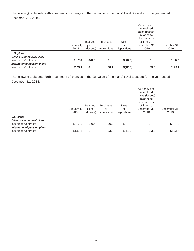The following table sets forth a summary of changes in the fair value of the plans' Level 3 assets for the year ended December 31, 2019.

|                                          | January 1,<br>2019 | Realized<br>gains<br>(losses)  | Purchases<br>or<br>acquisitions | Sales<br>or<br>dispositions | Currency and<br>unrealized<br>gains (losses)<br>relating to<br>instruments<br>still held at<br>December 31.<br>2019 | December 31.<br>2019 |
|------------------------------------------|--------------------|--------------------------------|---------------------------------|-----------------------------|---------------------------------------------------------------------------------------------------------------------|----------------------|
| U.S. plans<br>Other postretirement plans |                    |                                |                                 |                             |                                                                                                                     |                      |
| Insurance Contracts                      | S.<br>7.8          | \$(0.3)                        | \$ –                            | \$ (0.6)                    | $s -$                                                                                                               | \$6.9                |
| International pension plans              |                    |                                |                                 |                             |                                                                                                                     |                      |
| Insurance Contracts                      | \$123.7            | Ś.<br>$\overline{\phantom{0}}$ | \$6.4                           | \$(12.0)                    | \$5.0                                                                                                               | \$123.1              |

The following table sets forth a summary of changes in the fair value of the plans' Level 3 assets for the year ended December 31, 2018.

|                             | January 1,<br>2018 | Realized<br>gains<br>(losses)  | Purchases<br>or<br>acquisitions | Sales<br>or<br>dispositions | Currency and<br>unrealized<br>gains (losses)<br>relating to<br>instruments<br>still held at<br>December 31,<br>2018 | December 31,<br>2018 |
|-----------------------------|--------------------|--------------------------------|---------------------------------|-----------------------------|---------------------------------------------------------------------------------------------------------------------|----------------------|
| U.S. plans                  |                    |                                |                                 |                             |                                                                                                                     |                      |
| Other postretirement plans  |                    |                                |                                 |                             |                                                                                                                     |                      |
| Insurance Contracts         | Ś.<br>7.6          | \$(0.4)                        | \$0.6                           | Ś.<br>$\qquad \qquad -$     | $S -$                                                                                                               | \$<br>7.8            |
| International pension plans |                    |                                |                                 |                             |                                                                                                                     |                      |
| Insurance Contracts         | \$135.8            | \$<br>$\overline{\phantom{0}}$ | \$3.5                           | \$(11.7)                    | \$(3.9)                                                                                                             | \$123.7              |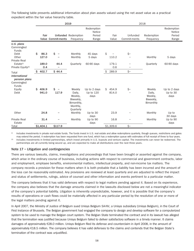The following table presents additional information about plan assets valued using the net asset value as a practical expedient within the fair value hierarchy table.

|                                                              |    | 2019      |                           |                                                                       |                                         | 2018 |               |                          |                                             |                                         |
|--------------------------------------------------------------|----|-----------|---------------------------|-----------------------------------------------------------------------|-----------------------------------------|------|---------------|--------------------------|---------------------------------------------|-----------------------------------------|
|                                                              |    | Fair      | <b>Value Commit-ments</b> | Unfunded Redemption<br>Frequency                                      | Redemption<br>Notice<br>Period<br>Range |      | Fair<br>Value | Unfunded<br>Commit-ments | Redemption<br>Frequency                     | Redemption<br>Notice<br>Period<br>Range |
| U.S. plans<br>Commingled<br>Funds                            |    |           |                           |                                                                       |                                         |      |               |                          |                                             |                                         |
| Debt                                                         | Ś. | 86.3      | \$<br>$\qquad \qquad -$   | Monthly                                                               | 45 days                                 | \$   |               | \$-                      |                                             |                                         |
| Other                                                        |    | 127.0     |                           | Monthly                                                               | 5 days                                  |      | 110.2         |                          | Monthly                                     | 5 days                                  |
| <b>Private Real</b><br>Estate <sup>(i)</sup>                 |    | 189.0     | 44.4                      | Quarterly                                                             | 60-90 days                              |      | 179.1         |                          | Quarterly                                   | 60-90 days                              |
| Private Equity(ii)                                           |    | 0.4       | $\overline{\phantom{0}}$  |                                                                       |                                         |      | 0.6           |                          |                                             |                                         |
| Total                                                        | \$ | 402.7     | \$44.4                    |                                                                       |                                         | \$   | 289.9         | $\zeta-$                 |                                             |                                         |
| <b>International</b><br>pension plans<br>Commingled<br>Funds |    |           |                           |                                                                       |                                         |      |               |                          |                                             |                                         |
| Equity                                                       | Ŝ. | 406.9     | Ś.                        | Weekly                                                                | Up to 2 days                            | Ŝ.   | 454.9         | $\zeta-$                 | Weekly                                      | Up to 2 days                            |
| Debt                                                         |    | 941.0     | 117.9                     | Daily,<br>Weekly,<br>Biweekly,<br>Bimonthly,<br>Monthly,<br>Quarterly | Up to 120<br>days                       |      | 814.0         |                          | Daily,<br>Weekly,<br>Biweekly,<br>Bimonthly | Up to 30<br>days                        |
| Other                                                        |    | 24.8      |                           | Monthly                                                               | Up to 30<br>days                        |      | 23.9          |                          | Monthly                                     | Up to<br>30 days                        |
| <b>Private Real</b><br>Estate                                |    | 31.4      |                           | Monthly                                                               | Up to 90<br>days                        |      | 16.8          |                          | Monthly                                     | Up to 90<br>days                        |
| Total                                                        |    | \$1,404.1 | \$117.9                   |                                                                       |                                         |      | \$1,309.6     | $\mathsf{S}\text{-}$     |                                             |                                         |

 $\emptyset$  Includes investments in private real estate funds. The funds invest in U.S. real estate and allow redemptions quarterly, though queues, restrictions and gates may extend the period. A redemption has been requested from one fund, which has a redemption queue with estimates of full receipt of three to four years. (ii) Includes investments in limited partnerships, which invest primarily in U.S. buyouts and venture capital. The investments can never be redeemed. The

partnerships are all currently being wound up, and are expected to make all distributions over the next three years.

#### **Note 17 – Litigation and contingencies**

There are various lawsuits, claims, investigations and proceedings that have been brought or asserted against the company, which arise in the ordinary course of business, including actions with respect to commercial and government contracts, labor and employment, employee benefits, environmental matters, intellectual property, and non-income tax matters. The company records a provision for these matters when it is both probable that a liability has been incurred and the amount of the loss can be reasonably estimated. Any provisions are reviewed at least quarterly and are adjusted to reflect the impact and status of settlements, rulings, advice of counsel and other information and events pertinent to a particular matter.

The company believes that it has valid defenses with respect to legal matters pending against it. Based on its experience, the company also believes that the damage amounts claimed in the lawsuits disclosed below are not a meaningful indicator of the company's potential liability. Litigation is inherently unpredictable, however, and it is possible that the company's results of operations or cash flows could be materially affected in any particular period by the resolution of one or more of the legal matters pending against it.

In April 2007, the Ministry of Justice of Belgium sued Unisys Belgium SA-NV, a Unisys subsidiary (Unisys Belgium), in the Court of First Instance of Brussels. The Belgian government had engaged the company to design and develop software for a computerized system to be used to manage the Belgian court system. The Belgian State terminated the contract and in its lawsuit has alleged that the termination was justified because Unisys Belgium failed to deliver satisfactory software in a timely manner. It claims damages of approximately €28.0 million. Unisys Belgium filed its defense and counterclaim in April 2008, in the amount of approximately €18.5 million. The company believes it has valid defenses to the claims and contends that the Belgian State's termination of the contract was unjustified.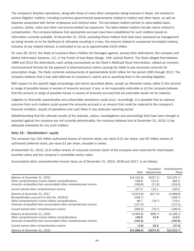The company's Brazilian operations, along with those of many other companies doing business in Brazil, are involved in various litigation matters, including numerous governmental assessments related to indirect and other taxes, as well as disputes associated with former employees and contract labor. The tax-related matters pertain to value-added taxes, customs, duties, sales and other non-income-related tax exposures. The labor-related matters include claims related to compensation. The company believes that appropriate accruals have been established for such matters based on information currently available. At December 31, 2019, excluding those matters that have been assessed by management as being remote as to the likelihood of ultimately resulting in a loss, the amount related to unreserved tax-related matters, inclusive of any related interest, is estimated to be up to approximately \$103 million.

On June 26, 2014, the State of Louisiana filed a Petition for Damages against, among other defendants, the company and Molina Information Systems, LLC, in the Parish of East Baton Rouge, 19th Judicial District. The State alleged that between 1989 and 2012 the defendants, each acting successively as the State's Medicaid fiscal intermediary, utilized an incorrect reimbursement formula for the payment of pharmaceutical claims causing the State to pay excessive amounts for prescription drugs. The State contends overpayments of approximately \$100 million for the period 1995 through 2012. The company believes that it has valid defenses to Louisiana's claims and is asserting them in the pending litigation.

With respect to the specific legal proceedings and claims described above, except as otherwise noted, either (i) the amount or range of possible losses in excess of amounts accrued, if any, is not reasonably estimable or (ii) the company believes that the amount or range of possible losses in excess of amounts accrued that are estimable would not be material.

Litigation is inherently unpredictable and unfavorable resolutions could occur. Accordingly, it is possible that an adverse outcome from such matters could exceed the amounts accrued in an amount that could be material to the company's financial condition, results of operations and cash flows in any particular reporting period.

Notwithstanding that the ultimate results of the lawsuits, claims, investigations and proceedings that have been brought or asserted against the company are not currently determinable, the company believes that at December 31, 2019, it has adequate provisions for any such matters.

#### **Note 18 – Stockholders' equity**

The company has 150 million authorized shares of common stock, par value \$.01 per share, and 40 million shares of authorized preferred stock, par value \$1 per share, issuable in series.

At December 31, 2019, 22.6 million shares of unissued common stock of the company were reserved for stock-based incentive plans and the company's convertible senior notes.

Accumulated other comprehensive income (loss) as of December 31, 2019, 2018 and 2017, is as follows:

|                                                                                                                                                                                                         | Total                                   | Translation<br>Adjustments    | Postretirement<br>Plans                  |
|---------------------------------------------------------------------------------------------------------------------------------------------------------------------------------------------------------|-----------------------------------------|-------------------------------|------------------------------------------|
| Balance at December 31, 2016<br>Other comprehensive income before reclassifications<br>Amounts reclassified from accumulated other comprehensive income                                                 | \$(4,152.8)<br>506.8<br>(169.8)         | \$ (927.1)<br>121.9<br>(11.8) | \$ (3, 225.7)<br>384.9<br>(158.0)        |
| Current period other comprehensive income                                                                                                                                                               | 337.0                                   | 110.1                         | 226.9                                    |
| Balance at December 31, 2017<br>Reclassification pursuant to ASU No. 2018-02<br>Other comprehensive income before reclassifications<br>Amounts reclassified from accumulated other comprehensive income | (3,815.8)<br>(208.7)<br>96.7<br>(157.0) | (817.0)<br>-<br>(79.7)        | (2,998.8)<br>(208.7)<br>176.4<br>(157.0) |
| Current period other comprehensive income                                                                                                                                                               | (269.0)                                 | (79.7)                        | (189.3)                                  |
| Balance at December 31, 2018<br>Other comprehensive income before reclassifications<br>Amounts reclassified from accumulated other comprehensive income                                                 | (4,084.8)<br>136.8<br>(140.6)           | (896.7)<br>23.8               | (3, 188.1)<br>113.0<br>(140.6)           |
| Current period other comprehensive income                                                                                                                                                               | (3.8)                                   | 23.8                          | (27.6)                                   |
| Balance at December 31, 2019                                                                                                                                                                            | \$(4,088.6)                             | \$ (872.9)                    | \$ (3,215.7)                             |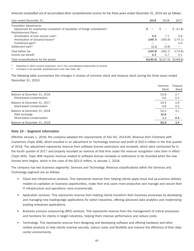Amounts reclassified out of accumulated other comprehensive income for the three years ended December 31, 2019 are as follows:

| Year ended December 31,                                                                     | 2019    | 2018                            | 2017     |
|---------------------------------------------------------------------------------------------|---------|---------------------------------|----------|
| Translation Adjustments:                                                                    |         |                                 |          |
| Adjustment for substantial completion of liquidation of foreign subsidiaries <sup>(i)</sup> |         |                                 | \$(11.8) |
| Postretirement Plans:                                                                       |         |                                 |          |
| Amortization of prior service cost <sup>(ii)</sup>                                          | 5.9     | 7.1                             | 5.6      |
| Amortization of actuarial losses <sup>(ii)</sup>                                            | (149.7) | (165.9)                         | (174.1)  |
| Curtailment gain <sup>(ii)</sup>                                                            |         |                                 | 5.4      |
| Settlement loss(ii)                                                                         | (1.1)   | (3.9)                           |          |
| Total before tax                                                                            | (144.9) | (162.7)                         | (174.9)  |
| Income tax benefit                                                                          | 4.3     | 5.7                             | 5.1      |
| Total reclassifications for the period                                                      |         | $\$(140.6) \$(157.0) \$(169.8)$ |          |

(i) Reported in other income (expense), net in the consolidated statements of income

(ii) Included in net periodic postretirement cost (see Note 16)

The following table summarizes the changes in shares of common stock and treasury stock during the three years ended December 31, 2019:

|                              | Common<br>Stock | Treasury<br>Stock        |
|------------------------------|-----------------|--------------------------|
| Balance at December 31, 2016 | 52.8            | 2.7                      |
| Stock-based compensation     | 0.6             | 0.2                      |
| Balance at December 31, 2017 | 53.4            | 2.9                      |
| Stock-based compensation     | 0.8             | 0.2                      |
| Balance at December 31, 2018 | 54.2            | 3.1                      |
| Debt exchange                | 10.6            | $\overline{\phantom{0}}$ |
| Stock-based compensation     | 1.1             | 0.4                      |
| Balance at December 31, 2019 | 65.9            | 3.5                      |

#### **Note 19 – Segment information**

Effective January 1, 2018, the company adopted the requirements of ASU No. 2014-09, *Revenue from Contracts with Customers (Topic 606)*, which resulted in an adjustment to Technology revenue and profit of \$53.0 million in the first quarter of 2018. The adjustment represents revenue from software license extensions and renewals, which were contracted for in the fourth quarter of 2017 and properly recorded as revenue at that time under the revenue recognition rules then in effect (Topic 605). Topic 606 requires revenue related to software license renewals or extensions to be recorded when the new license term begins, which in the case of the \$53.0 million, is January 1, 2018.

The company has two business segments: Services and Technology. Revenue classifications within the Services and Technology segment are as follows:

- Cloud and infrastructure services. This represents revenue from helping clients apply cloud and as-a-service delivery models to capitalize on business opportunities, make their end users more productive and manage and secure their IT infrastructure and operations more economically.
- Application services. This represents revenue from helping clients transform their business processes by developing and managing new leading-edge applications for select industries, offering advanced data analytics and modernizing existing enterprise applications.
- Business process outsourcing (BPO) services. This represents revenue from the management of critical processes and functions for clients in target industries, helping them improve performance and reduce costs.
- Technology. This represents revenue from designing and developing software and offering hardware and other related products to help clients improve security, reduce costs and flexibility and improve the efficiency of their datacenter environments.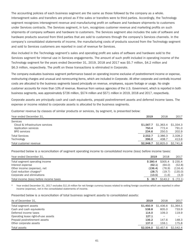The accounting policies of each business segment are the same as those followed by the company as a whole. Intersegment sales and transfers are priced as if the sales or transfers were to third parties. Accordingly, the Technology segment recognizes intersegment revenue and manufacturing profit on software and hardware shipments to customers under Services contracts. The Services segment, in turn, recognizes customer revenue and marketing profits on such shipments of company software and hardware to customers. The Services segment also includes the sale of software and hardware products sourced from third parties that are sold to customers through the company's Services channels. In the company's consolidated statements of income, the manufacturing costs of products sourced from the Technology segment and sold to Services customers are reported in cost of revenue for Services.

Also included in the Technology segment's sales and operating profit are sales of software and hardware sold to the Services segment for internal use in Services engagements. The amount of such profit included in operating income of the Technology segment for the years ended December 31, 2019, 2018 and 2017 was \$5.7 million, \$4.2 million and \$6.3 million, respectively. The profit on these transactions is eliminated in Corporate.

The company evaluates business segment performance based on operating income exclusive of postretirement income or expense, restructuring charges and unusual and nonrecurring items, which are included in Corporate. All other corporate and centrally incurred costs are allocated to the business segments based principally on revenue, employees, square footage or usage. No single customer accounts for more than 10% of revenue. Revenue from various agencies of the U.S. Government, which is reported in both business segments, was approximately \$726 million, \$574 million and \$571 million in 2019, 2018 and 2017, respectively.

Corporate assets are principally cash and cash equivalents, prepaid postretirement assets and deferred income taxes. The expense or income related to corporate assets is allocated to the business segments.

Customer revenue by classes of similar products or services, by segment, is presented below:

| Year ended December 31.         | 2019      | 2018      | 2017                |
|---------------------------------|-----------|-----------|---------------------|
| Services                        |           |           |                     |
| Cloud & infrastructure services | \$1,567.7 |           | \$1,363.4 \$1,334.3 |
| Application services            | 750.4     | 772.4     | 791.0               |
| <b>BPO</b> services             | 234.6     | 250.5     | 202.9               |
| <b>Total Services</b>           | 2,552.7   | 2,386.3   | 2.328.2             |
| Technology                      | 396.0     | 438.7     | 413.6               |
| Total customer revenue          | \$2,948.7 | \$2,825.0 | \$2,741.8           |

Presented below is a reconciliation of segment operating income to consolidated income (loss) before income taxes:

| Year ended December 31,                 | 2019    | 2018    | 2017    |
|-----------------------------------------|---------|---------|---------|
| Total segment operating income          | \$280.4 | \$305.4 | \$235.4 |
| Interest expense                        | (62.1)  | (64.0)  | (52.8)  |
| Other income (expense), net             | (136.4) | (76.9)  | (116.4) |
| Cost reduction charges <sup>(i)</sup>   | (28.7)  | (19.7)  | (135.0) |
| Corporate and eliminations              | (13.5)  | (1.6)   | (3.3)   |
| Total income (loss) before income taxes | 39.7    | \$143.2 | (72.1)  |

Year ended December 31, 2017 excludes \$11.8 million for net foreign currency losses related to exiting foreign countries which are reported in other income (expense), net in the consolidated statements of income.

Presented below is a reconciliation of total business segment assets to consolidated assets:

| As of December 31,                  | 2019      | 2018      | 2017      |
|-------------------------------------|-----------|-----------|-----------|
| Total segment assets                | \$1,450.9 | \$1,436.6 | \$1,364.5 |
| Cash and cash equivalents           | 538.8     | 605.0     | 733.9     |
| Deferred income taxes               | 114.0     | 109.3     | 119.9     |
| Operating lease right-of-use assets | 127.1     |           |           |
| Prepaid postretirement assets       | 136.2     | 147.6     | 148.3     |
| Other corporate assets              | 137.0     | 159.1     | 175.8     |
| Total assets                        | \$2,504.0 | \$2,457.6 | \$2,542.4 |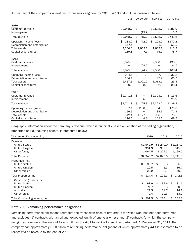A summary of the company's operations by business segment for 2019, 2018 and 2017 is presented below:

|                                                                                                         | Total                                    | Corporate                     | Services                               | Technology                       |
|---------------------------------------------------------------------------------------------------------|------------------------------------------|-------------------------------|----------------------------------------|----------------------------------|
| 2019<br>Customer revenue<br>Intersegment                                                                | \$2,948.7                                | Ŝ.<br>(15.2)                  | \$2,552.7                              | \$396.0<br>15.2                  |
| Total revenue                                                                                           | \$2,948.7                                | Ŝ.<br>(15.2)                  | \$2,552.7                              | \$411.2                          |
| Operating income (loss)<br>Depreciation and amortization<br><b>Total assets</b><br>Capital expenditures | Ś.<br>238.2<br>147.4<br>2,504.0<br>159.8 | Ś<br>(42.2)<br>1,053.1<br>7.1 | Ŝ<br>108.2<br>91.9<br>1,037.7<br>74.0  | \$172.2<br>55.5<br>413.2<br>78.7 |
| 2018<br>Customer revenue<br>Intersegment                                                                | \$2,825.0                                | Ŝ.<br>(24.7)                  | \$2,386.3                              | \$438.7<br>24.7                  |
| Total revenue                                                                                           | \$2,825.0                                | \$<br>(24.7)                  | \$2,386.3                              | \$463.4                          |
| Operating income (loss)<br>Depreciation and amortization<br><b>Total assets</b><br>Capital expenditures | Ś.<br>284.1<br>164.1<br>2,457.6<br>189.3 | Ś<br>(21.3)<br>1,021.0<br>8.0 | -\$<br>67.6<br>97.2<br>1,013.1<br>92.9 | \$237.8<br>66.9<br>423.5<br>88.4 |
| 2017<br>Customer revenue<br>Intersegment                                                                | \$2,741.8                                | -Ŝ<br>(25.9)                  | \$2,328.2                              | \$413.6<br>25.9                  |
| Total revenue                                                                                           | \$2,741.8                                | Ŝ.<br>(25.9)                  | \$2,328.2                              | \$439.5                          |
| Operating income (loss)<br>Depreciation and amortization<br><b>Total assets</b><br>Capital expenditures | \$<br>97.1<br>156.5<br>2,542.4<br>176.5  | \$ (138.3)<br>1,177.9<br>4.3  | Ŝ.<br>64.8<br>84.6<br>985.9<br>102.7   | \$170.6<br>71.9<br>378.6<br>69.5 |

Geographic information about the company's revenue, which is principally based on location of the selling organization, properties and outsourcing assets, is presented below:

| Year ended December 31,                                     | 2019                          | 2018                          | 2017                          |
|-------------------------------------------------------------|-------------------------------|-------------------------------|-------------------------------|
| Revenue<br>United States<br>United Kingdom<br>Other foreign | \$1,549.9<br>334.3<br>1,064.5 | \$1,240.0<br>360.7<br>1,224.3 | \$1,257.0<br>315.8<br>1,169.0 |
| <b>Total Revenue</b>                                        | \$2,948.7                     | \$2,825.0                     | \$2,741.8                     |
| Properties, net                                             | \$                            | Ŝ.                            | 85.8                          |
| United States                                               | 90.7                          | 85.3                          | -Ŝ                            |
| United Kingdom                                              | 10.5                          | 5.3                           | 16.7                          |
| Other foreign                                               | 23.2                          | 30.7                          | 40.0                          |
| Total Properties, net                                       | Ś.                            | Ŝ.                            | 142.5                         |
|                                                             | 124.4                         | 121.3                         | S                             |
| Outsourcing assets, net                                     | Ś                             | Ŝ.                            | - Ś                           |
| United States                                               | 99.9                          | 97.6                          | 81.1                          |
| United Kingdom                                              | 71.7                          | 86.5                          | 89.9                          |
| Australia                                                   | 21.5                          | 21.7                          | 18.1                          |
| Other foreign                                               | 9.4                           | 10.6                          | 13.2                          |
| Total Outsourcing assets, net                               | \$.                           | 216.4                         | 202.3                         |
|                                                             | 202.5                         | S                             | S                             |

#### **Note 20 – Remaining performance obligations**

Remaining performance obligations represent the transaction price of firm orders for which work has not been performed and excludes (1) contracts with an original expected length of one year or less and (2) contracts for which the company recognizes revenue at the amount to which it has the right to invoice for services performed. At December 31, 2019, the company had approximately \$1.0 billion of remaining performance obligations of which approximately 44% is estimated to be recognized as revenue by the end of 2020.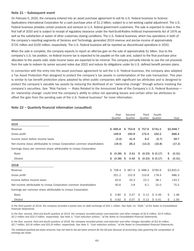#### **Note 21 – Subsequent event**

On February 5, 2020, the company entered into an asset purchase agreement to sell its U.S. Federal business to Science Applications International Corporation for a cash purchase price of \$1.2 billion, subject to a net working capital adjustment. The U.S. Federal business provides certain products and services to U.S. federal government customers. The sale is expected to close in the first half of 2020 and is subject to receipt of regulatory clearance under the Hart-Scott-Rodino Antitrust Improvements Act of 1976 as well as the satisfaction or waiver of other customary closing conditions. The U.S. Federal business, which has operations in both of the company's reporting segments of Services and Technology, generated 2019 revenue and pre-tax income of approximately \$725 million and \$100 million, respectively. The U.S. Federal business will be reported as discontinued operations in 2020.

When the sale is complete, the company expects to report an after-tax gain on the sale of approximately \$1 billion. Due to the company's U.S. tax position, no federal income tax is expected to be payable on the sale and, subject to the final purchase price allocation to the assets sold, state income taxes are expected to be minimal. The company primarily intends to use the net proceeds from the sale to redeem its senior secured notes due 2022 and reduce its obligations under its U.S. defined benefit pension plans.

In connection with the entry into the asset purchase agreement to sell the U.S. Federal business, the company also adopted a Tax Asset Protection Plan designed to protect the company's tax assets in contemplation of the sale transaction. This plan is similar to tax benefit protection plans adopted by other public companies with significant tax attributes and is designed to protect the company's valuable tax assets by reducing the likelihood of an "ownership change" through actions involving the company's securities. See "Risk Factors - Risks Related to the Announced Sale of the Company's U.S. Federal Business-An 'ownership change' could limit the company's ability to utilize net operating losses and certain other tax attributes to offset the gain from the pending sale of the U.S. Federal business" for more information.

|                                                                          | First |             |   | Second  |    | Third   | Fourth                                    |    |           |
|--------------------------------------------------------------------------|-------|-------------|---|---------|----|---------|-------------------------------------------|----|-----------|
|                                                                          |       | Ouarter     |   | Ouarter |    | Ouarter | Quarter                                   |    | Year      |
| 2019                                                                     |       |             |   |         |    |         |                                           |    |           |
| Revenue                                                                  |       | \$695.8     |   | \$753.8 |    | \$757.6 | \$741.5                                   |    | \$2,948.7 |
| Gross profit                                                             |       | 149.9       |   | 193.9   |    | 172.4   | 150.2                                     |    | 666.4     |
| Income (loss) before income taxes                                        |       | (3.0)       |   | 41.9    |    | 6.5     | (5.7)                                     |    | 39.7      |
| Net income (loss) attributable to Unisys Corporation common shareholders |       | (19.4)      |   | 26.2    |    | (13.2)  | (10.8)                                    |    | (17.2)    |
| Earnings (loss) per common share attributable to Unisys Corporation      |       |             |   |         |    |         |                                           |    |           |
| <b>Basic</b>                                                             | Ś.    | $(0.38)$ \$ |   | 0.51    |    |         | $\frac{1}{2}$ (0.23) $\frac{1}{2}$ (0.17) | \$ | (0.31)    |
| Diluted                                                                  | S.    | $(0.38)$ \$ |   | 0.42    |    |         | $\frac{1}{2}$ (0.23) $\frac{1}{2}$ (0.17) | \$ | (0.31)    |
| 2018                                                                     |       |             |   |         |    |         |                                           |    |           |
| Revenue                                                                  |       | \$708.4     |   | \$667.4 |    | \$688.3 | \$760.9                                   |    | \$2,825.0 |
| Gross profit                                                             |       | 201.2       |   | 152.9   |    | 153.8   | 178.4                                     |    | 686.3     |
| Income before income taxes                                               |       | 62.6        |   | 20.3    |    | 22.2    | 38.1                                      |    | 143.2     |
| Net income attributable to Unisys Corporation common shareholders        |       | 40.6        |   | 3.8     |    | 6.1     | 25.0                                      |    | 75.5      |
| Earnings per common share attributable to Unisys Corporation             |       |             |   |         |    |         |                                           |    |           |
| <b>Basic</b>                                                             | \$    | 0.80        | Ś | 0.07    | Ŝ. | 0.12    | \$0.49                                    | \$ | 1.48      |
| <b>Diluted</b>                                                           | \$    | 0.62        | S | 0.07    | Ŝ. | 0.12    | \$0.41                                    | \$ | 1.30      |

#### **Note 22 – Quarterly financial information (unaudited)**

*In the third quarter of 2019, the company recorded a pretax loss on debt exchange of \$20.1 million. See Note 14, "Debt," of the Notes to Consolidated Financial Statements.*

*In the first, second, third and fourth quarters of 2019, the company recorded pretax cost-reduction and other charges of \$2.6 million, \$2.6 million, \$0.2 million and \$23.3 million, respectively. See Note 3, "Cost reduction actions," of the Notes to Consolidated Financial Statements.*

*In the first, second, third and fourth quarters of 2018, the company recorded pretax cost-reduction and other charges (benefits) of \$(2.9) million, \$0.7 million, \$(0.9) million and \$22.8 million, respectively. See Note 3, "Cost reduction actions," of the Notes to Consolidated Financial Statements.*

*The individual quarterly per-share amounts may not total to the per-share amount for the full year because of accounting rules governing the computation of earnings per share.*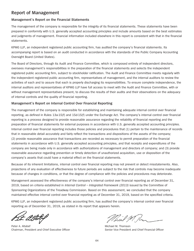# **Report of Management**

#### **Management's Report on the Financial Statements**

The management of the company is responsible for the integrity of its financial statements. These statements have been prepared in conformity with U.S. generally accepted accounting principles and include amounts based on the best estimates and judgments of management. Financial information included elsewhere in this report is consistent with that in the financial statements.

KPMG LLP, an independent registered public accounting firm, has audited the company's financial statements. Its accompanying report is based on an audit conducted in accordance with the standards of the Public Company Accounting Oversight Board (United States).

The Board of Directors, through its Audit and Finance Committee, which is composed entirely of independent directors, oversees management's responsibilities in the preparation of the financial statements and selects the independent registered public accounting firm, subject to stockholder ratification. The Audit and Finance Committee meets regularly with the independent registered public accounting firm, representatives of management, and the internal auditors to review the activities of each and to assure that each is properly discharging its responsibilities. To ensure complete independence, the internal auditors and representatives of KPMG LLP have full access to meet with the Audit and Finance Committee, with or without management representatives present, to discuss the results of their audits and their observations on the adequacy of internal controls and the quality of financial reporting.

#### **Management's Report on Internal Control Over Financial Reporting**

The management of the company is responsible for establishing and maintaining adequate internal control over financial reporting, as defined in Rules 13a-15(f) and 15d-15(f) under the Exchange Act. The company's internal control over financial reporting is a process designed to provide reasonable assurance regarding the reliability of financial reporting and the preparation of financial statements for external purposes in accordance with U.S. generally accepted accounting principles. Internal control over financial reporting includes those policies and procedures that (1) pertain to the maintenance of records that in reasonable detail accurately and fairly reflect the transactions and dispositions of the assets of the company; (2) provide reasonable assurance that transactions are recorded as necessary to permit preparation of the financial statements in accordance with U.S. generally accepted accounting principles, and that receipts and expenditures of the company are being made only in accordance with authorizations of management and directors of company; and (3) provide reasonable assurance regarding prevention or timely detection of unauthorized acquisition, use or disposition of the company's assets that could have a material effect on the financial statements.

Because of its inherent limitations, internal control over financial reporting may not prevent or detect misstatements. Also, projections of any evaluation of effectiveness to future periods are subject to the risk that controls may become inadequate because of changes in conditions, or that the degree of compliance with the policies and procedures may deteriorate.

Management assessed the effectiveness of the company's internal control over financial reporting as of December 31, 2019, based on criteria established in *Internal Control – Integrated Framework (2013)* issued by the Committee of Sponsoring Organizations of the Treadway Commission. Based on this assessment, we concluded that the company maintained effective internal control over financial reporting as of December 31, 2019, based on the specified criteria.

KPMG LLP, an independent registered public accounting firm, has audited the company's internal control over financial reporting as of December 31, 2019, as stated in its report that appears herein.

Peter A. Altabef Michael M. Thomson

Juil W

Chairman, President and Chief Executive Officer Senior Vice President and Chief Financial Officer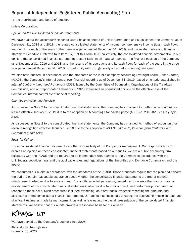# **Report of Independent Registered Public Accounting Firm**

To the stockholders and board of directors

#### Unisys Corporation:

#### *Opinion on the Consolidated Financial Statements*

We have audited the accompanying consolidated balance sheets of Unisys Corporation and subsidiaries (the Company) as of December 31, 2019 and 2018, the related consolidated statements of income, comprehensive income (loss), cash flows and deficit for each of the years in the three-year period ended December 31, 2019, and the related notes and financial statement Schedule II referred to in Item 15(1) of this Form 10-K (collectively, the consolidated financial statements). In our opinion, the consolidated financial statements present fairly, in all material respects, the financial position of the Company as of December 31, 2019 and 2018, and the results of its operations and its cash flows for each of the years in the threeyear period ended December 31, 2019, in conformity with U.S. generally accepted accounting principles.

We also have audited, in accordance with the standards of the Public Company Accounting Oversight Board (United States) (PCAOB), the Company's internal control over financial reporting as of December 31, 2019, based on criteria established in *Internal Control – Integrated Framework (2013)* issued by the Committee of Sponsoring Organizations of the Treadway Commission, and our report dated February 28, 2020 expressed an unqualified opinion on the effectiveness of the Company's internal control over financial reporting.

#### *Changes in Accounting Principle*

As discussed in Note 2 to the consolidated financial statements, the Company has changed its method of accounting for leases effective January 1, 2019 due to the adoption of Accounting Standards Update (ASU) No. 2016-02, *Leases (Topic 842)*.

As discussed in Note 2 to the consolidated financial statements, the Company has changed its method of accounting for revenue recognition effective January 1, 2018 due to the adoption of ASU No. 2014-09, *Revenue from Contracts with Customers (Topic 606)*.

#### *Basis for Opinion*

These consolidated financial statements are the responsibility of the Company's management. Our responsibility is to express an opinion on these consolidated financial statements based on our audits. We are a public accounting firm registered with the PCAOB and are required to be independent with respect to the Company in accordance with the U.S. federal securities laws and the applicable rules and regulations of the Securities and Exchange Commission and the PCAOB.

We conducted our audits in accordance with the standards of the PCAOB. Those standards require that we plan and perform the audit to obtain reasonable assurance about whether the consolidated financial statements are free of material misstatement, whether due to error or fraud. Our audits included performing procedures to assess the risks of material misstatement of the consolidated financial statements, whether due to error or fraud, and performing procedures that respond to those risks. Such procedures included examining, on a test basis, evidence regarding the amounts and disclosures in the consolidated financial statements. Our audits also included evaluating the accounting principles used and significant estimates made by management, as well as evaluating the overall presentation of the consolidated financial statements. We believe that our audits provide a reasonable basis for our opinion.

KPMG LLP

We have served as the Company's auditor since 2008.

Philadelphia, Pennsylvania February 28, 2020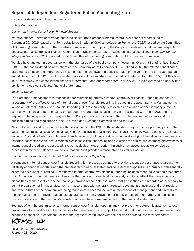# **Report of Independent Registered Public Accounting Firm**

To the stockholders and board of directors

#### Unisys Corporation:

#### *Opinion on Internal Control Over Financial Reporting*

We have audited Unisys Corporation and subsidiaries' (the Company) internal control over financial reporting as of December 31, 2019, based on criteria established in *Internal Control – Integrated Framework (2013)* issued by the Committee of Sponsoring Organizations of the Treadway Commission. In our opinion, the Company maintained, in all material respects, effective internal control over financial reporting as of December 31, 2019, based on criteria established in *Internal Control – Integrated Framework (2013)* issued by the Committee of Sponsoring Organizations of the Treadway Commission.

We also have audited, in accordance with the standards of the Public Company Accounting Oversight Board (United States) (PCAOB), the consolidated balance sheets of the Company as of December 31, 2019 and 2018, the related consolidated statements of income, comprehensive income (loss), cash flows and deficit for each of the years in the three-year period ended December 31, 2019, and the related notes and financial statement Schedule II referred to in Item 15(1) of this Form 10-K (collectively, the consolidated financial statements), and our report dated February 28, 2020 expressed an unqualified opinion on those consolidated financial statements.

#### *Basis for Opinion*

The Company's management is responsible for maintaining effective internal control over financial reporting and for its assessment of the effectiveness of internal control over financial reporting, included in the accompanying Management's Report on Internal Control Over Financial Reporting. Our responsibility is to express an opinion on the Company's internal control over financial reporting based on our audit. We are a public accounting firm registered with the PCAOB and are required to be independent with respect to the Company in accordance with the U.S. federal securities laws and the applicable rules and regulations of the Securities and Exchange Commission and the PCAOB.

We conducted our audit in accordance with the standards of the PCAOB. Those standards require that we plan and perform the audit to obtain reasonable assurance about whether effective internal control over financial reporting was maintained in all material respects. Our audit of internal control over financial reporting included obtaining an understanding of internal control over financial reporting, assessing the risk that a material weakness exists, and testing and evaluating the design and operating effectiveness of internal control based on the assessed risk. Our audit also included performing such other procedures as we considered necessary in the circumstances. We believe that our audit provides a reasonable basis for our opinion.

#### *Definition and Limitations of Internal Control Over Financial Reporting*

A company's internal control over financial reporting is a process designed to provide reasonable assurance regarding the reliability of financial reporting and the preparation of financial statements for external purposes in accordance with generally accepted accounting principles. A company's internal control over financial reporting includes those policies and procedures that (1) pertain to the maintenance of records that, in reasonable detail, accurately and fairly reflect the transactions and dispositions of the assets of the company; (2) provide reasonable assurance that transactions are recorded as necessary to permit preparation of financial statements in accordance with generally accepted accounting principles, and that receipts and expenditures of the company are being made only in accordance with authorizations of management and directors of the company; and (3) provide reasonable assurance regarding prevention or timely detection of unauthorized acquisition, use, or disposition of the company's assets that could have a material effect on the financial statements.

Because of its inherent limitations, internal control over financial reporting may not prevent or detect misstatements. Also, projections of any evaluation of effectiveness to future periods are subject to the risk that controls may become inadequate because of changes in conditions, or that the degree of compliance with the policies or procedures may deteriorate.

PMG LLP

Philadelphia, Pennsylvania February 28, 2020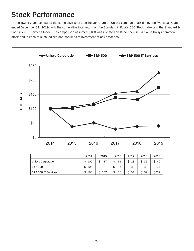# **Stock Performance**

The following graph compares the cumulative total stockholder return on Unisys common stock during the five fiscal years ended December 31, 2019, with the cumulative total return on the Standard & Poor's 500 Stock Index and the Standard & Poor's 500 IT Services Index. The comparison assumes \$100 was invested on December 31, 2014, in Unisys common stock and in each of such indices and assumes reinvestment of any dividends.



|                           | 2014  | 2015    | 2016     | 2017            | 2018  | 2019         |
|---------------------------|-------|---------|----------|-----------------|-------|--------------|
| <b>Unisys Corporation</b> | \$100 | 37<br>Ŝ | -51<br>Ŝ | S <sub>28</sub> | \$ 39 | -40<br>S     |
| <b>S&amp;P 500</b>        | \$100 | S 101   | \$114    | \$138           | \$132 | <b>S174</b>  |
| S&P 500 IT Services       | \$100 | \$107   | \$118    | \$154           | \$162 | <b>\$227</b> |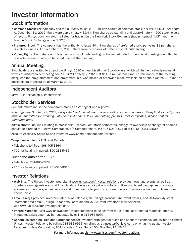# **Stock Information**

- **Common Stock:** The company has the authority to issue 150 million shares of common stock, par value \$0.01 per share. At December 31, 2019, there were approximately 62.4 million shares outstanding and approximately 4,900 stockholders of record. Unisys common stock is listed for trading on the New York Stock Exchange (trading symbol "UIS") and the London Stock Exchange (code "USY").
- **Preferred Stock:** The company has the authority to issue 40 million shares of preferred stock, par value \$1 per share, issuable in series. At December 31, 2019, there were no shares of preferred stock outstanding.
- **Voting Rights:** Each share of Unisys common stock outstanding on the record date for the annual meeting is entitled to one vote on each matter to be voted upon at the meeting.

# **Annual Meeting**

Stockholders are invited to attend the Unisys 2020 Annual Meeting of Stockholders, which will be held virtually online at www.virtualshareholdermeeting.com/UIS2020 on May 7, 2020, at 8:00 a.m. Eastern Time. Formal notice of the meeting, along with the proxy statement and proxy materials, was mailed or otherwise made available on or about March 27, 2020, to stockholders of record as of March 9, 2020.

# **Independent Auditors**

KPMG LLP Philadelphia, Pennsylvania

### **Stockholder Services**

Computershare Inc. is the company's stock transfer agent and registrar.

*Note: Effective October 23, 2009, Unisys declared a one-for-ten reverse split of its common stock. Pre-split stock certificates must be submitted for exchange into post-split shares. If you are holding pre-split stock certificates, please contact Computershare.*

Administrative inquiries relating to stockholder records, lost stock certificates, change of ownership or change of address should be directed to: Unisys Corporation, c/o Computershare, PO BOX 505000, Louisville, KY 40233-5000.

Account Access & Share Selling Program: www.computershare.com/investor

**Telephone within the U.S. and Canada:**

- Telephone toll free: 866-405-6564
- TDD for hearing impaired: 800-231-5469

#### **Telephone outside the U.S.:**

- Telephone: 201-680-6578
- TDD for hearing impaired: 201-680-6610

### **Investor Relations**

- **Web Site:** The Unisys Investor Web site at www.unisys.com/investor-relations provides news and events as well as quarterly earnings releases and financial data, Unisys stock price and tools, officer and board biographies, corporate governance materials, annual reports and more. We invite you to visit www.unisys.com/investor-relations to learn more about Unisys.
- **Email:** Unisys provides investor-related news releases, SEC filings, webcast and event details, and daily/weekly stock information via email. To sign up for email or to amend your current investor e-mail selection, visit www.unisys.com/ investor-relations.
- **Printed Materials:** Visit www.unisys.com/investor-relations to select from the current list of printed materials offered. Printed materials also may be requested by calling 215-986-6999.
- **General Investor Inquiries and Correspondence:** Investors with general questions about the company are invited to contact Unisys Investor Relations by calling 215-986-6999, emailing us at investor@unisys.com, or writing to us at: Investor Relations, Unisys Corporation, 801 Lakeview Drive, Suite 100, Blue Bell, PA 19422.

**For more information, visit www.unisys.com/investor-relations**